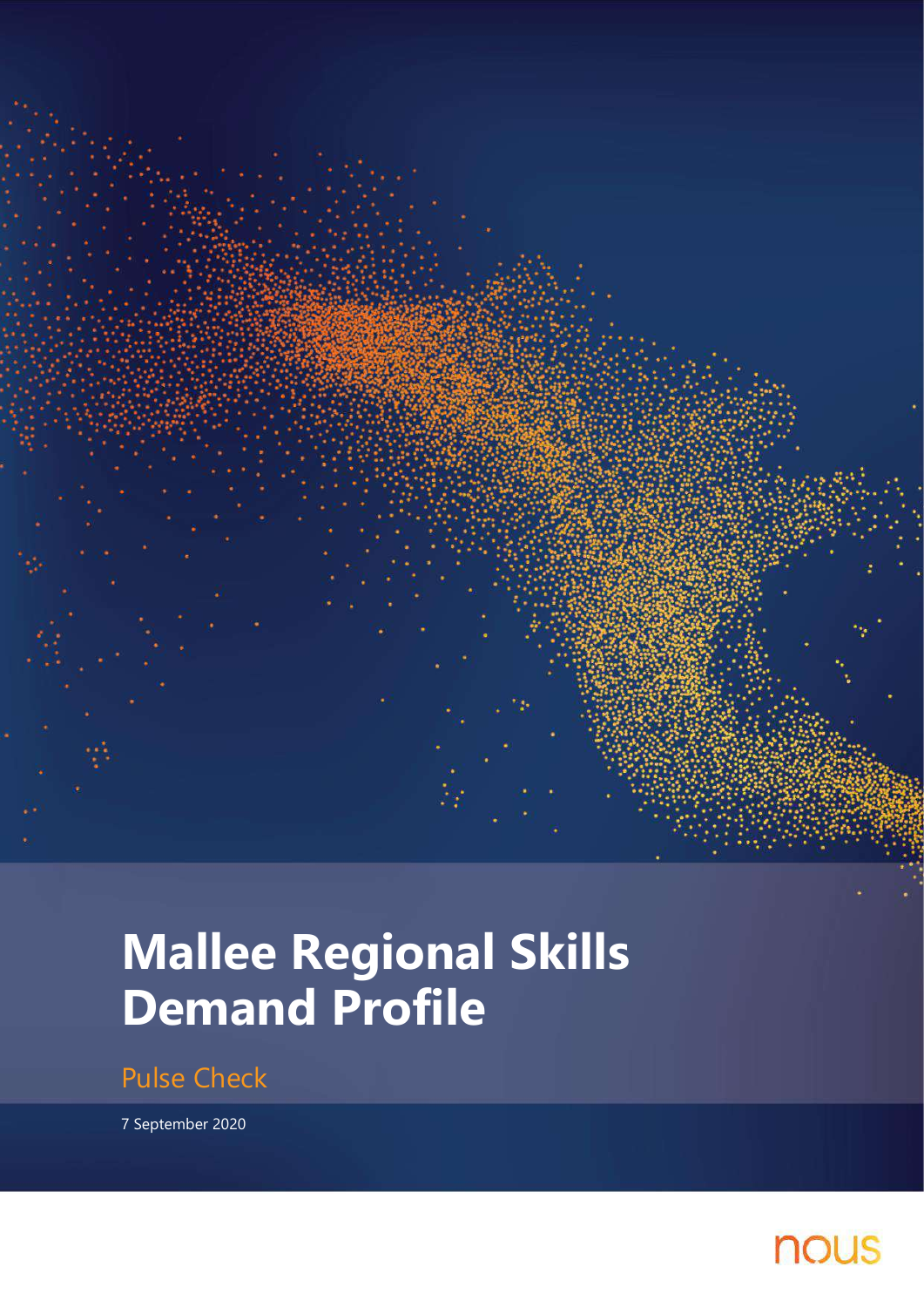

# **Mallee Regional Skills Demand Profile**

Pulse Check

7 September 2020

# nous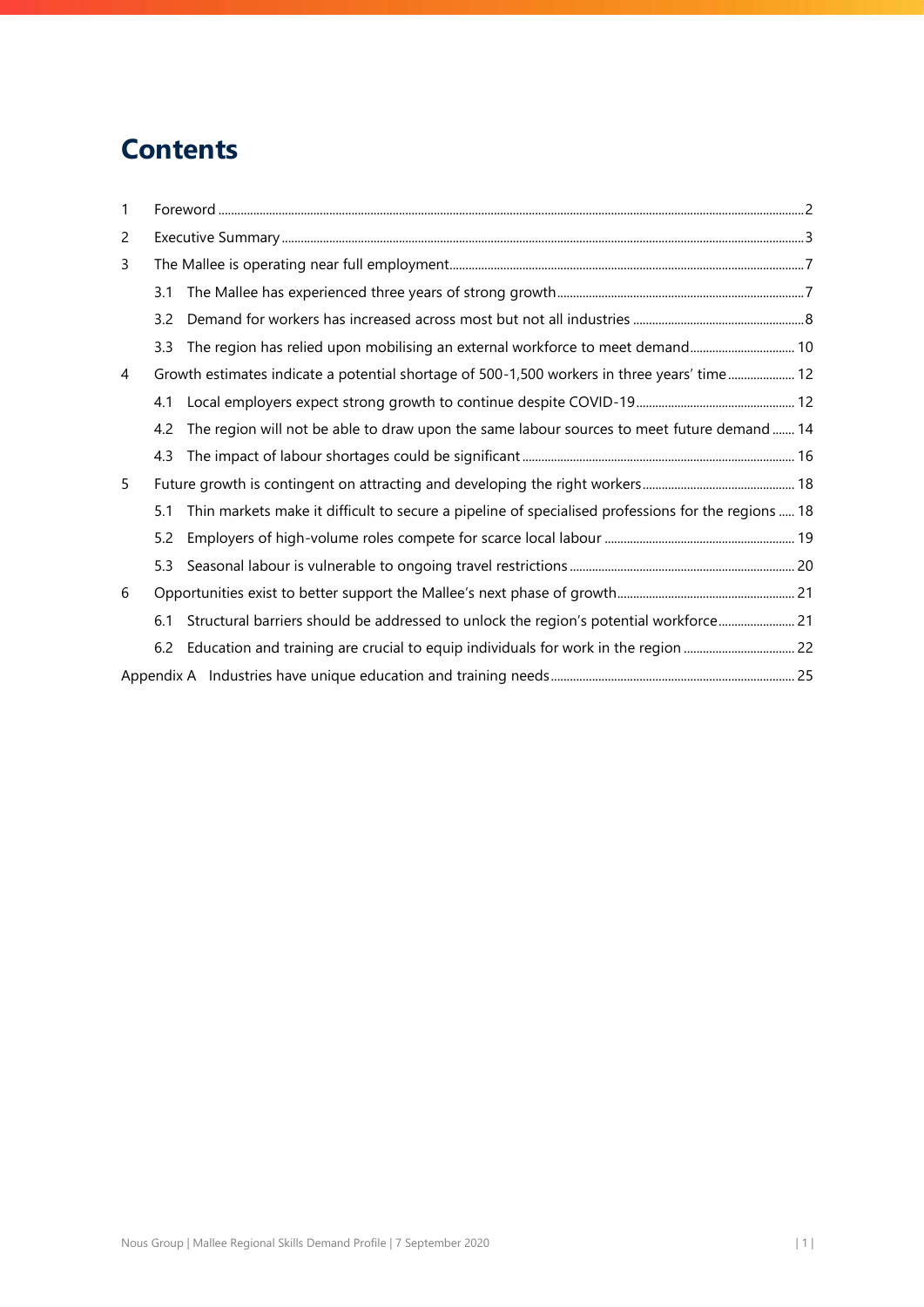# **Contents**

| $\mathbf{1}$   |     |                                                                                                    |
|----------------|-----|----------------------------------------------------------------------------------------------------|
| $\overline{c}$ |     |                                                                                                    |
| 3              |     |                                                                                                    |
|                | 3.1 |                                                                                                    |
|                | 3.2 |                                                                                                    |
|                | 3.3 | The region has relied upon mobilising an external workforce to meet demand 10                      |
| 4              |     | Growth estimates indicate a potential shortage of 500-1,500 workers in three years' time 12        |
|                | 4.1 |                                                                                                    |
|                | 4.2 | The region will not be able to draw upon the same labour sources to meet future demand  14         |
|                | 4.3 |                                                                                                    |
| 5              |     |                                                                                                    |
|                | 5.1 | Thin markets make it difficult to secure a pipeline of specialised professions for the regions  18 |
|                | 5.2 |                                                                                                    |
|                | 5.3 |                                                                                                    |
| 6              |     |                                                                                                    |
|                | 6.1 | Structural barriers should be addressed to unlock the region's potential workforce 21              |
|                | 6.2 |                                                                                                    |
|                |     |                                                                                                    |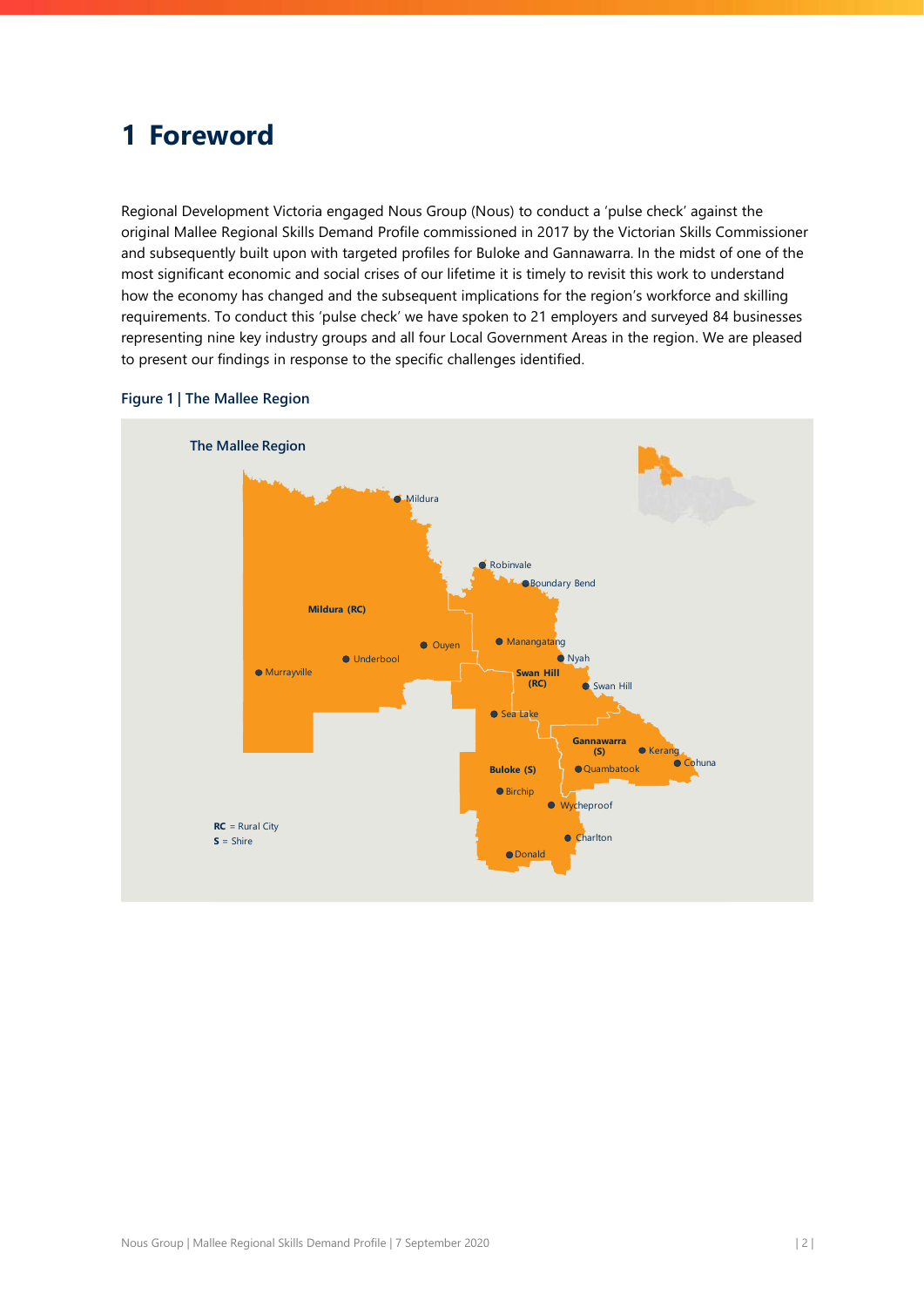# <span id="page-2-0"></span>**1 Foreword**

Regional Development Victoria engaged Nous Group (Nous) to conduct a 'pulse check' against the original Mallee Regional Skills Demand Profile commissioned in 2017 by the Victorian Skills Commissioner and subsequently built upon with targeted profiles for Buloke and Gannawarra. In the midst of one of the most significant economic and social crises of our lifetime it is timely to revisit this work to understand how the economy has changed and the subsequent implications for the region's workforce and skilling requirements. To conduct this 'pulse check' we have spoken to 21 employers and surveyed 84 businesses representing nine key industry groups and all four Local Government Areas in the region. We are pleased to present our findings in response to the specific challenges identified.



### **Figure 1 | The Mallee Region**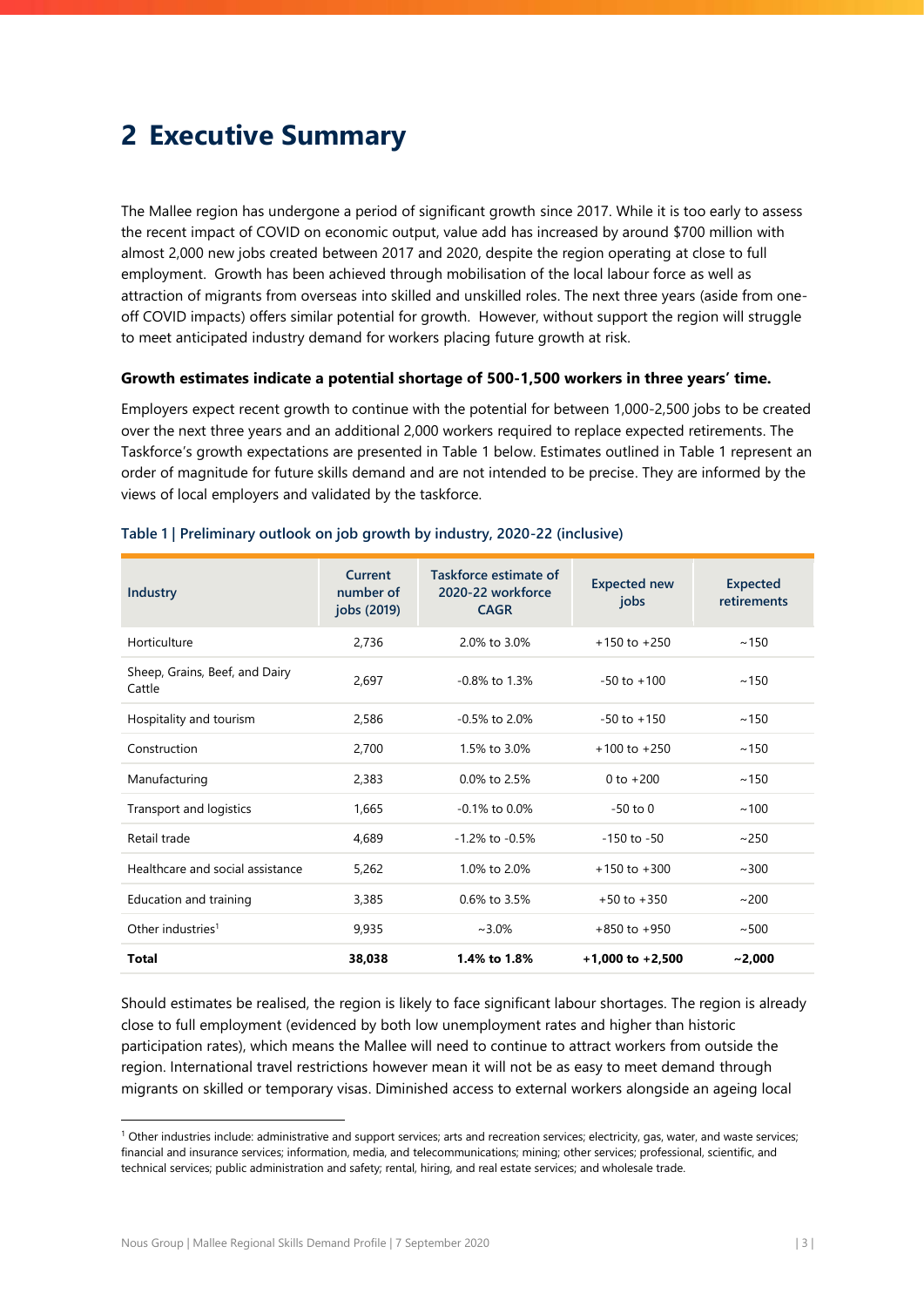# <span id="page-3-0"></span>**2 Executive Summary**

The Mallee region has undergone a period of significant growth since 2017. While it is too early to assess the recent impact of COVID on economic output, value add has increased by around \$700 million with almost 2,000 new jobs created between 2017 and 2020, despite the region operating at close to full employment. Growth has been achieved through mobilisation of the local labour force as well as attraction of migrants from overseas into skilled and unskilled roles. The next three years (aside from oneoff COVID impacts) offers similar potential for growth. However, without support the region will struggle to meet anticipated industry demand for workers placing future growth at risk.

#### **Growth estimates indicate a potential shortage of 500-1,500 workers in three years' time.**

Employers expect recent growth to continue with the potential for between 1,000-2,500 jobs to be created over the next three years and an additional 2,000 workers required to replace expected retirements. The Taskforce's growth expectations are presented in [Table 1](#page-3-1) below. Estimates outlined in [Table 1](#page-3-1) represent an order of magnitude for future skills demand and are not intended to be precise. They are informed by the views of local employers and validated by the taskforce.

| Industry                                 | Current<br>number of<br>jobs (2019) | Taskforce estimate of<br>2020-22 workforce<br><b>CAGR</b> | <b>Expected new</b><br>jobs | Expected<br>retirements |
|------------------------------------------|-------------------------------------|-----------------------------------------------------------|-----------------------------|-------------------------|
| Horticulture                             | 2,736                               | 2.0% to 3.0%                                              | $+150$ to $+250$            | ~150                    |
| Sheep, Grains, Beef, and Dairy<br>Cattle | 2,697                               | $-0.8\%$ to 1.3%                                          | $-50$ to $+100$             | ~150                    |
| Hospitality and tourism                  | 2,586                               | $-0.5\%$ to 2 0%                                          | $-50$ to $+150$             | ~150                    |
| Construction                             | 2,700                               | 1.5% to 3.0%                                              | $+100$ to $+250$            | ~150                    |
| Manufacturing                            | 2,383                               | 0.0% to 2.5%                                              | $0$ to $+200$               | ~150                    |
| Transport and logistics                  | 1,665                               | $-0.1\%$ to 0.0%                                          | $-50$ to $0$                | ~100                    |
| Retail trade                             | 4.689                               | $-1.2\%$ to $-0.5\%$                                      | $-150$ to $-50$             | ~250                    |
| Healthcare and social assistance         | 5,262                               | 1.0% to 2.0%                                              | $+150$ to $+300$            | ~100                    |
| Education and training                   | 3,385                               | $0.6\%$ to 3.5%                                           | $+50$ to $+350$             | ~100                    |
| Other industries <sup>1</sup>            | 9,935                               | $~1.0\%$                                                  | $+850$ to $+950$            | ~500                    |
| Total                                    | 38,038                              | 1.4% to 1.8%                                              | $+1,000$ to $+2,500$        | ~2,000                  |

#### <span id="page-3-1"></span>**Table 1 | Preliminary outlook on job growth by industry, 2020-22 (inclusive)**

Should estimates be realised, the region is likely to face significant labour shortages. The region is already close to full employment (evidenced by both low unemployment rates and higher than historic participation rates), which means the Mallee will need to continue to attract workers from outside the region. International travel restrictions however mean it will not be as easy to meet demand through migrants on skilled or temporary visas. Diminished access to external workers alongside an ageing local

<sup>&</sup>lt;sup>1</sup> Other industries include: administrative and support services; arts and recreation services; electricity, gas, water, and waste services; financial and insurance services; information, media, and telecommunications; mining; other services; professional, scientific, and technical services; public administration and safety; rental, hiring, and real estate services; and wholesale trade.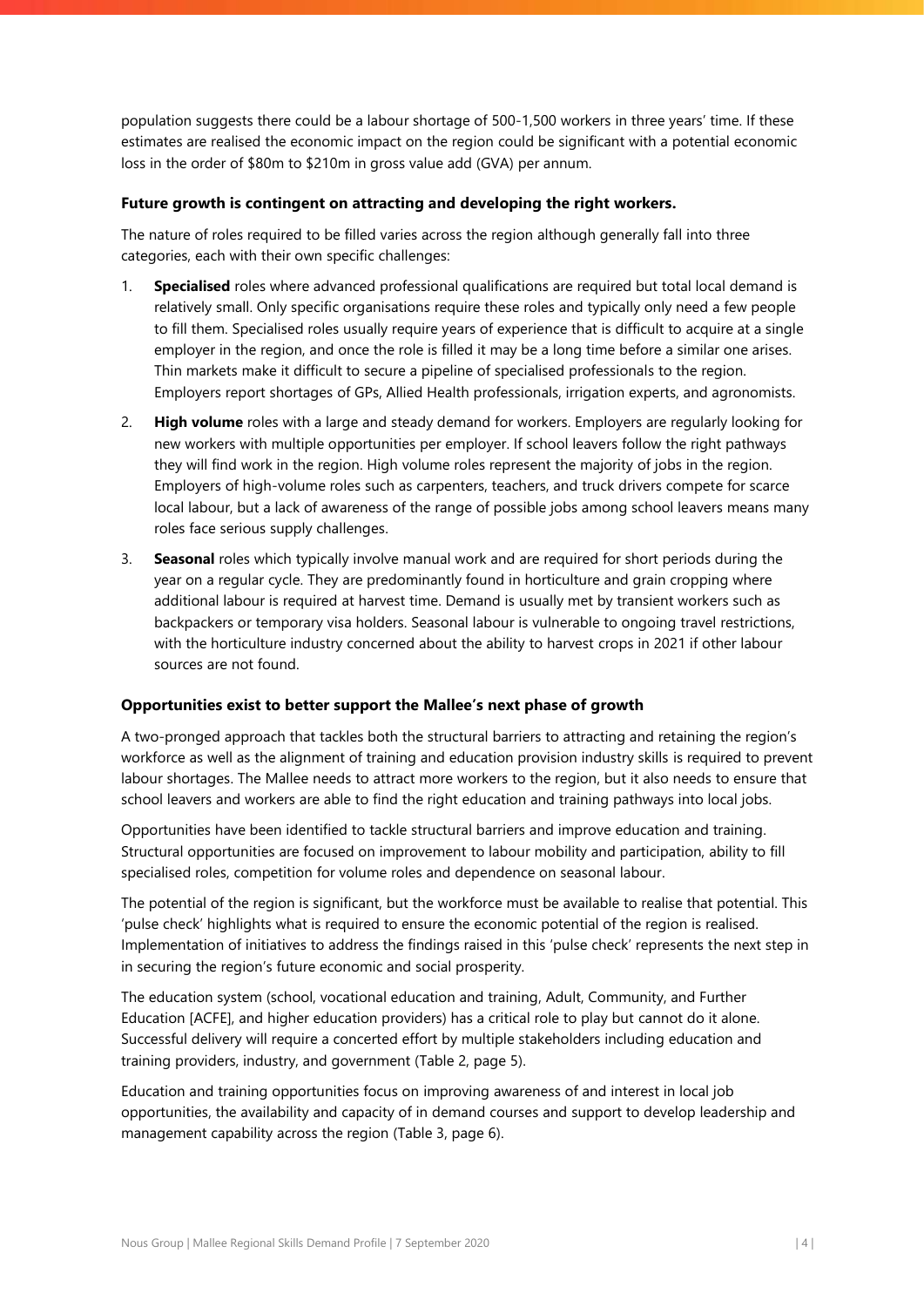population suggests there could be a labour shortage of 500-1,500 workers in three years' time. If these estimates are realised the economic impact on the region could be significant with a potential economic loss in the order of \$80m to \$210m in gross value add (GVA) per annum.

### **Future growth is contingent on attracting and developing the right workers.**

The nature of roles required to be filled varies across the region although generally fall into three categories, each with their own specific challenges:

- 1. **Specialised** roles where advanced professional qualifications are required but total local demand is relatively small. Only specific organisations require these roles and typically only need a few people to fill them. Specialised roles usually require years of experience that is difficult to acquire at a single employer in the region, and once the role is filled it may be a long time before a similar one arises. Thin markets make it difficult to secure a pipeline of specialised professionals to the region. Employers report shortages of GPs, Allied Health professionals, irrigation experts, and agronomists.
- 2. **High volume** roles with a large and steady demand for workers. Employers are regularly looking for new workers with multiple opportunities per employer. If school leavers follow the right pathways they will find work in the region. High volume roles represent the majority of jobs in the region. Employers of high-volume roles such as carpenters, teachers, and truck drivers compete for scarce local labour, but a lack of awareness of the range of possible jobs among school leavers means many roles face serious supply challenges.
- 3. **Seasonal** roles which typically involve manual work and are required for short periods during the year on a regular cycle. They are predominantly found in horticulture and grain cropping where additional labour is required at harvest time. Demand is usually met by transient workers such as backpackers or temporary visa holders. Seasonal labour is vulnerable to ongoing travel restrictions, with the horticulture industry concerned about the ability to harvest crops in 2021 if other labour sources are not found.

## **Opportunities exist to better support the Mallee's next phase of growth**

A two-pronged approach that tackles both the structural barriers to attracting and retaining the region's workforce as well as the alignment of training and education provision industry skills is required to prevent labour shortages. The Mallee needs to attract more workers to the region, but it also needs to ensure that school leavers and workers are able to find the right education and training pathways into local jobs.

Opportunities have been identified to tackle structural barriers and improve education and training. Structural opportunities are focused on improvement to labour mobility and participation, ability to fill specialised roles, competition for volume roles and dependence on seasonal labour.

The potential of the region is significant, but the workforce must be available to realise that potential. This 'pulse check' highlights what is required to ensure the economic potential of the region is realised. Implementation of initiatives to address the findings raised in this 'pulse check' represents the next step in in securing the region's future economic and social prosperity.

The education system (school, vocational education and training, Adult, Community, and Further Education [ACFE], and higher education providers) has a critical role to play but cannot do it alone. Successful delivery will require a concerted effort by multiple stakeholders including education and training providers, industry, and government [\(Table 2,](#page-5-0) page [5\)](#page-5-0).

Education and training opportunities focus on improving awareness of and interest in local job opportunities, the availability and capacity of in demand courses and support to develop leadership and management capability across the region [\(Table 3,](#page-6-0) page [6\)](#page-6-0).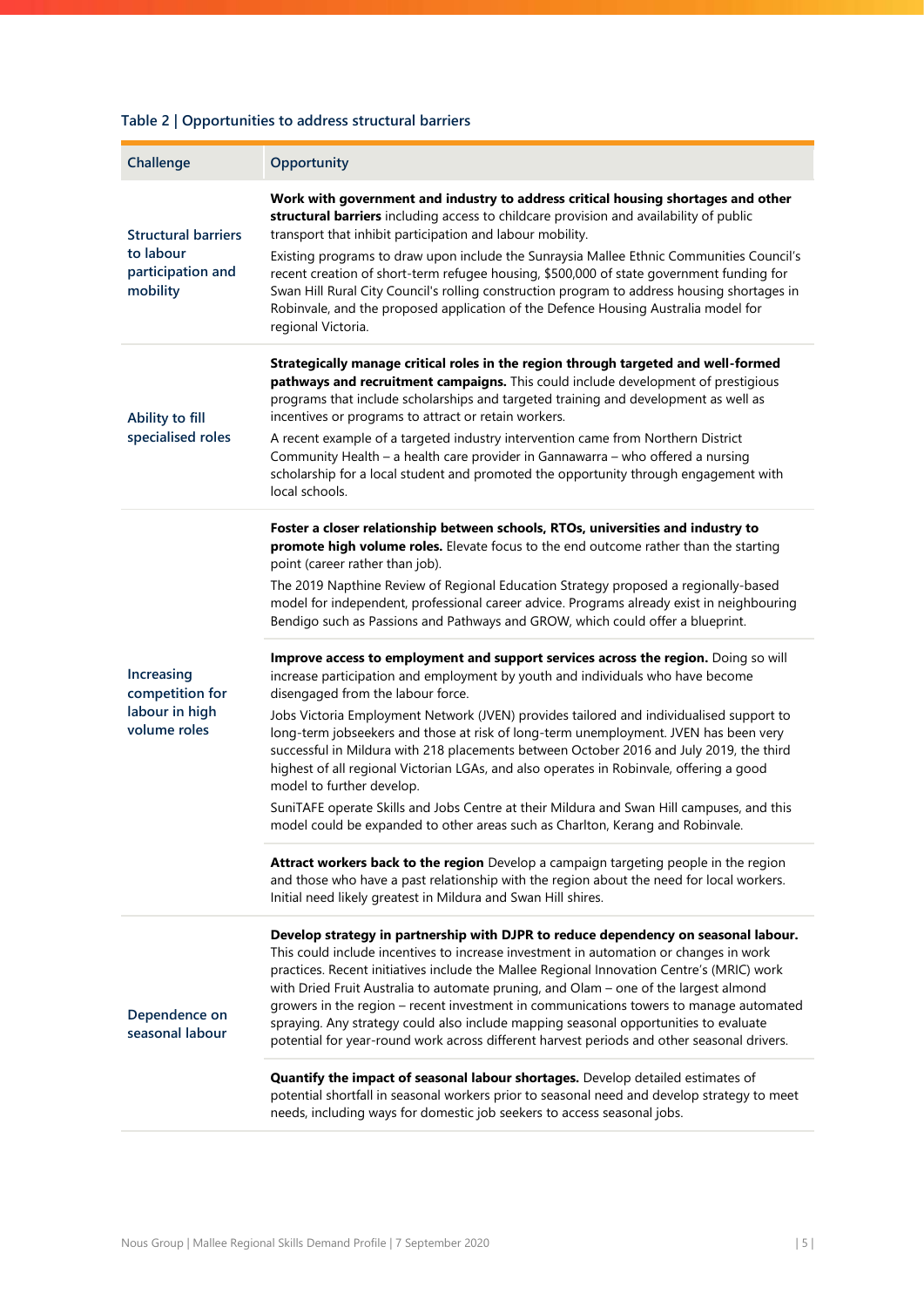# <span id="page-5-0"></span>**Table 2 | Opportunities to address structural barriers**

| Challenge                                                                | Opportunity                                                                                                                                                                                                                                                                                                                                                                                                                                                                                                                                                                                                                                      |
|--------------------------------------------------------------------------|--------------------------------------------------------------------------------------------------------------------------------------------------------------------------------------------------------------------------------------------------------------------------------------------------------------------------------------------------------------------------------------------------------------------------------------------------------------------------------------------------------------------------------------------------------------------------------------------------------------------------------------------------|
| <b>Structural barriers</b><br>to labour<br>participation and<br>mobility | Work with government and industry to address critical housing shortages and other<br>structural barriers including access to childcare provision and availability of public<br>transport that inhibit participation and labour mobility.<br>Existing programs to draw upon include the Sunraysia Mallee Ethnic Communities Council's<br>recent creation of short-term refugee housing, \$500,000 of state government funding for<br>Swan Hill Rural City Council's rolling construction program to address housing shortages in<br>Robinvale, and the proposed application of the Defence Housing Australia model for                            |
|                                                                          | regional Victoria.                                                                                                                                                                                                                                                                                                                                                                                                                                                                                                                                                                                                                               |
| Ability to fill                                                          | Strategically manage critical roles in the region through targeted and well-formed<br>pathways and recruitment campaigns. This could include development of prestigious<br>programs that include scholarships and targeted training and development as well as<br>incentives or programs to attract or retain workers.                                                                                                                                                                                                                                                                                                                           |
| specialised roles                                                        | A recent example of a targeted industry intervention came from Northern District<br>Community Health - a health care provider in Gannawarra - who offered a nursing<br>scholarship for a local student and promoted the opportunity through engagement with<br>local schools.                                                                                                                                                                                                                                                                                                                                                                    |
|                                                                          | Foster a closer relationship between schools, RTOs, universities and industry to<br>promote high volume roles. Elevate focus to the end outcome rather than the starting<br>point (career rather than job).                                                                                                                                                                                                                                                                                                                                                                                                                                      |
|                                                                          | The 2019 Napthine Review of Regional Education Strategy proposed a regionally-based<br>model for independent, professional career advice. Programs already exist in neighbouring<br>Bendigo such as Passions and Pathways and GROW, which could offer a blueprint.                                                                                                                                                                                                                                                                                                                                                                               |
| Increasing<br>competition for                                            | Improve access to employment and support services across the region. Doing so will<br>increase participation and employment by youth and individuals who have become<br>disengaged from the labour force.                                                                                                                                                                                                                                                                                                                                                                                                                                        |
| labour in high<br>volume roles                                           | Jobs Victoria Employment Network (JVEN) provides tailored and individualised support to<br>long-term jobseekers and those at risk of long-term unemployment. JVEN has been very<br>successful in Mildura with 218 placements between October 2016 and July 2019, the third<br>highest of all regional Victorian LGAs, and also operates in Robinvale, offering a good<br>model to further develop.                                                                                                                                                                                                                                               |
|                                                                          | SuniTAFE operate Skills and Jobs Centre at their Mildura and Swan Hill campuses, and this<br>model could be expanded to other areas such as Charlton, Kerang and Robinvale.                                                                                                                                                                                                                                                                                                                                                                                                                                                                      |
|                                                                          | Attract workers back to the region Develop a campaign targeting people in the region<br>and those who have a past relationship with the region about the need for local workers.<br>Initial need likely greatest in Mildura and Swan Hill shires.                                                                                                                                                                                                                                                                                                                                                                                                |
| Dependence on<br>seasonal labour                                         | Develop strategy in partnership with DJPR to reduce dependency on seasonal labour.<br>This could include incentives to increase investment in automation or changes in work<br>practices. Recent initiatives include the Mallee Regional Innovation Centre's (MRIC) work<br>with Dried Fruit Australia to automate pruning, and Olam - one of the largest almond<br>growers in the region - recent investment in communications towers to manage automated<br>spraying. Any strategy could also include mapping seasonal opportunities to evaluate<br>potential for year-round work across different harvest periods and other seasonal drivers. |
|                                                                          | Quantify the impact of seasonal labour shortages. Develop detailed estimates of<br>potential shortfall in seasonal workers prior to seasonal need and develop strategy to meet<br>needs, including ways for domestic job seekers to access seasonal jobs.                                                                                                                                                                                                                                                                                                                                                                                        |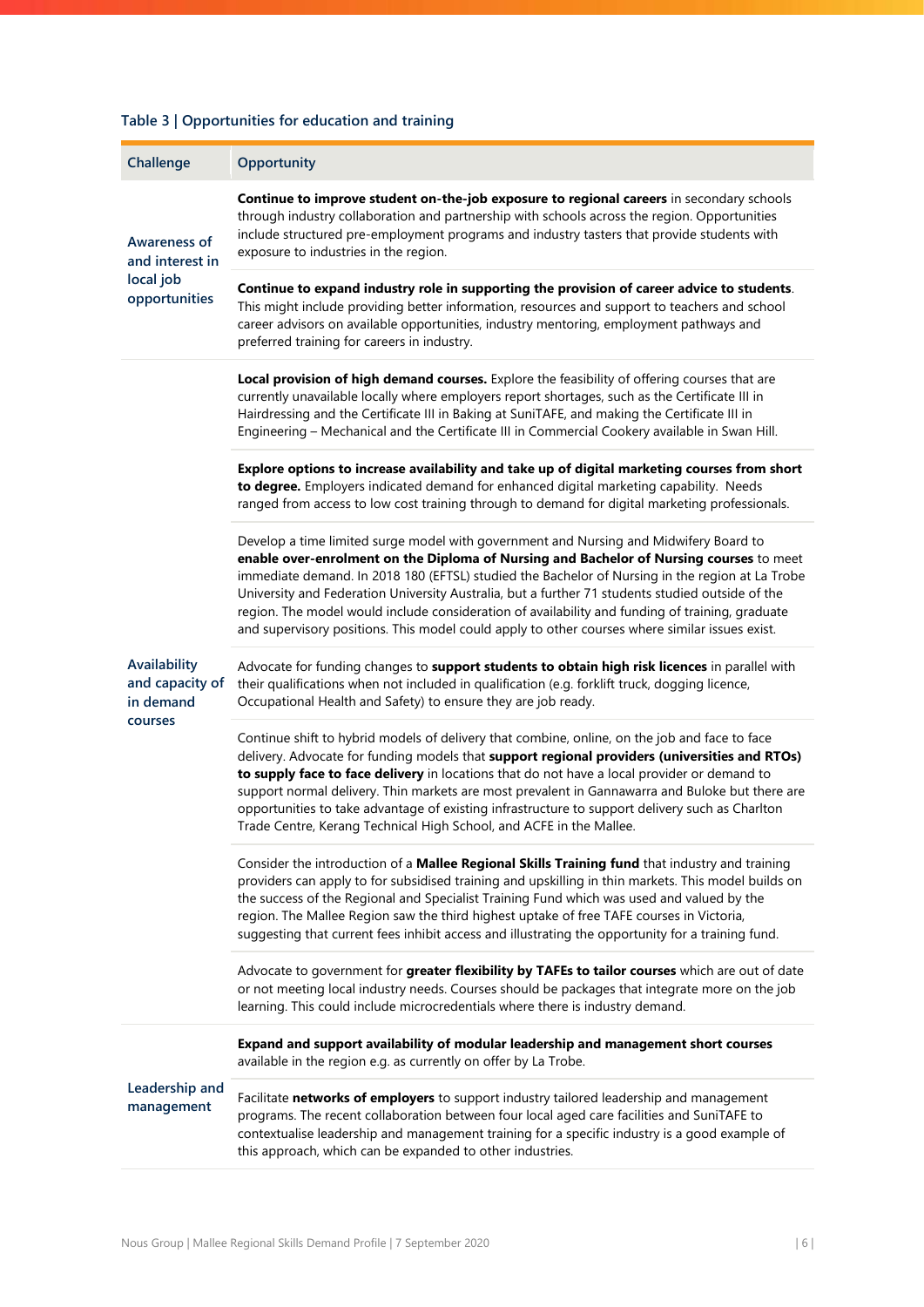<span id="page-6-0"></span>

| Table 3   Opportunities for education and training |  |
|----------------------------------------------------|--|
|                                                    |  |

| Challenge                                    | Opportunity                                                                                                                                                                                                                                                                                                                                                                                                                                                                                                                                                                                  |
|----------------------------------------------|----------------------------------------------------------------------------------------------------------------------------------------------------------------------------------------------------------------------------------------------------------------------------------------------------------------------------------------------------------------------------------------------------------------------------------------------------------------------------------------------------------------------------------------------------------------------------------------------|
| <b>Awareness of</b><br>and interest in       | Continue to improve student on-the-job exposure to regional careers in secondary schools<br>through industry collaboration and partnership with schools across the region. Opportunities<br>include structured pre-employment programs and industry tasters that provide students with<br>exposure to industries in the region.                                                                                                                                                                                                                                                              |
| local job<br>opportunities                   | Continue to expand industry role in supporting the provision of career advice to students.<br>This might include providing better information, resources and support to teachers and school<br>career advisors on available opportunities, industry mentoring, employment pathways and<br>preferred training for careers in industry.                                                                                                                                                                                                                                                        |
|                                              | Local provision of high demand courses. Explore the feasibility of offering courses that are<br>currently unavailable locally where employers report shortages, such as the Certificate III in<br>Hairdressing and the Certificate III in Baking at SuniTAFE, and making the Certificate III in<br>Engineering - Mechanical and the Certificate III in Commercial Cookery available in Swan Hill.                                                                                                                                                                                            |
|                                              | Explore options to increase availability and take up of digital marketing courses from short<br>to degree. Employers indicated demand for enhanced digital marketing capability. Needs<br>ranged from access to low cost training through to demand for digital marketing professionals.                                                                                                                                                                                                                                                                                                     |
|                                              | Develop a time limited surge model with government and Nursing and Midwifery Board to<br>enable over-enrolment on the Diploma of Nursing and Bachelor of Nursing courses to meet<br>immediate demand. In 2018 180 (EFTSL) studied the Bachelor of Nursing in the region at La Trobe<br>University and Federation University Australia, but a further 71 students studied outside of the<br>region. The model would include consideration of availability and funding of training, graduate<br>and supervisory positions. This model could apply to other courses where similar issues exist. |
| Availability<br>and capacity of<br>in demand | Advocate for funding changes to support students to obtain high risk licences in parallel with<br>their qualifications when not included in qualification (e.g. forklift truck, dogging licence,<br>Occupational Health and Safety) to ensure they are job ready.                                                                                                                                                                                                                                                                                                                            |
| courses                                      | Continue shift to hybrid models of delivery that combine, online, on the job and face to face<br>delivery. Advocate for funding models that support regional providers (universities and RTOs)<br>to supply face to face delivery in locations that do not have a local provider or demand to<br>support normal delivery. Thin markets are most prevalent in Gannawarra and Buloke but there are<br>opportunities to take advantage of existing infrastructure to support delivery such as Charlton<br>Trade Centre, Kerang Technical High School, and ACFE in the Mallee.                   |
|                                              | Consider the introduction of a Mallee Regional Skills Training fund that industry and training<br>providers can apply to for subsidised training and upskilling in thin markets. This model builds on<br>the success of the Regional and Specialist Training Fund which was used and valued by the<br>region. The Mallee Region saw the third highest uptake of free TAFE courses in Victoria,<br>suggesting that current fees inhibit access and illustrating the opportunity for a training fund.                                                                                          |
|                                              | Advocate to government for greater flexibility by TAFEs to tailor courses which are out of date<br>or not meeting local industry needs. Courses should be packages that integrate more on the job<br>learning. This could include microcredentials where there is industry demand.                                                                                                                                                                                                                                                                                                           |
|                                              | Expand and support availability of modular leadership and management short courses<br>available in the region e.g. as currently on offer by La Trobe.                                                                                                                                                                                                                                                                                                                                                                                                                                        |
| Leadership and<br>management                 | Facilitate networks of employers to support industry tailored leadership and management<br>programs. The recent collaboration between four local aged care facilities and SuniTAFE to<br>contextualise leadership and management training for a specific industry is a good example of<br>this approach, which can be expanded to other industries.                                                                                                                                                                                                                                          |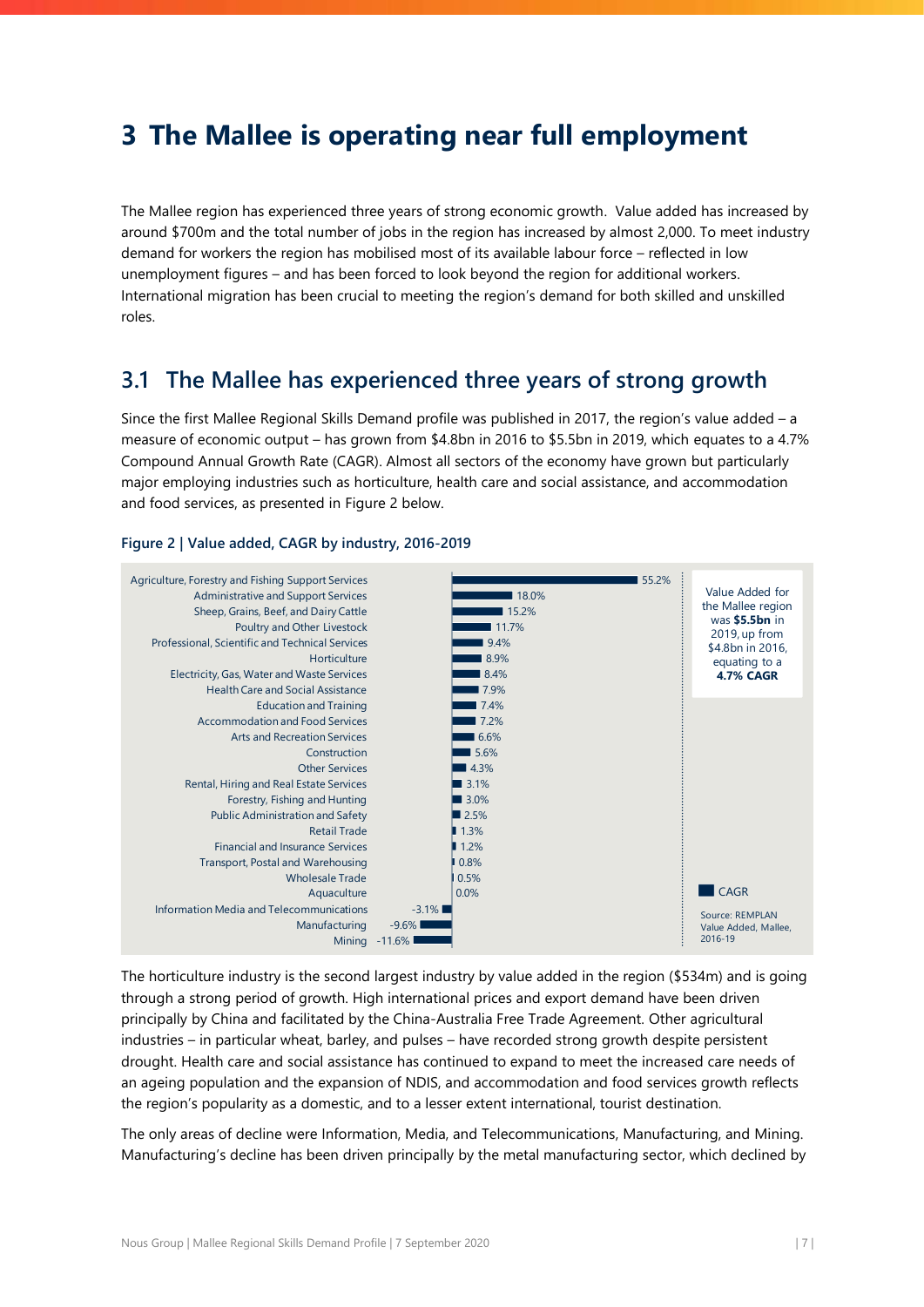# <span id="page-7-0"></span>**3 The Mallee is operating near full employment**

The Mallee region has experienced three years of strong economic growth. Value added has increased by around \$700m and the total number of jobs in the region has increased by almost 2,000. To meet industry demand for workers the region has mobilised most of its available labour force – reflected in low unemployment figures – and has been forced to look beyond the region for additional workers. International migration has been crucial to meeting the region's demand for both skilled and unskilled roles.

# <span id="page-7-1"></span>**3.1 The Mallee has experienced three years of strong growth**

Since the first Mallee Regional Skills Demand profile was published in 2017, the region's value added – a measure of economic output – has grown from \$4.8bn in 2016 to \$5.5bn in 2019, which equates to a 4.7% Compound Annual Growth Rate (CAGR). Almost all sectors of the economy have grown but particularly major employing industries such as horticulture, health care and social assistance, and accommodation and food services, as presented in [Figure 2](#page-7-2) below.

### <span id="page-7-2"></span>**Figure 2 | Value added, CAGR by industry, 2016-2019**



The horticulture industry is the second largest industry by value added in the region (\$534m) and is going through a strong period of growth. High international prices and export demand have been driven principally by China and facilitated by the China-Australia Free Trade Agreement. Other agricultural industries – in particular wheat, barley, and pulses – have recorded strong growth despite persistent drought. Health care and social assistance has continued to expand to meet the increased care needs of an ageing population and the expansion of NDIS, and accommodation and food services growth reflects the region's popularity as a domestic, and to a lesser extent international, tourist destination.

The only areas of decline were Information, Media, and Telecommunications, Manufacturing, and Mining. Manufacturing's decline has been driven principally by the metal manufacturing sector, which declined by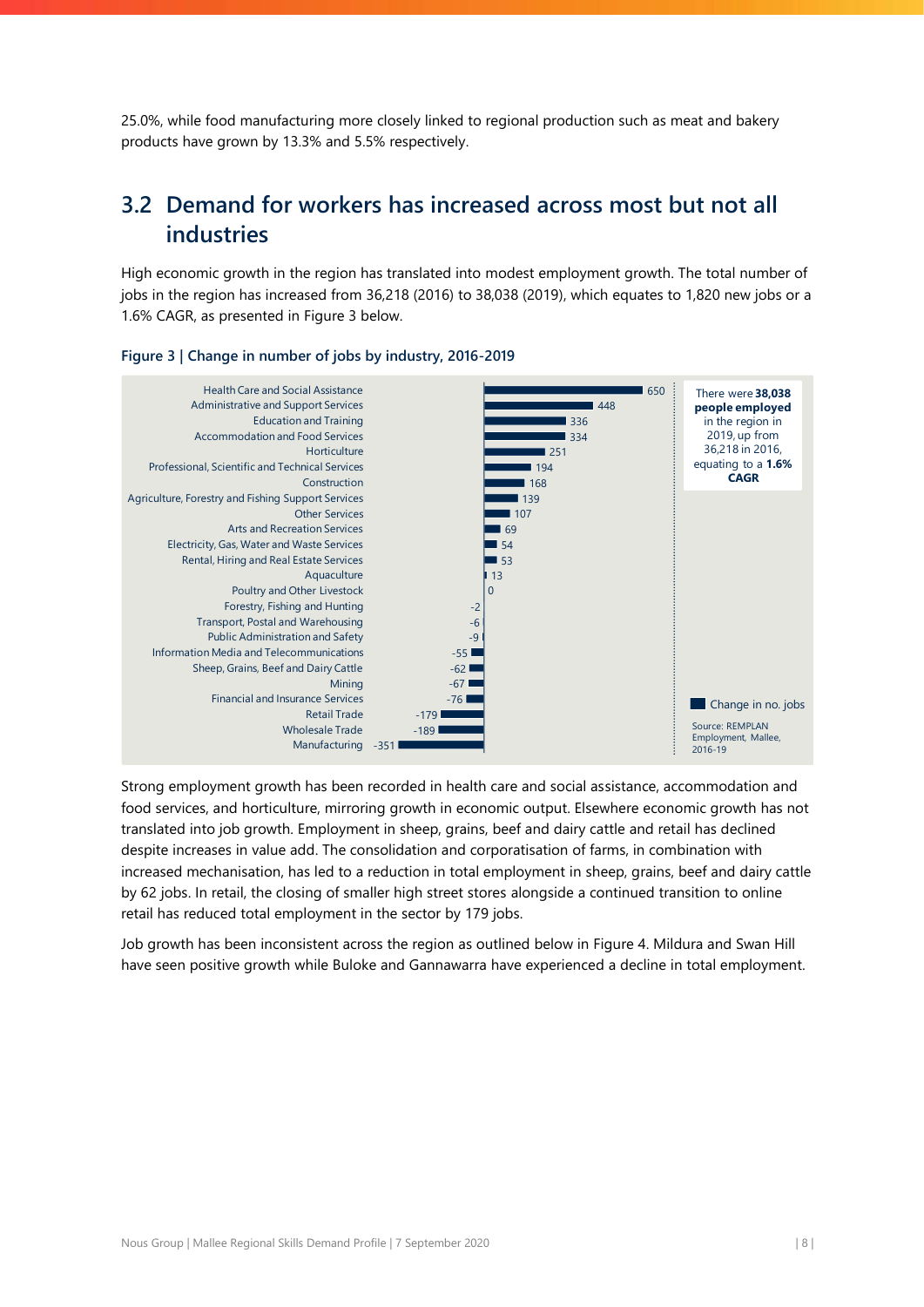25.0%, while food manufacturing more closely linked to regional production such as meat and bakery products have grown by 13.3% and 5.5% respectively.

# <span id="page-8-0"></span>**3.2 Demand for workers has increased across most but not all industries**

High economic growth in the region has translated into modest employment growth. The total number of jobs in the region has increased from 36,218 (2016) to 38,038 (2019), which equates to 1,820 new jobs or a 1.6% CAGR, as presented in [Figure 3](#page-8-1) below.



#### <span id="page-8-1"></span>**Figure 3 | Change in number of jobs by industry, 2016-2019**

Strong employment growth has been recorded in health care and social assistance, accommodation and food services, and horticulture, mirroring growth in economic output. Elsewhere economic growth has not translated into job growth. Employment in sheep, grains, beef and dairy cattle and retail has declined despite increases in value add. The consolidation and corporatisation of farms, in combination with increased mechanisation, has led to a reduction in total employment in sheep, grains, beef and dairy cattle by 62 jobs. In retail, the closing of smaller high street stores alongside a continued transition to online retail has reduced total employment in the sector by 179 jobs.

Job growth has been inconsistent across the region as outlined below in [Figure 4.](#page-9-0) Mildura and Swan Hill have seen positive growth while Buloke and Gannawarra have experienced a decline in total employment.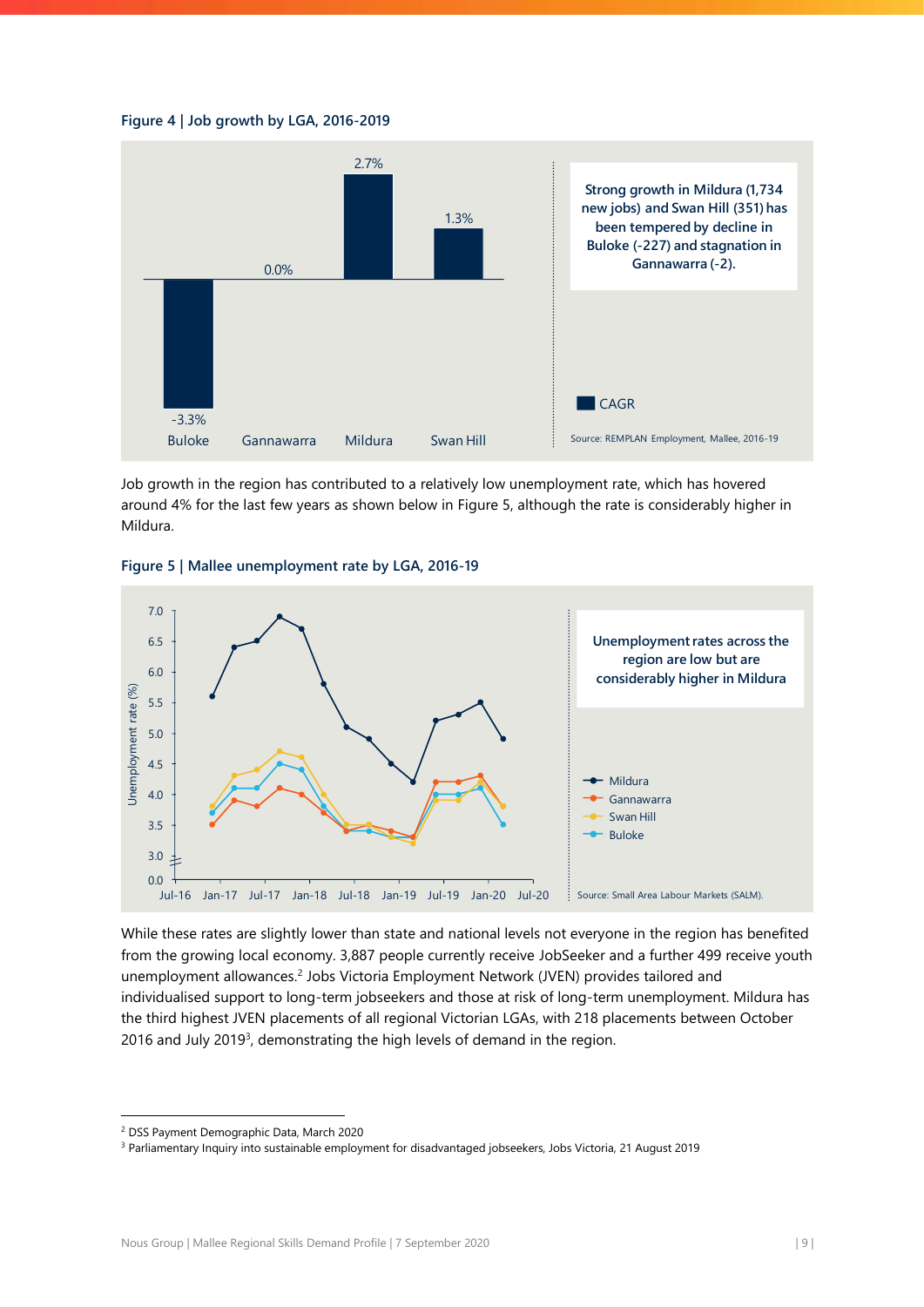<span id="page-9-0"></span>



Job growth in the region has contributed to a relatively low unemployment rate, which has hovered around 4% for the last few years as shown below in [Figure 5,](#page-9-1) although the rate is considerably higher in Mildura.

<span id="page-9-1"></span>



While these rates are slightly lower than state and national levels not everyone in the region has benefited from the growing local economy. 3,887 people currently receive JobSeeker and a further 499 receive youth unemployment allowances.<sup>2</sup> Jobs Victoria Employment Network (JVEN) provides tailored and individualised support to long-term jobseekers and those at risk of long-term unemployment. Mildura has the third highest JVEN placements of all regional Victorian LGAs, with 218 placements between October 2016 and July 2019<sup>3</sup>, demonstrating the high levels of demand in the region.

<sup>2</sup> DSS Payment Demographic Data, March 2020

<sup>3</sup> Parliamentary Inquiry into sustainable employment for disadvantaged jobseekers, Jobs Victoria, 21 August 2019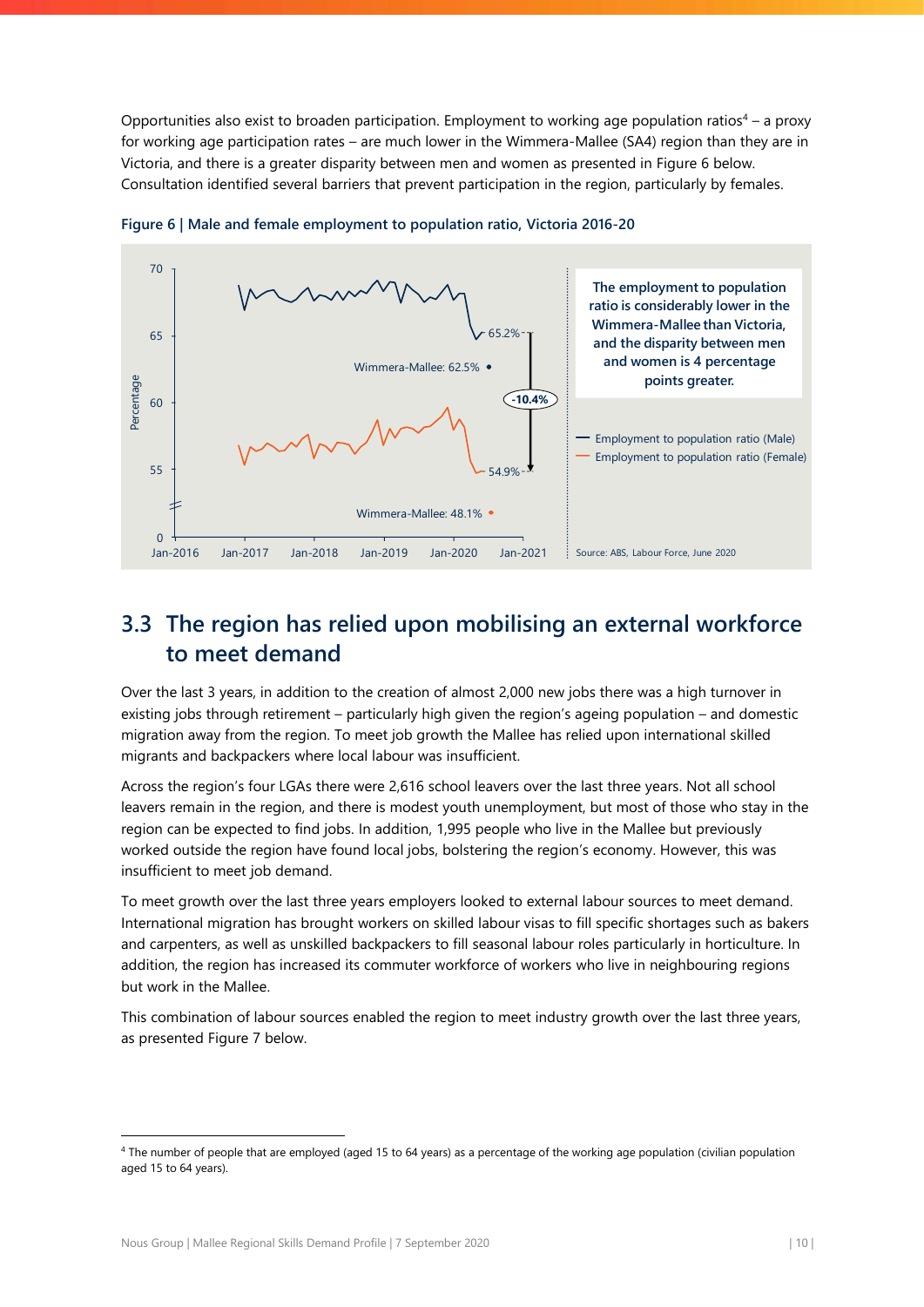Opportunities also exist to broaden participation. Employment to working age population ratios<sup>4</sup> – a proxy for working age participation rates – are much lower in the Wimmera-Mallee (SA4) region than they are in Victoria, and there is a greater disparity between men and women as presented in [Figure 6](#page-10-1) below. Consultation identified several barriers that prevent participation in the region, particularly by females.



<span id="page-10-1"></span>**Figure 6 | Male and female employment to population ratio, Victoria 2016-20**

# <span id="page-10-0"></span>**3.3 The region has relied upon mobilising an external workforce to meet demand**

Over the last 3 years, in addition to the creation of almost 2,000 new jobs there was a high turnover in existing jobs through retirement – particularly high given the region's ageing population – and domestic migration away from the region. To meet job growth the Mallee has relied upon international skilled migrants and backpackers where local labour was insufficient.

Across the region's four LGAs there were 2,616 school leavers over the last three years. Not all school leavers remain in the region, and there is modest youth unemployment, but most of those who stay in the region can be expected to find jobs. In addition, 1,995 people who live in the Mallee but previously worked outside the region have found local jobs, bolstering the region's economy. However, this was insufficient to meet job demand.

To meet growth over the last three years employers looked to external labour sources to meet demand. International migration has brought workers on skilled labour visas to fill specific shortages such as bakers and carpenters, as well as unskilled backpackers to fill seasonal labour roles particularly in horticulture. In addition, the region has increased its commuter workforce of workers who live in neighbouring regions but work in the Mallee.

This combination of labour sources enabled the region to meet industry growth over the last three years, as presented [Figure 7](#page-11-0) below.

<sup>&</sup>lt;sup>4</sup> The number of people that are employed (aged 15 to 64 years) as a percentage of the working age population (civilian population aged 15 to 64 years).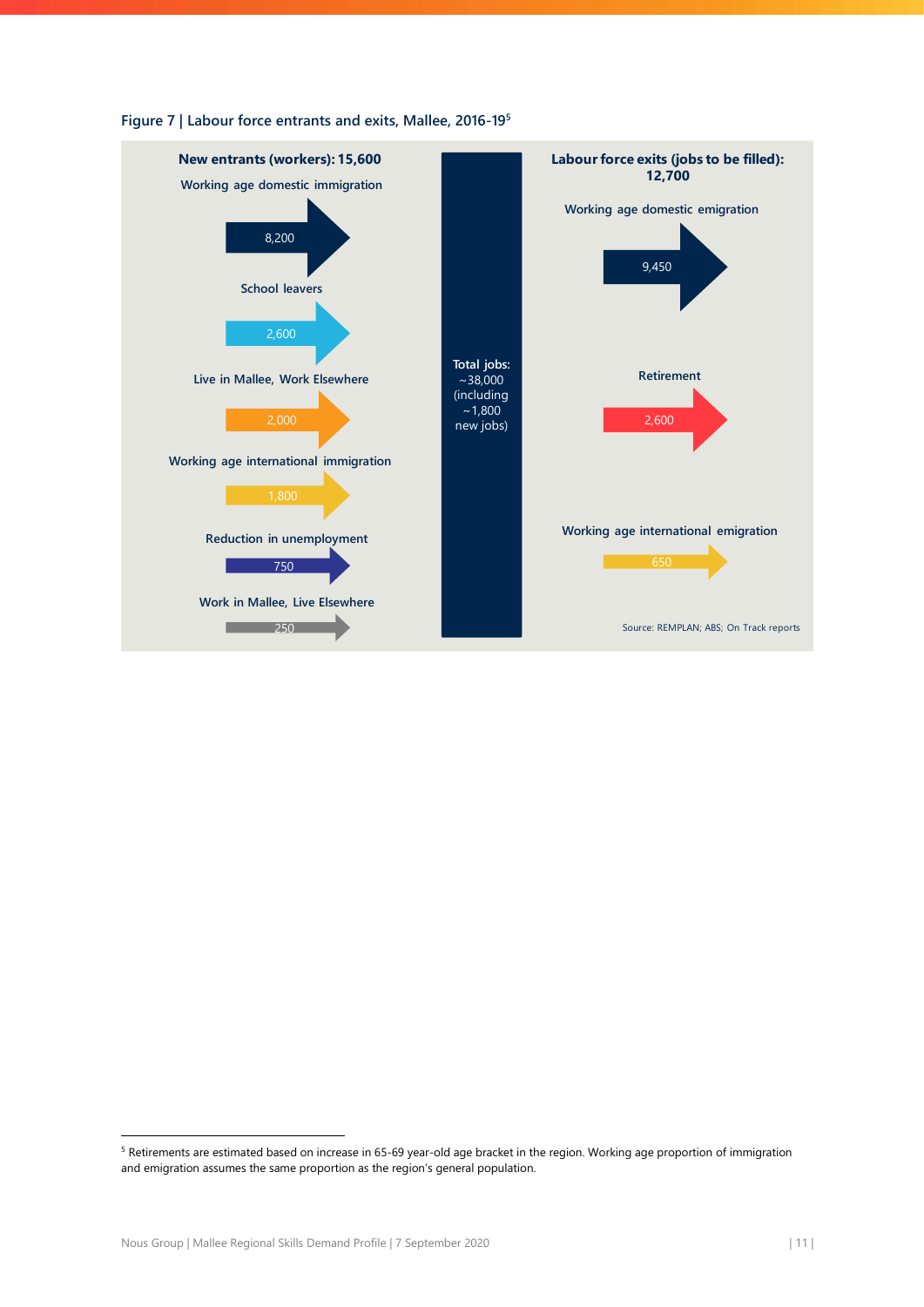

#### <span id="page-11-0"></span>**Figure 7 | Labour force entrants and exits, Mallee, 2016-19<sup>5</sup>**

<sup>5</sup> Retirements are estimated based on increase in 65-69 year-old age bracket in the region. Working age proportion of immigration and emigration assumes the same proportion as the region's general population.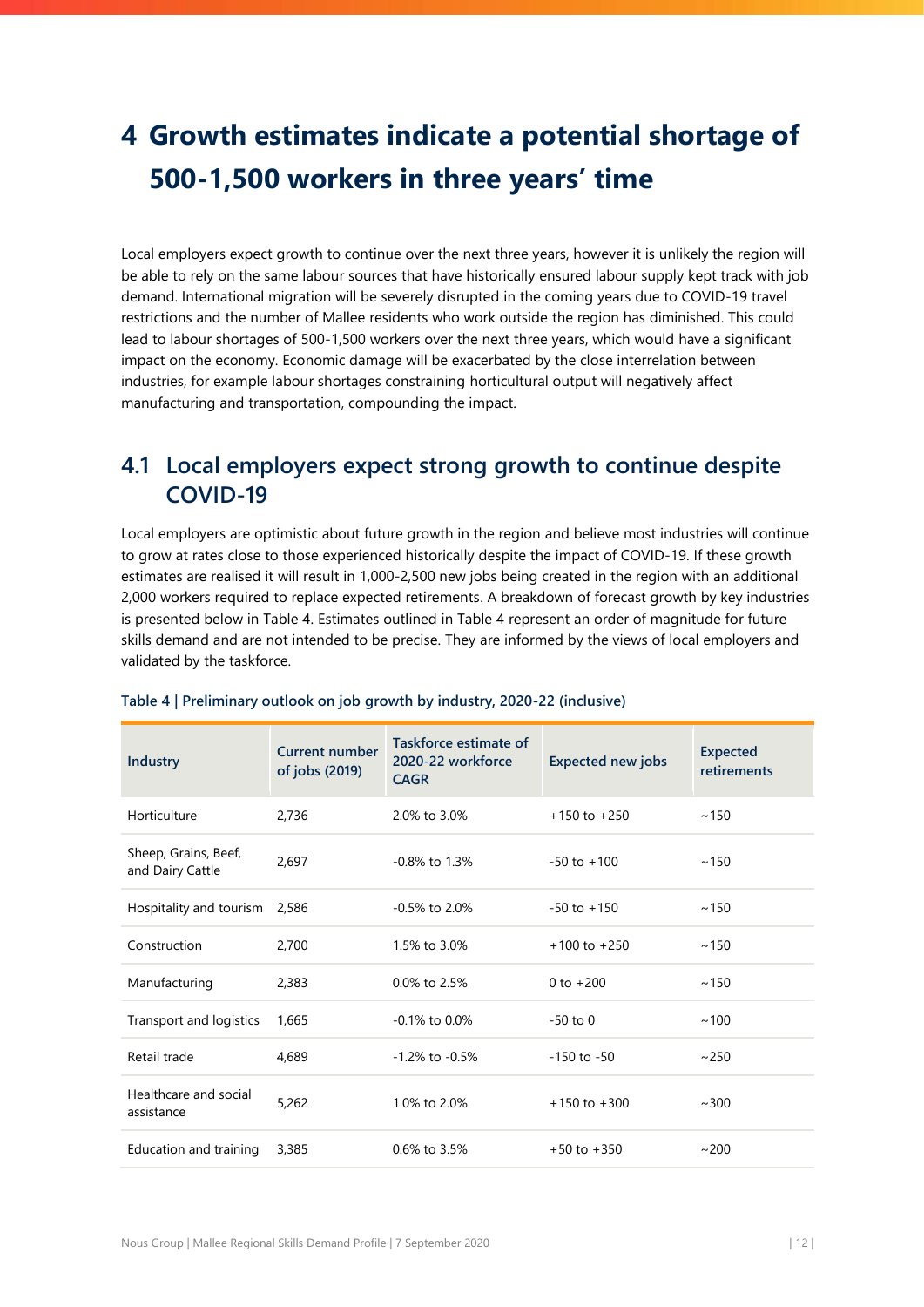# <span id="page-12-0"></span>**4 Growth estimates indicate a potential shortage of 500-1,500 workers in three years' time**

Local employers expect growth to continue over the next three years, however it is unlikely the region will be able to rely on the same labour sources that have historically ensured labour supply kept track with job demand. International migration will be severely disrupted in the coming years due to COVID-19 travel restrictions and the number of Mallee residents who work outside the region has diminished. This could lead to labour shortages of 500-1,500 workers over the next three years, which would have a significant impact on the economy. Economic damage will be exacerbated by the close interrelation between industries, for example labour shortages constraining horticultural output will negatively affect manufacturing and transportation, compounding the impact.

# <span id="page-12-1"></span>**4.1 Local employers expect strong growth to continue despite COVID-19**

Local employers are optimistic about future growth in the region and believe most industries will continue to grow at rates close to those experienced historically despite the impact of COVID-19. If these growth estimates are realised it will result in 1,000-2,500 new jobs being created in the region with an additional 2,000 workers required to replace expected retirements. A breakdown of forecast growth by key industries is presented below i[n Table 4.](#page-12-2) Estimates outlined i[n Table 4](#page-12-2) represent an order of magnitude for future skills demand and are not intended to be precise. They are informed by the views of local employers and validated by the taskforce.

| <b>Industry</b>                          | <b>Current number</b><br>of jobs (2019) | Taskforce estimate of<br>2020-22 workforce<br><b>CAGR</b> | <b>Expected new jobs</b> | <b>Expected</b><br>retirements |
|------------------------------------------|-----------------------------------------|-----------------------------------------------------------|--------------------------|--------------------------------|
| Horticulture                             | 2,736                                   | 2.0% to 3.0%                                              | $+150$ to $+250$         | ~150                           |
| Sheep, Grains, Beef,<br>and Dairy Cattle | 2,697                                   | $-0.8\%$ to 1.3%                                          | $-50$ to $+100$          | ~150                           |
| Hospitality and tourism                  | 2.586                                   | $-0.5\%$ to 2.0%                                          | $-50$ to $+150$          | ~150                           |
| Construction                             | 2,700                                   | 1.5% to 3.0%                                              | $+100$ to $+250$         | ~150                           |
| Manufacturing                            | 2,383                                   | 0.0% to 2.5%                                              | 0 to $+200$              | ~150                           |
| Transport and logistics                  | 1,665                                   | $-0.1\%$ to 0.0%                                          | $-50$ to $0$             | ~100                           |
| Retail trade                             | 4,689                                   | $-1.2\%$ to $-0.5\%$                                      | $-150$ to $-50$          | ~250                           |
| Healthcare and social<br>assistance      | 5,262                                   | 1.0% to 2.0%                                              | $+150$ to $+300$         | ~100                           |
| Education and training                   | 3,385                                   | $0.6\%$ to 3.5%                                           | $+50$ to $+350$          | ~200                           |

#### <span id="page-12-2"></span>**Table 4 | Preliminary outlook on job growth by industry, 2020-22 (inclusive)**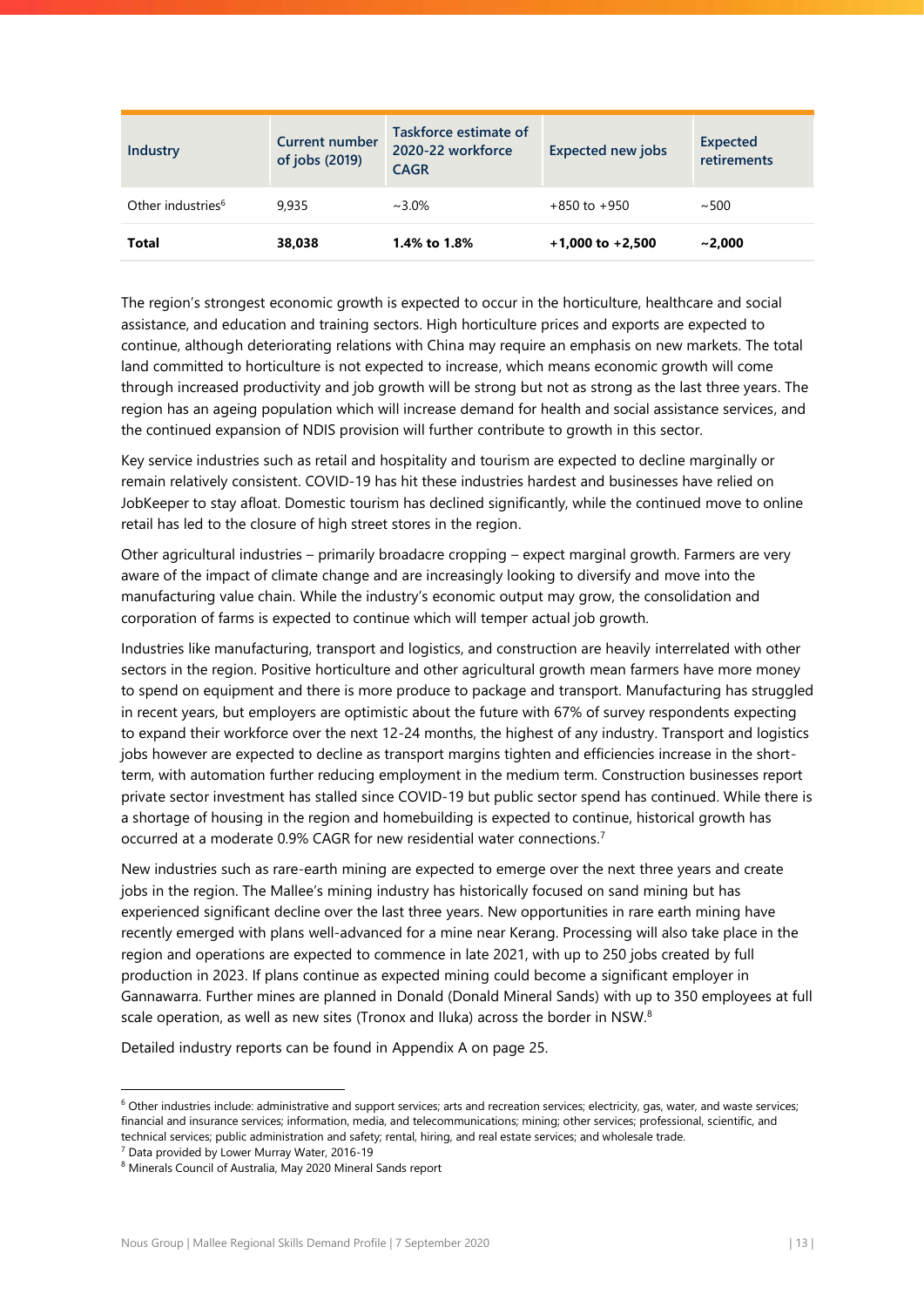| Industry                      | <b>Current number</b><br>of jobs (2019) | Taskforce estimate of<br>2020-22 workforce<br><b>CAGR</b> | <b>Expected new jobs</b> | <b>Expected</b><br>retirements |
|-------------------------------|-----------------------------------------|-----------------------------------------------------------|--------------------------|--------------------------------|
| Other industries <sup>6</sup> | 9.935                                   | $~1.0\%$                                                  | $+850$ to $+950$         | ~100                           |
| Total                         | 38.038                                  | 1.4% to 1.8%                                              | $+1,000$ to $+2,500$     | ~2.000                         |

The region's strongest economic growth is expected to occur in the horticulture, healthcare and social assistance, and education and training sectors. High horticulture prices and exports are expected to continue, although deteriorating relations with China may require an emphasis on new markets. The total land committed to horticulture is not expected to increase, which means economic growth will come through increased productivity and job growth will be strong but not as strong as the last three years. The region has an ageing population which will increase demand for health and social assistance services, and the continued expansion of NDIS provision will further contribute to growth in this sector.

Key service industries such as retail and hospitality and tourism are expected to decline marginally or remain relatively consistent. COVID-19 has hit these industries hardest and businesses have relied on JobKeeper to stay afloat. Domestic tourism has declined significantly, while the continued move to online retail has led to the closure of high street stores in the region.

Other agricultural industries – primarily broadacre cropping – expect marginal growth. Farmers are very aware of the impact of climate change and are increasingly looking to diversify and move into the manufacturing value chain. While the industry's economic output may grow, the consolidation and corporation of farms is expected to continue which will temper actual job growth.

Industries like manufacturing, transport and logistics, and construction are heavily interrelated with other sectors in the region. Positive horticulture and other agricultural growth mean farmers have more money to spend on equipment and there is more produce to package and transport. Manufacturing has struggled in recent years, but employers are optimistic about the future with 67% of survey respondents expecting to expand their workforce over the next 12-24 months, the highest of any industry. Transport and logistics jobs however are expected to decline as transport margins tighten and efficiencies increase in the shortterm, with automation further reducing employment in the medium term. Construction businesses report private sector investment has stalled since COVID-19 but public sector spend has continued. While there is a shortage of housing in the region and homebuilding is expected to continue, historical growth has occurred at a moderate 0.9% CAGR for new residential water connections.<sup>7</sup>

New industries such as rare-earth mining are expected to emerge over the next three years and create jobs in the region. The Mallee's mining industry has historically focused on sand mining but has experienced significant decline over the last three years. New opportunities in rare earth mining have recently emerged with plans well-advanced for a mine near Kerang. Processing will also take place in the region and operations are expected to commence in late 2021, with up to 250 jobs created by full production in 2023. If plans continue as expected mining could become a significant employer in Gannawarra. Further mines are planned in Donald (Donald Mineral Sands) with up to 350 employees at full scale operation, as well as new sites (Tronox and Iluka) across the border in NSW.<sup>8</sup>

Detailed industry reports can be found in [Appendix A](#page-25-0) on page [25.](#page-25-0)

 $6$  Other industries include: administrative and support services; arts and recreation services; electricity, gas, water, and waste services; financial and insurance services; information, media, and telecommunications; mining; other services; professional, scientific, and technical services; public administration and safety; rental, hiring, and real estate services; and wholesale trade.

 $7$  Data provided by Lower Murray Water, 2016-19

<sup>8</sup> Minerals Council of Australia, May 2020 Mineral Sands report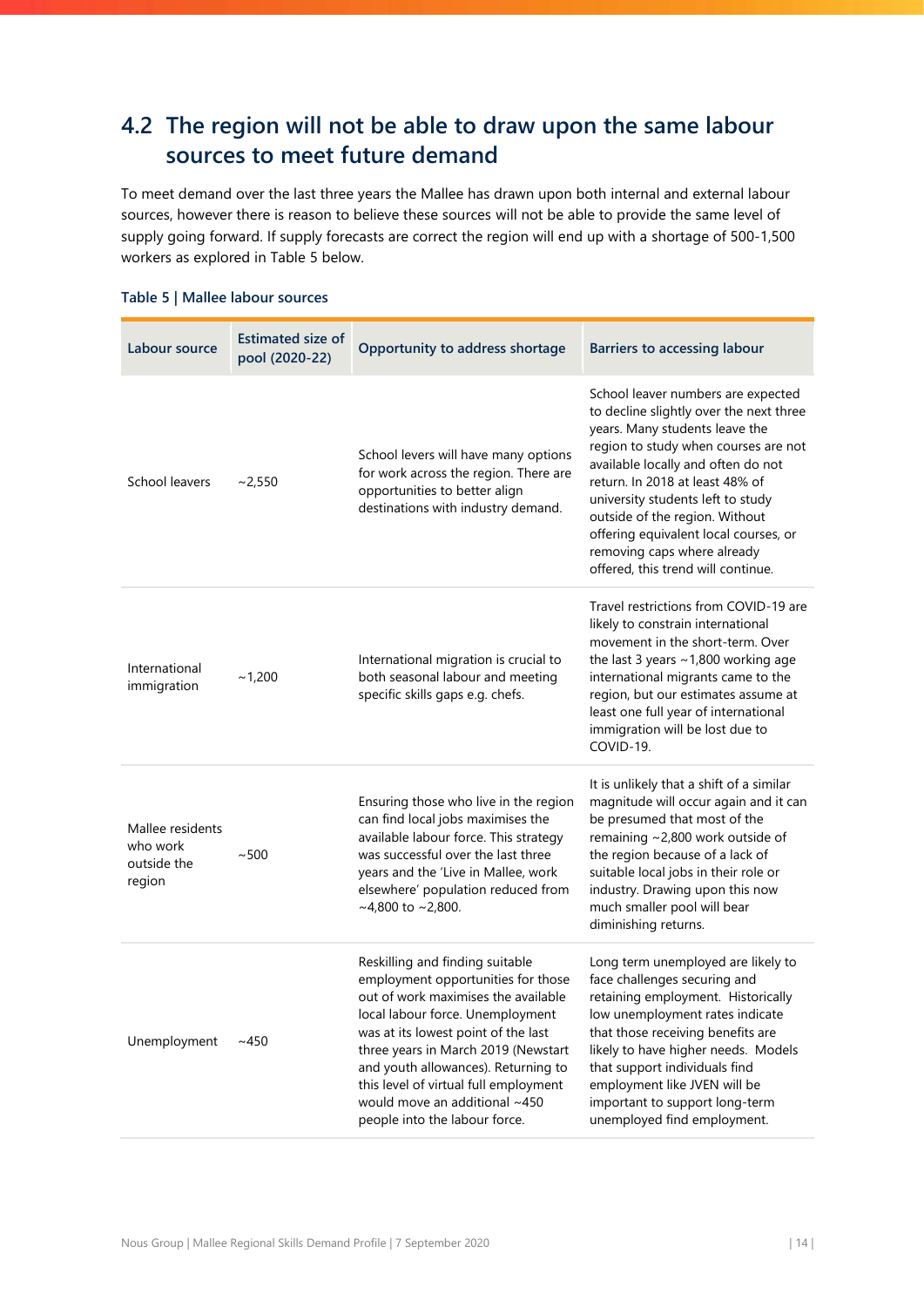# <span id="page-14-0"></span>**4.2 The region will not be able to draw upon the same labour sources to meet future demand**

To meet demand over the last three years the Mallee has drawn upon both internal and external labour sources, however there is reason to believe these sources will not be able to provide the same level of supply going forward. If supply forecasts are correct the region will end up with a shortage of 500-1,500 workers as explored in [Table 5](#page-14-1) below.

| Labour source                                         | <b>Estimated size of</b><br>pool (2020-22) | Opportunity to address shortage                                                                                                                                                                                                                                                                                                                                                  | <b>Barriers to accessing labour</b>                                                                                                                                                                                                                                                                                                                                                                                   |
|-------------------------------------------------------|--------------------------------------------|----------------------------------------------------------------------------------------------------------------------------------------------------------------------------------------------------------------------------------------------------------------------------------------------------------------------------------------------------------------------------------|-----------------------------------------------------------------------------------------------------------------------------------------------------------------------------------------------------------------------------------------------------------------------------------------------------------------------------------------------------------------------------------------------------------------------|
| School leavers                                        | ~2,550                                     | School levers will have many options<br>for work across the region. There are<br>opportunities to better align<br>destinations with industry demand.                                                                                                                                                                                                                             | School leaver numbers are expected<br>to decline slightly over the next three<br>years. Many students leave the<br>region to study when courses are not<br>available locally and often do not<br>return. In 2018 at least 48% of<br>university students left to study<br>outside of the region. Without<br>offering equivalent local courses, or<br>removing caps where already<br>offered, this trend will continue. |
| International<br>immigration                          | ~1,200                                     | International migration is crucial to<br>both seasonal labour and meeting<br>specific skills gaps e.g. chefs.                                                                                                                                                                                                                                                                    | Travel restrictions from COVID-19 are<br>likely to constrain international<br>movement in the short-term. Over<br>the last 3 years $\sim$ 1,800 working age<br>international migrants came to the<br>region, but our estimates assume at<br>least one full year of international<br>immigration will be lost due to<br>COVID-19.                                                                                      |
| Mallee residents<br>who work<br>outside the<br>region | ~500                                       | Ensuring those who live in the region<br>can find local jobs maximises the<br>available labour force. This strategy<br>was successful over the last three<br>years and the 'Live in Mallee, work<br>elsewhere' population reduced from<br>$~14,800$ to $~2,800$ .                                                                                                                | It is unlikely that a shift of a similar<br>magnitude will occur again and it can<br>be presumed that most of the<br>remaining ~2,800 work outside of<br>the region because of a lack of<br>suitable local jobs in their role or<br>industry. Drawing upon this now<br>much smaller pool will bear<br>diminishing returns.                                                                                            |
| Unemployment                                          | ~1450                                      | Reskilling and finding suitable<br>employment opportunities for those<br>out of work maximises the available<br>local labour force. Unemployment<br>was at its lowest point of the last<br>three years in March 2019 (Newstart<br>and youth allowances). Returning to<br>this level of virtual full employment<br>would move an additional ~450<br>people into the labour force. | Long term unemployed are likely to<br>face challenges securing and<br>retaining employment. Historically<br>low unemployment rates indicate<br>that those receiving benefits are<br>likely to have higher needs. Models<br>that support individuals find<br>employment like JVEN will be<br>important to support long-term<br>unemployed find employment.                                                             |

## <span id="page-14-1"></span>**Table 5 | Mallee labour sources**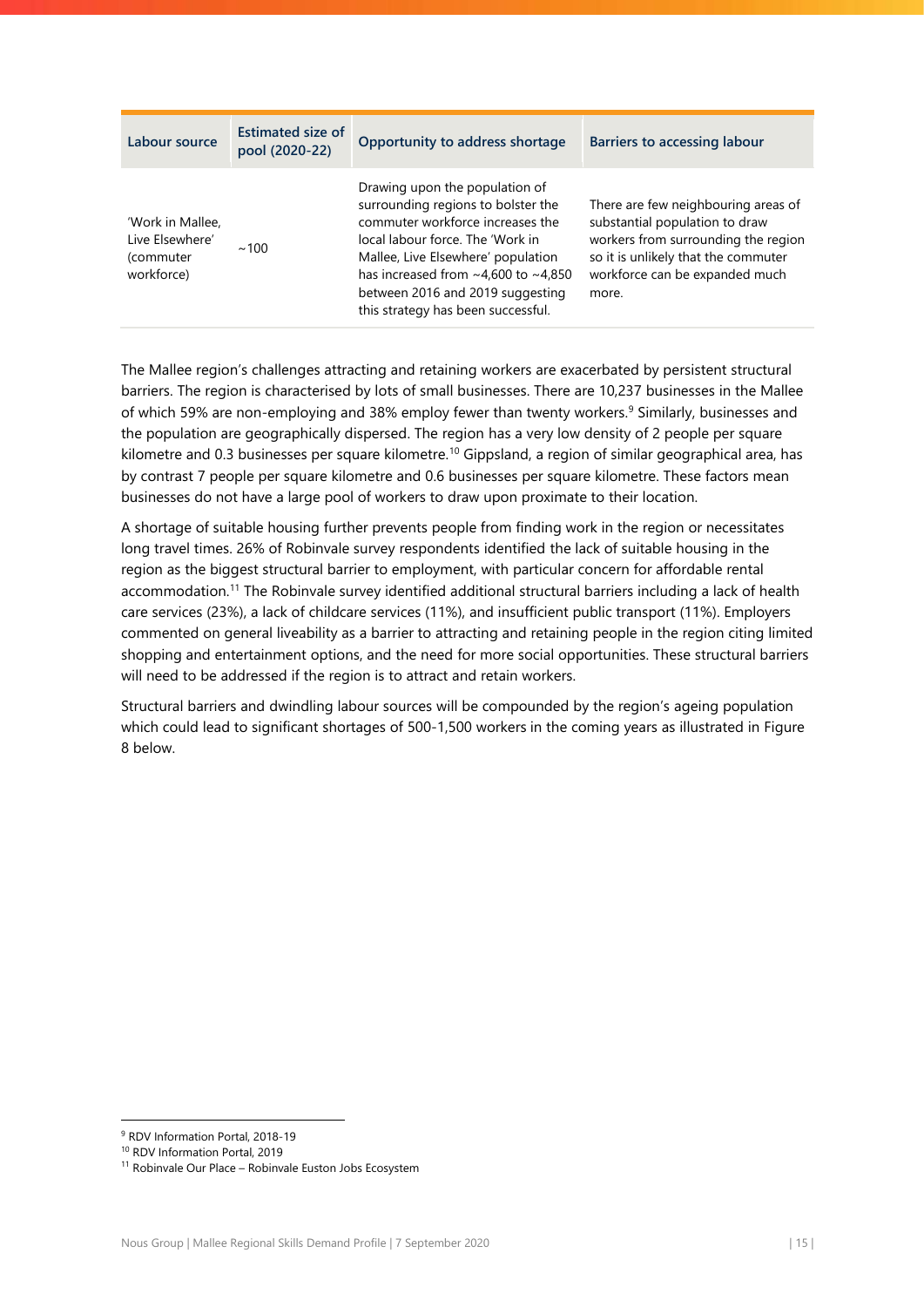| Labour source                                                  | <b>Estimated size of</b><br>pool (2020-22) | Opportunity to address shortage                                                                                                                                                                                                                                                                                 | <b>Barriers to accessing labour</b>                                                                                                                                                            |
|----------------------------------------------------------------|--------------------------------------------|-----------------------------------------------------------------------------------------------------------------------------------------------------------------------------------------------------------------------------------------------------------------------------------------------------------------|------------------------------------------------------------------------------------------------------------------------------------------------------------------------------------------------|
| 'Work in Mallee,<br>Live Elsewhere'<br>(commuter<br>workforce) | $\sim$ 100                                 | Drawing upon the population of<br>surrounding regions to bolster the<br>commuter workforce increases the<br>local labour force. The 'Work in<br>Mallee, Live Elsewhere' population<br>has increased from $\sim$ 4,600 to $\sim$ 4,850<br>between 2016 and 2019 suggesting<br>this strategy has been successful. | There are few neighbouring areas of<br>substantial population to draw<br>workers from surrounding the region<br>so it is unlikely that the commuter<br>workforce can be expanded much<br>more. |

The Mallee region's challenges attracting and retaining workers are exacerbated by persistent structural barriers. The region is characterised by lots of small businesses. There are 10,237 businesses in the Mallee of which 59% are non-employing and 38% employ fewer than twenty workers.<sup>9</sup> Similarly, businesses and the population are geographically dispersed. The region has a very low density of 2 people per square kilometre and 0.3 businesses per square kilometre.<sup>10</sup> Gippsland, a region of similar geographical area, has by contrast 7 people per square kilometre and 0.6 businesses per square kilometre. These factors mean businesses do not have a large pool of workers to draw upon proximate to their location.

A shortage of suitable housing further prevents people from finding work in the region or necessitates long travel times. 26% of Robinvale survey respondents identified the lack of suitable housing in the region as the biggest structural barrier to employment, with particular concern for affordable rental accommodation.<sup>11</sup> The Robinvale survey identified additional structural barriers including a lack of health care services (23%), a lack of childcare services (11%), and insufficient public transport (11%). Employers commented on general liveability as a barrier to attracting and retaining people in the region citing limited shopping and entertainment options, and the need for more social opportunities. These structural barriers will need to be addressed if the region is to attract and retain workers.

Structural barriers and dwindling labour sources will be compounded by the region's ageing population which could lead to significant shortages of 500-1,500 workers in the coming years as illustrated in Figure [8](#page-16-1) below.

<sup>9</sup> RDV Information Portal, 2018-19

<sup>10</sup> RDV Information Portal, 2019

<sup>&</sup>lt;sup>11</sup> Robinvale Our Place – Robinvale Euston Jobs Ecosystem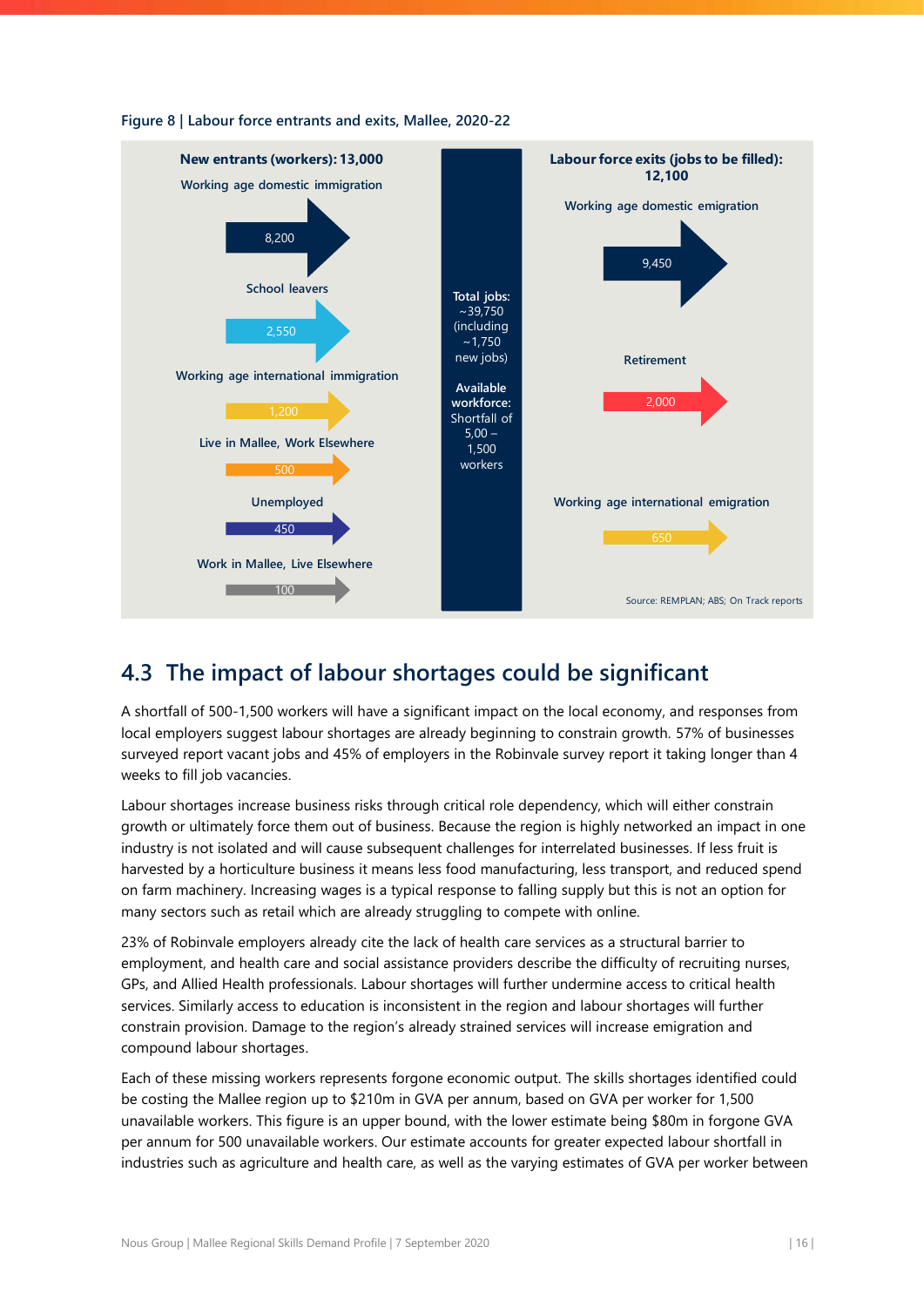

### <span id="page-16-1"></span>**Figure 8 | Labour force entrants and exits, Mallee, 2020-22**

# <span id="page-16-0"></span>**4.3 The impact of labour shortages could be significant**

A shortfall of 500-1,500 workers will have a significant impact on the local economy, and responses from local employers suggest labour shortages are already beginning to constrain growth. 57% of businesses surveyed report vacant jobs and 45% of employers in the Robinvale survey report it taking longer than 4 weeks to fill job vacancies.

Labour shortages increase business risks through critical role dependency, which will either constrain growth or ultimately force them out of business. Because the region is highly networked an impact in one industry is not isolated and will cause subsequent challenges for interrelated businesses. If less fruit is harvested by a horticulture business it means less food manufacturing, less transport, and reduced spend on farm machinery. Increasing wages is a typical response to falling supply but this is not an option for many sectors such as retail which are already struggling to compete with online.

23% of Robinvale employers already cite the lack of health care services as a structural barrier to employment, and health care and social assistance providers describe the difficulty of recruiting nurses, GPs, and Allied Health professionals. Labour shortages will further undermine access to critical health services. Similarly access to education is inconsistent in the region and labour shortages will further constrain provision. Damage to the region's already strained services will increase emigration and compound labour shortages.

Each of these missing workers represents forgone economic output. The skills shortages identified could be costing the Mallee region up to \$210m in GVA per annum, based on GVA per worker for 1,500 unavailable workers. This figure is an upper bound, with the lower estimate being \$80m in forgone GVA per annum for 500 unavailable workers. Our estimate accounts for greater expected labour shortfall in industries such as agriculture and health care, as well as the varying estimates of GVA per worker between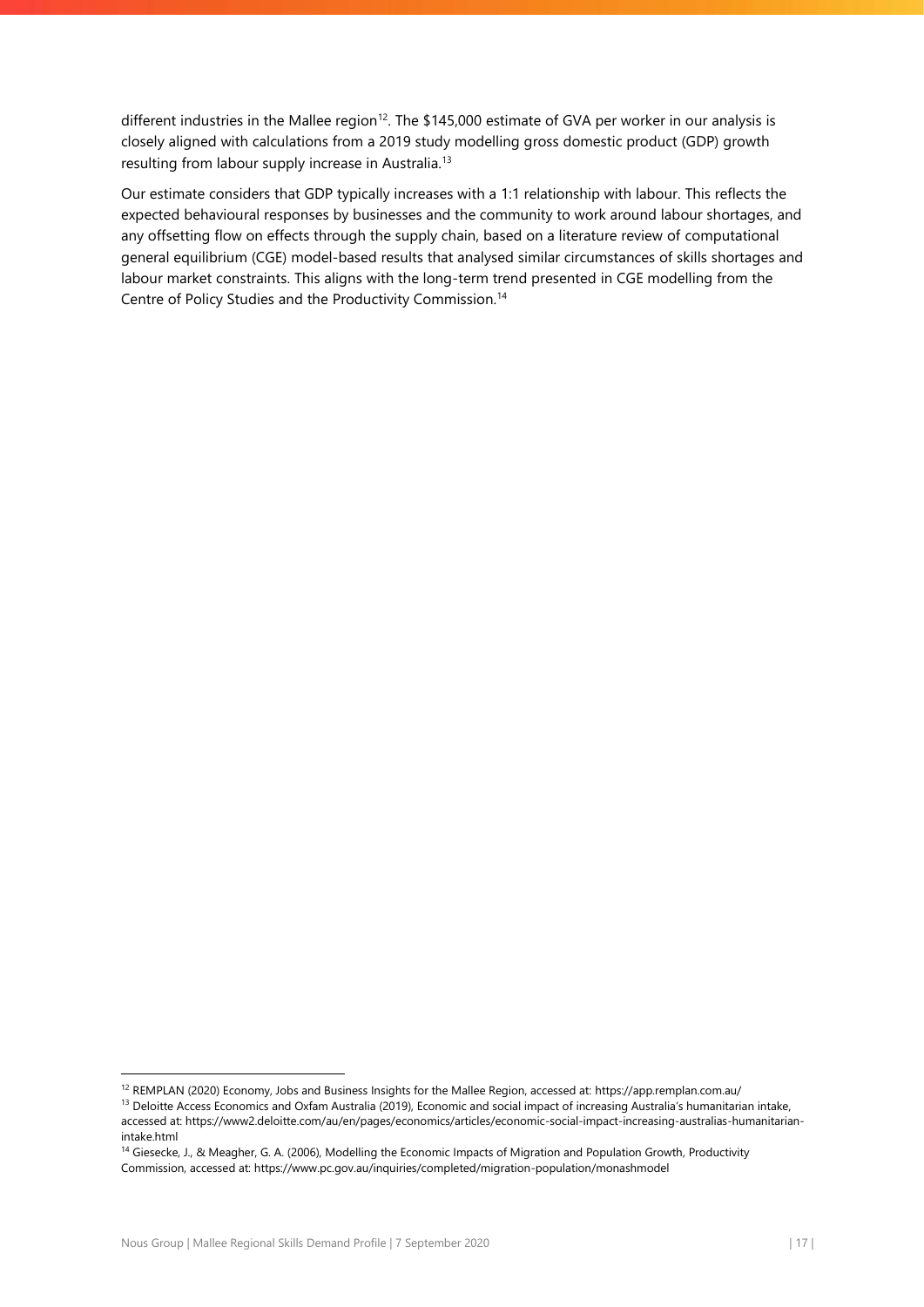different industries in the Mallee region<sup>12</sup>. The \$145,000 estimate of GVA per worker in our analysis is closely aligned with calculations from a 2019 study modelling gross domestic product (GDP) growth resulting from labour supply increase in Australia.<sup>13</sup>

Our estimate considers that GDP typically increases with a 1:1 relationship with labour. This reflects the expected behavioural responses by businesses and the community to work around labour shortages, and any offsetting flow on effects through the supply chain, based on a literature review of computational general equilibrium (CGE) model-based results that analysed similar circumstances of skills shortages and labour market constraints. This aligns with the long-term trend presented in CGE modelling from the Centre of Policy Studies and the Productivity Commission.<sup>14</sup>

 $\overline{a}$ 

<sup>12</sup> REMPLAN (2020) Economy, Jobs and Business Insights for the Mallee Region, accessed at: https://app.remplan.com.au/

<sup>&</sup>lt;sup>13</sup> Deloitte Access Economics and Oxfam Australia (2019), Economic and social impact of increasing Australia's humanitarian intake, accessed at: https://www2.deloitte.com/au/en/pages/economics/articles/economic-social-impact-increasing-australias-humanitarianintake.html

<sup>&</sup>lt;sup>14</sup> Giesecke, J., & Meagher, G. A. (2006), Modelling the Economic Impacts of Migration and Population Growth, Productivity Commission, accessed at: https://www.pc.gov.au/inquiries/completed/migration-population/monashmodel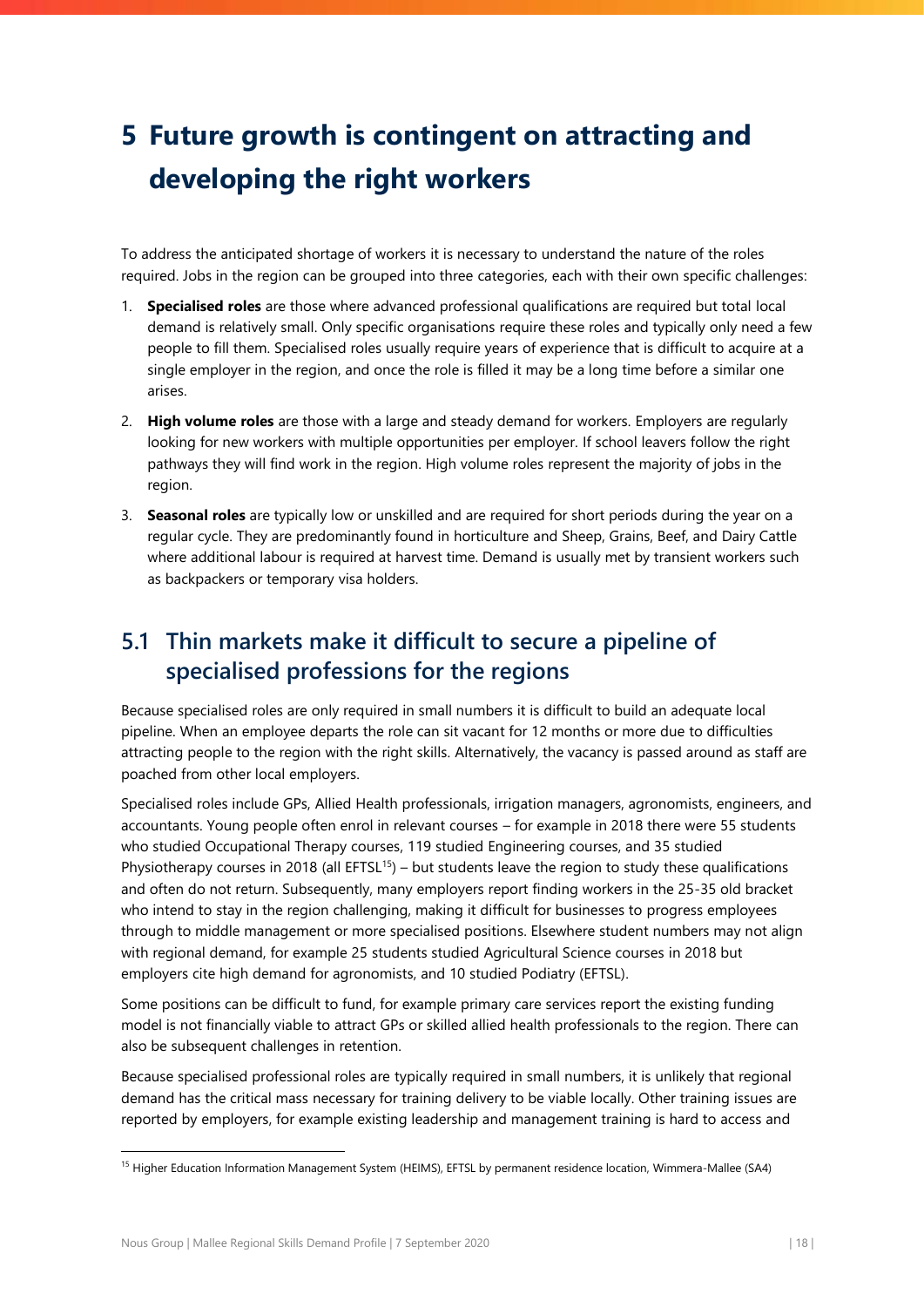# <span id="page-18-0"></span>**5 Future growth is contingent on attracting and developing the right workers**

To address the anticipated shortage of workers it is necessary to understand the nature of the roles required. Jobs in the region can be grouped into three categories, each with their own specific challenges:

- 1. **Specialised roles** are those where advanced professional qualifications are required but total local demand is relatively small. Only specific organisations require these roles and typically only need a few people to fill them. Specialised roles usually require years of experience that is difficult to acquire at a single employer in the region, and once the role is filled it may be a long time before a similar one arises.
- 2. **High volume roles** are those with a large and steady demand for workers. Employers are regularly looking for new workers with multiple opportunities per employer. If school leavers follow the right pathways they will find work in the region. High volume roles represent the majority of jobs in the region.
- 3. **Seasonal roles** are typically low or unskilled and are required for short periods during the year on a regular cycle. They are predominantly found in horticulture and Sheep, Grains, Beef, and Dairy Cattle where additional labour is required at harvest time. Demand is usually met by transient workers such as backpackers or temporary visa holders.

# <span id="page-18-1"></span>**5.1 Thin markets make it difficult to secure a pipeline of specialised professions for the regions**

Because specialised roles are only required in small numbers it is difficult to build an adequate local pipeline. When an employee departs the role can sit vacant for 12 months or more due to difficulties attracting people to the region with the right skills. Alternatively, the vacancy is passed around as staff are poached from other local employers.

Specialised roles include GPs, Allied Health professionals, irrigation managers, agronomists, engineers, and accountants. Young people often enrol in relevant courses – for example in 2018 there were 55 students who studied Occupational Therapy courses, 119 studied Engineering courses, and 35 studied Physiotherapy courses in 2018 (all  $EFTSL^{15}$ ) – but students leave the region to study these qualifications and often do not return. Subsequently, many employers report finding workers in the 25-35 old bracket who intend to stay in the region challenging, making it difficult for businesses to progress employees through to middle management or more specialised positions. Elsewhere student numbers may not align with regional demand, for example 25 students studied Agricultural Science courses in 2018 but employers cite high demand for agronomists, and 10 studied Podiatry (EFTSL).

Some positions can be difficult to fund, for example primary care services report the existing funding model is not financially viable to attract GPs or skilled allied health professionals to the region. There can also be subsequent challenges in retention.

Because specialised professional roles are typically required in small numbers, it is unlikely that regional demand has the critical mass necessary for training delivery to be viable locally. Other training issues are reported by employers, for example existing leadership and management training is hard to access and

 $\overline{a}$ 

<sup>&</sup>lt;sup>15</sup> Higher Education Information Management System (HEIMS), EFTSL by permanent residence location, Wimmera-Mallee (SA4)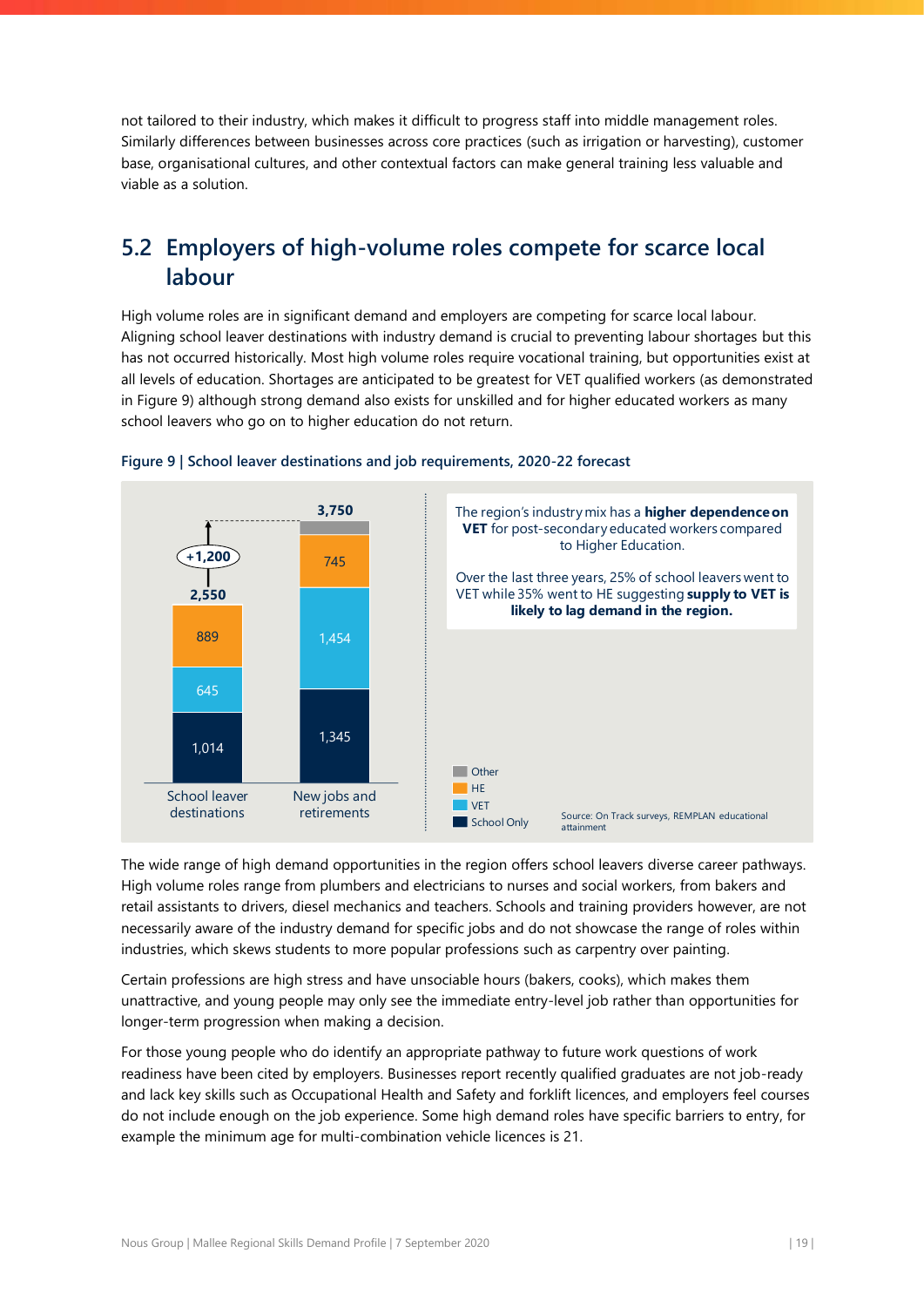not tailored to their industry, which makes it difficult to progress staff into middle management roles. Similarly differences between businesses across core practices (such as irrigation or harvesting), customer base, organisational cultures, and other contextual factors can make general training less valuable and viable as a solution.

# <span id="page-19-0"></span>**5.2 Employers of high-volume roles compete for scarce local labour**

High volume roles are in significant demand and employers are competing for scarce local labour. Aligning school leaver destinations with industry demand is crucial to preventing labour shortages but this has not occurred historically. Most high volume roles require vocational training, but opportunities exist at all levels of education. Shortages are anticipated to be greatest for VET qualified workers (as demonstrated in [Figure 9\)](#page-19-1) although strong demand also exists for unskilled and for higher educated workers as many school leavers who go on to higher education do not return.



<span id="page-19-1"></span>![](_page_19_Figure_4.jpeg)

The wide range of high demand opportunities in the region offers school leavers diverse career pathways. High volume roles range from plumbers and electricians to nurses and social workers, from bakers and retail assistants to drivers, diesel mechanics and teachers. Schools and training providers however, are not necessarily aware of the industry demand for specific jobs and do not showcase the range of roles within industries, which skews students to more popular professions such as carpentry over painting.

Certain professions are high stress and have unsociable hours (bakers, cooks), which makes them unattractive, and young people may only see the immediate entry-level job rather than opportunities for longer-term progression when making a decision.

For those young people who do identify an appropriate pathway to future work questions of work readiness have been cited by employers. Businesses report recently qualified graduates are not job-ready and lack key skills such as Occupational Health and Safety and forklift licences, and employers feel courses do not include enough on the job experience. Some high demand roles have specific barriers to entry, for example the minimum age for multi-combination vehicle licences is 21.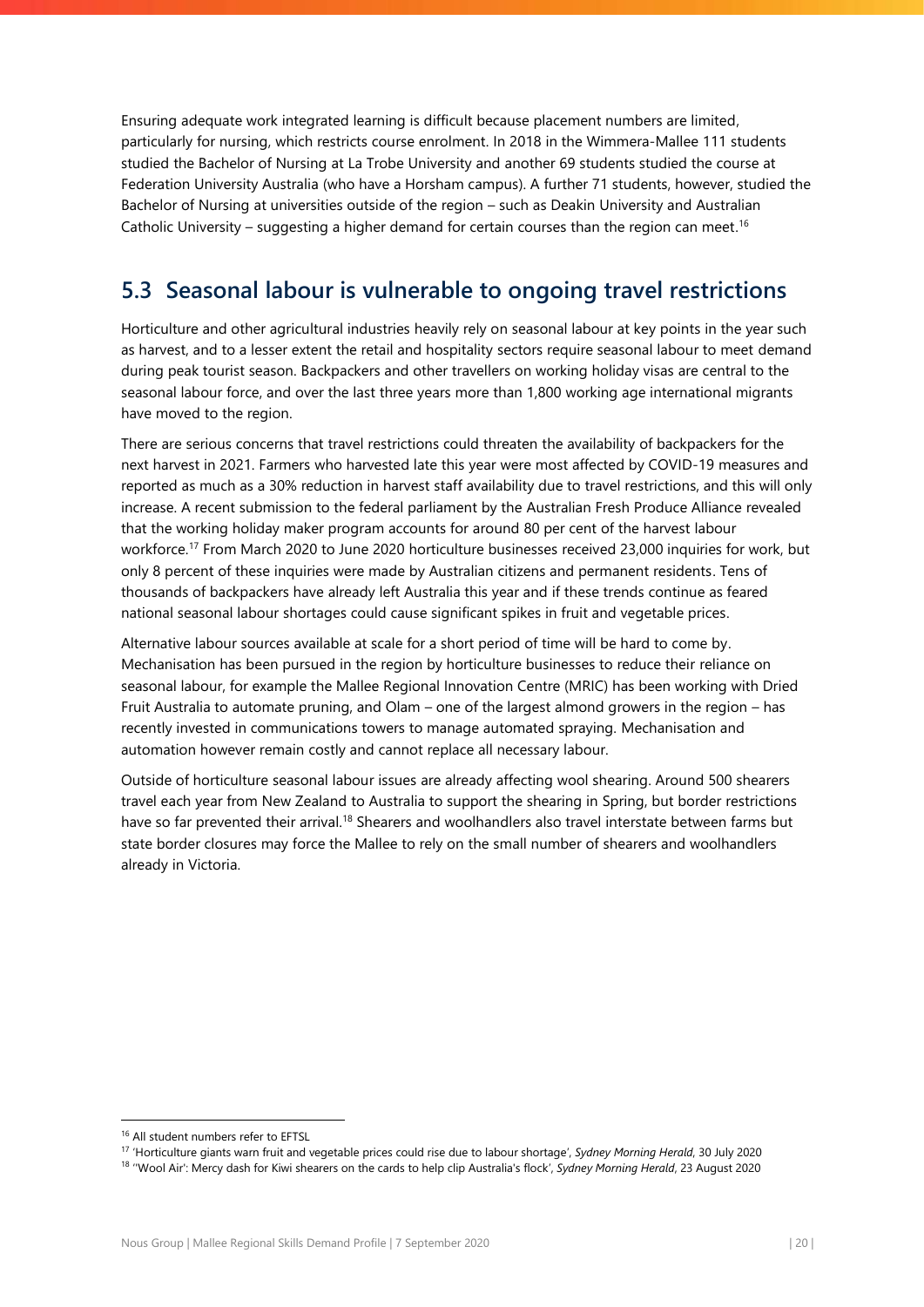Ensuring adequate work integrated learning is difficult because placement numbers are limited, particularly for nursing, which restricts course enrolment. In 2018 in the Wimmera-Mallee 111 students studied the Bachelor of Nursing at La Trobe University and another 69 students studied the course at Federation University Australia (who have a Horsham campus). A further 71 students, however, studied the Bachelor of Nursing at universities outside of the region – such as Deakin University and Australian Catholic University – suggesting a higher demand for certain courses than the region can meet.<sup>16</sup>

# <span id="page-20-0"></span>**5.3 Seasonal labour is vulnerable to ongoing travel restrictions**

Horticulture and other agricultural industries heavily rely on seasonal labour at key points in the year such as harvest, and to a lesser extent the retail and hospitality sectors require seasonal labour to meet demand during peak tourist season. Backpackers and other travellers on working holiday visas are central to the seasonal labour force, and over the last three years more than 1,800 working age international migrants have moved to the region.

There are serious concerns that travel restrictions could threaten the availability of backpackers for the next harvest in 2021. Farmers who harvested late this year were most affected by COVID-19 measures and reported as much as a 30% reduction in harvest staff availability due to travel restrictions, and this will only increase. A recent submission to the federal parliament by the Australian Fresh Produce Alliance revealed that the working holiday maker program accounts for around 80 per cent of the harvest labour workforce.<sup>17</sup> From March 2020 to June 2020 horticulture businesses received 23,000 inquiries for work, but only 8 percent of these inquiries were made by Australian citizens and permanent residents. Tens of thousands of backpackers have already left Australia this year and if these trends continue as feared national seasonal labour shortages could cause significant spikes in fruit and vegetable prices.

Alternative labour sources available at scale for a short period of time will be hard to come by. Mechanisation has been pursued in the region by horticulture businesses to reduce their reliance on seasonal labour, for example the Mallee Regional Innovation Centre (MRIC) has been working with Dried Fruit Australia to automate pruning, and Olam – one of the largest almond growers in the region – has recently invested in communications towers to manage automated spraying. Mechanisation and automation however remain costly and cannot replace all necessary labour.

Outside of horticulture seasonal labour issues are already affecting wool shearing. Around 500 shearers travel each year from New Zealand to Australia to support the shearing in Spring, but border restrictions have so far prevented their arrival.<sup>18</sup> Shearers and woolhandlers also travel interstate between farms but state border closures may force the Mallee to rely on the small number of shearers and woolhandlers already in Victoria.

<sup>&</sup>lt;sup>16</sup> All student numbers refer to EFTSL

<sup>17</sup> 'Horticulture giants warn fruit and vegetable prices could rise due to labour shortage', *Sydney Morning Herald*, 30 July 2020

<sup>&</sup>lt;sup>18</sup> "Wool Air': Mercy dash for Kiwi shearers on the cards to help clip Australia's flock', Sydney Morning Herald, 23 August 2020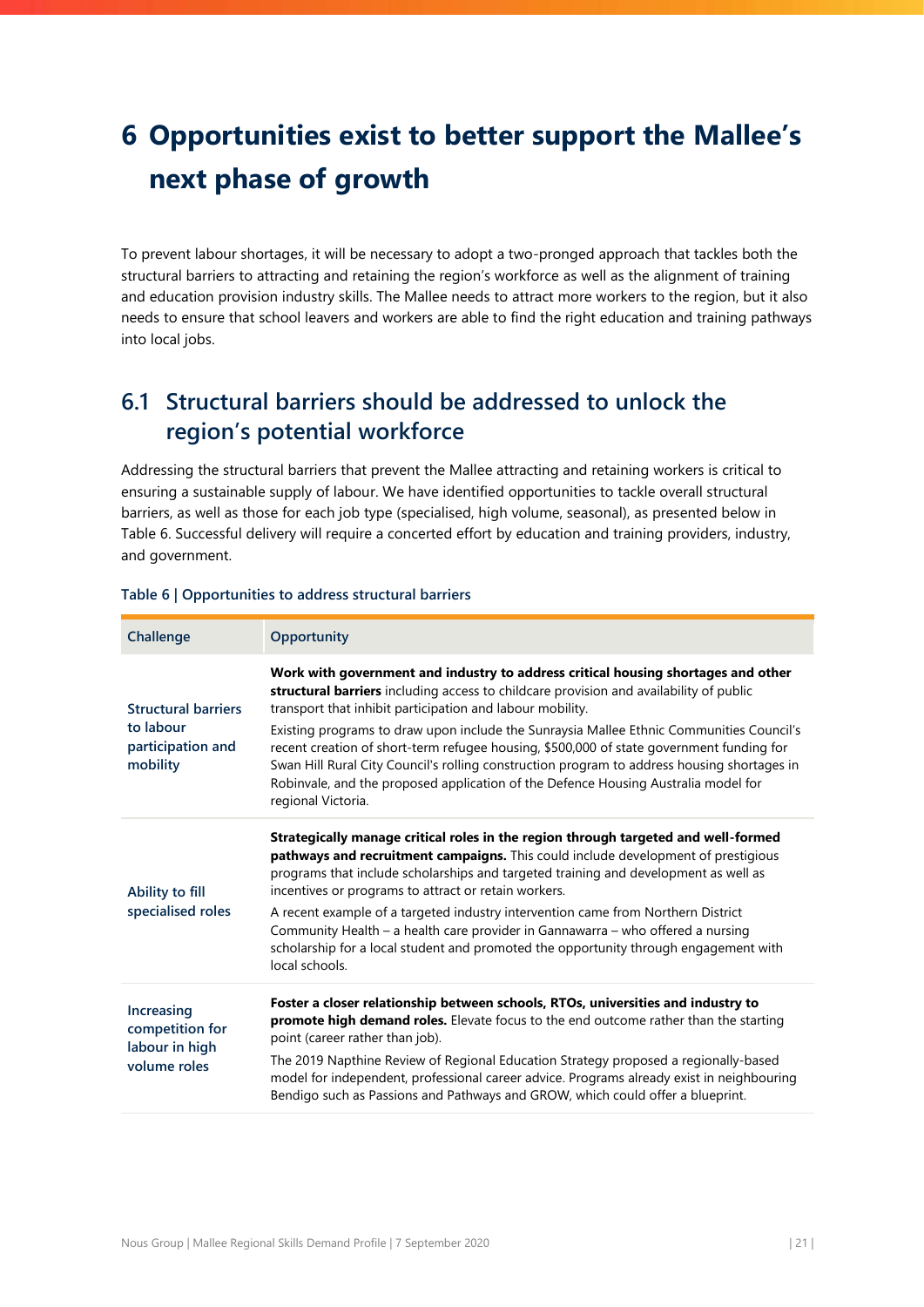# <span id="page-21-0"></span>**6 Opportunities exist to better support the Mallee's next phase of growth**

To prevent labour shortages, it will be necessary to adopt a two-pronged approach that tackles both the structural barriers to attracting and retaining the region's workforce as well as the alignment of training and education provision industry skills. The Mallee needs to attract more workers to the region, but it also needs to ensure that school leavers and workers are able to find the right education and training pathways into local jobs.

# <span id="page-21-1"></span>**6.1 Structural barriers should be addressed to unlock the region's potential workforce**

Addressing the structural barriers that prevent the Mallee attracting and retaining workers is critical to ensuring a sustainable supply of labour. We have identified opportunities to tackle overall structural barriers, as well as those for each job type (specialised, high volume, seasonal), as presented below in [Table 6.](#page-21-2) Successful delivery will require a concerted effort by education and training providers, industry, and government.

| Challenge                                                                | <b>Opportunity</b>                                                                                                                                                                                                                                                                                                                                                                                                                                                                                                                                                                                                                          |
|--------------------------------------------------------------------------|---------------------------------------------------------------------------------------------------------------------------------------------------------------------------------------------------------------------------------------------------------------------------------------------------------------------------------------------------------------------------------------------------------------------------------------------------------------------------------------------------------------------------------------------------------------------------------------------------------------------------------------------|
| <b>Structural barriers</b><br>to labour<br>participation and<br>mobility | Work with government and industry to address critical housing shortages and other<br>structural barriers including access to childcare provision and availability of public<br>transport that inhibit participation and labour mobility.<br>Existing programs to draw upon include the Sunraysia Mallee Ethnic Communities Council's<br>recent creation of short-term refugee housing, \$500,000 of state government funding for<br>Swan Hill Rural City Council's rolling construction program to address housing shortages in<br>Robinvale, and the proposed application of the Defence Housing Australia model for<br>regional Victoria. |
| Ability to fill<br>specialised roles                                     | Strategically manage critical roles in the region through targeted and well-formed<br>pathways and recruitment campaigns. This could include development of prestigious<br>programs that include scholarships and targeted training and development as well as<br>incentives or programs to attract or retain workers.<br>A recent example of a targeted industry intervention came from Northern District<br>Community Health - a health care provider in Gannawarra - who offered a nursing<br>scholarship for a local student and promoted the opportunity through engagement with<br>local schools.                                     |
| Increasing<br>competition for<br>labour in high<br>volume roles          | Foster a closer relationship between schools, RTOs, universities and industry to<br>promote high demand roles. Elevate focus to the end outcome rather than the starting<br>point (career rather than job).<br>The 2019 Napthine Review of Regional Education Strategy proposed a regionally-based<br>model for independent, professional career advice. Programs already exist in neighbouring<br>Bendigo such as Passions and Pathways and GROW, which could offer a blueprint.                                                                                                                                                           |

### <span id="page-21-2"></span>**Table 6 | Opportunities to address structural barriers**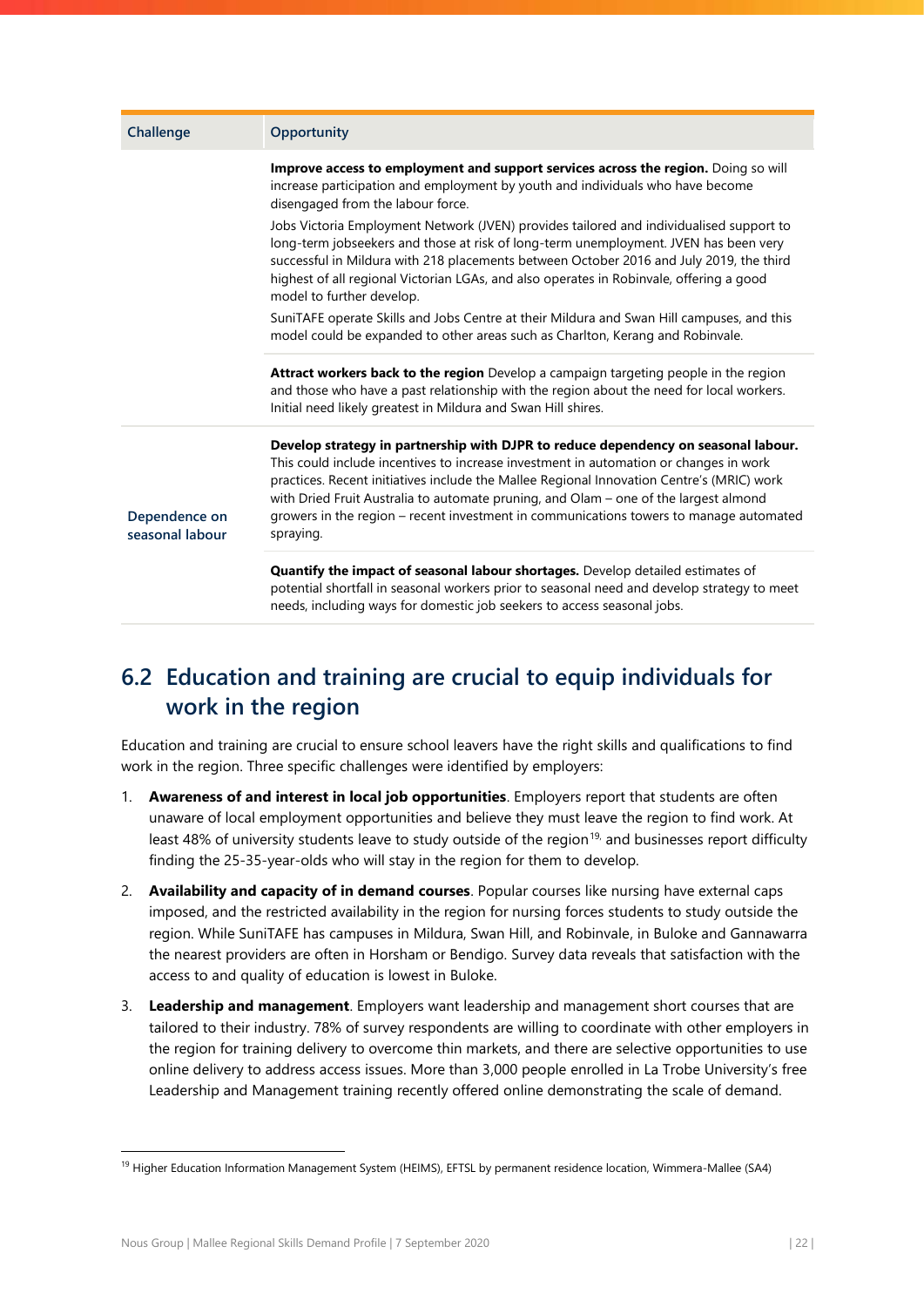| Challenge                        | <b>Opportunity</b>                                                                                                                                                                                                                                                                                                                                                                                                                                                      |
|----------------------------------|-------------------------------------------------------------------------------------------------------------------------------------------------------------------------------------------------------------------------------------------------------------------------------------------------------------------------------------------------------------------------------------------------------------------------------------------------------------------------|
|                                  | Improve access to employment and support services across the region. Doing so will<br>increase participation and employment by youth and individuals who have become<br>disengaged from the labour force.                                                                                                                                                                                                                                                               |
|                                  | Jobs Victoria Employment Network (JVEN) provides tailored and individualised support to<br>long-term jobseekers and those at risk of long-term unemployment. JVEN has been very<br>successful in Mildura with 218 placements between October 2016 and July 2019, the third<br>highest of all regional Victorian LGAs, and also operates in Robinvale, offering a good<br>model to further develop.                                                                      |
|                                  | SuniTAFE operate Skills and Jobs Centre at their Mildura and Swan Hill campuses, and this<br>model could be expanded to other areas such as Charlton, Kerang and Robinvale.                                                                                                                                                                                                                                                                                             |
|                                  | Attract workers back to the region Develop a campaign targeting people in the region<br>and those who have a past relationship with the region about the need for local workers.<br>Initial need likely greatest in Mildura and Swan Hill shires.                                                                                                                                                                                                                       |
| Dependence on<br>seasonal labour | Develop strategy in partnership with DJPR to reduce dependency on seasonal labour.<br>This could include incentives to increase investment in automation or changes in work<br>practices. Recent initiatives include the Mallee Regional Innovation Centre's (MRIC) work<br>with Dried Fruit Australia to automate pruning, and Olam - one of the largest almond<br>growers in the region - recent investment in communications towers to manage automated<br>spraying. |
|                                  | Quantify the impact of seasonal labour shortages. Develop detailed estimates of<br>potential shortfall in seasonal workers prior to seasonal need and develop strategy to meet<br>needs, including ways for domestic job seekers to access seasonal jobs.                                                                                                                                                                                                               |

# <span id="page-22-0"></span>**6.2 Education and training are crucial to equip individuals for work in the region**

Education and training are crucial to ensure school leavers have the right skills and qualifications to find work in the region. Three specific challenges were identified by employers:

- 1. **Awareness of and interest in local job opportunities**. Employers report that students are often unaware of local employment opportunities and believe they must leave the region to find work. At least 48% of university students leave to study outside of the region<sup>19,</sup> and businesses report difficulty finding the 25-35-year-olds who will stay in the region for them to develop.
- 2. **Availability and capacity of in demand courses**. Popular courses like nursing have external caps imposed, and the restricted availability in the region for nursing forces students to study outside the region. While SuniTAFE has campuses in Mildura, Swan Hill, and Robinvale, in Buloke and Gannawarra the nearest providers are often in Horsham or Bendigo. Survey data reveals that satisfaction with the access to and quality of education is lowest in Buloke.
- 3. **Leadership and management**. Employers want leadership and management short courses that are tailored to their industry. 78% of survey respondents are willing to coordinate with other employers in the region for training delivery to overcome thin markets, and there are selective opportunities to use online delivery to address access issues. More than 3,000 people enrolled in La Trobe University's free Leadership and Management training recently offered online demonstrating the scale of demand.

 $\overline{a}$ 

<sup>&</sup>lt;sup>19</sup> Higher Education Information Management System (HEIMS), EFTSL by permanent residence location, Wimmera-Mallee (SA4)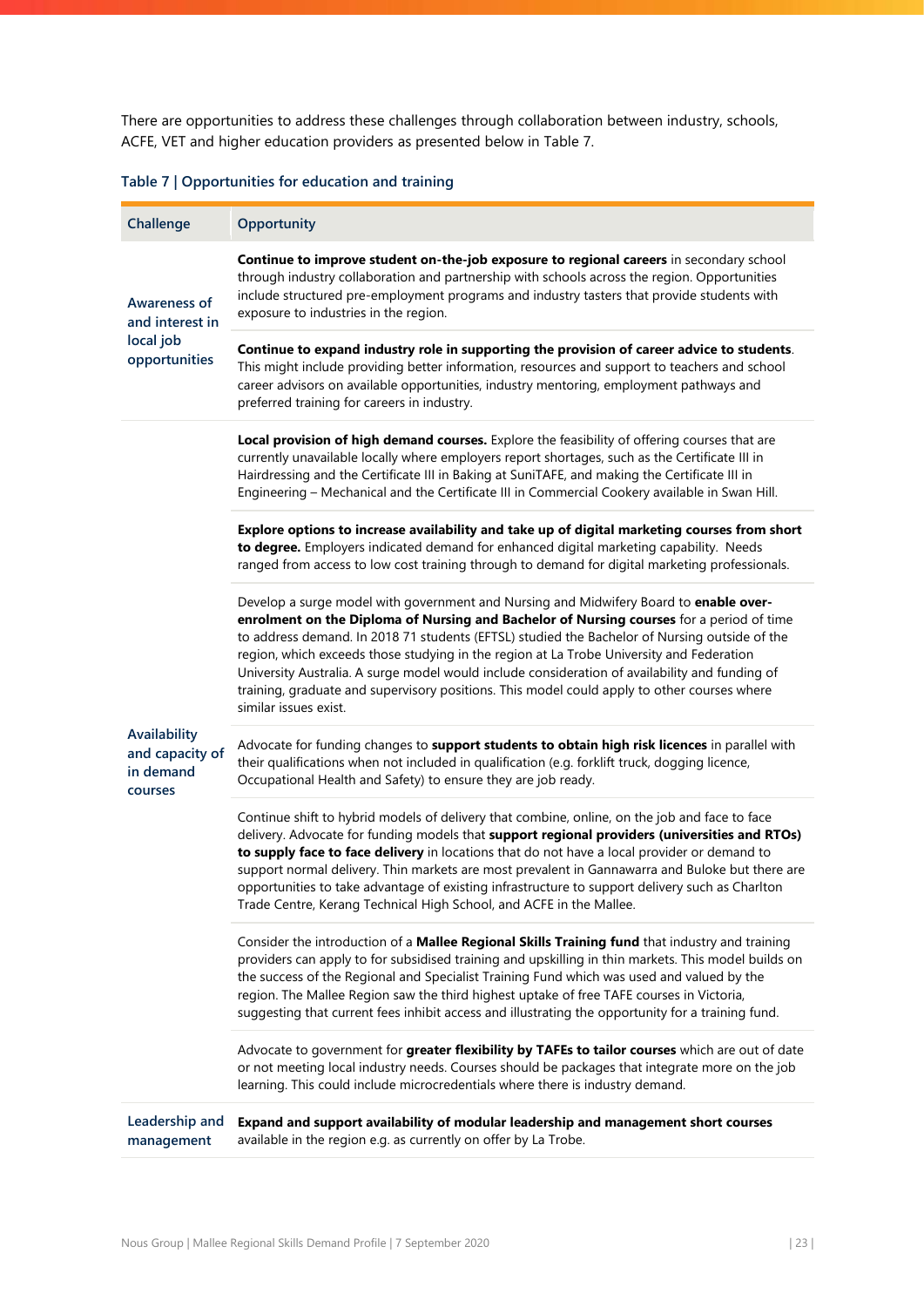There are opportunities to address these challenges through collaboration between industry, schools, ACFE, VET and higher education providers as presented below in [Table](#page-23-0) 7.

## <span id="page-23-0"></span>**Table 7 | Opportunities for education and training**

| Challenge                                               | Opportunity                                                                                                                                                                                                                                                                                                                                                                                                                                                                                                                                                                                              |
|---------------------------------------------------------|----------------------------------------------------------------------------------------------------------------------------------------------------------------------------------------------------------------------------------------------------------------------------------------------------------------------------------------------------------------------------------------------------------------------------------------------------------------------------------------------------------------------------------------------------------------------------------------------------------|
| <b>Awareness of</b><br>and interest in                  | Continue to improve student on-the-job exposure to regional careers in secondary school<br>through industry collaboration and partnership with schools across the region. Opportunities<br>include structured pre-employment programs and industry tasters that provide students with<br>exposure to industries in the region.                                                                                                                                                                                                                                                                           |
| local job<br>opportunities                              | Continue to expand industry role in supporting the provision of career advice to students.<br>This might include providing better information, resources and support to teachers and school<br>career advisors on available opportunities, industry mentoring, employment pathways and<br>preferred training for careers in industry.                                                                                                                                                                                                                                                                    |
|                                                         | Local provision of high demand courses. Explore the feasibility of offering courses that are<br>currently unavailable locally where employers report shortages, such as the Certificate III in<br>Hairdressing and the Certificate III in Baking at SuniTAFE, and making the Certificate III in<br>Engineering - Mechanical and the Certificate III in Commercial Cookery available in Swan Hill.                                                                                                                                                                                                        |
|                                                         | Explore options to increase availability and take up of digital marketing courses from short<br>to degree. Employers indicated demand for enhanced digital marketing capability. Needs<br>ranged from access to low cost training through to demand for digital marketing professionals.                                                                                                                                                                                                                                                                                                                 |
|                                                         | Develop a surge model with government and Nursing and Midwifery Board to enable over-<br>enrolment on the Diploma of Nursing and Bachelor of Nursing courses for a period of time<br>to address demand. In 2018 71 students (EFTSL) studied the Bachelor of Nursing outside of the<br>region, which exceeds those studying in the region at La Trobe University and Federation<br>University Australia. A surge model would include consideration of availability and funding of<br>training, graduate and supervisory positions. This model could apply to other courses where<br>similar issues exist. |
| Availability<br>and capacity of<br>in demand<br>courses | Advocate for funding changes to support students to obtain high risk licences in parallel with<br>their qualifications when not included in qualification (e.g. forklift truck, dogging licence,<br>Occupational Health and Safety) to ensure they are job ready.                                                                                                                                                                                                                                                                                                                                        |
|                                                         | Continue shift to hybrid models of delivery that combine, online, on the job and face to face<br>delivery. Advocate for funding models that support regional providers (universities and RTOs)<br>to supply face to face delivery in locations that do not have a local provider or demand to<br>support normal delivery. Thin markets are most prevalent in Gannawarra and Buloke but there are<br>opportunities to take advantage of existing infrastructure to support delivery such as Charlton<br>Trade Centre, Kerang Technical High School, and ACFE in the Mallee.                               |
|                                                         | Consider the introduction of a Mallee Regional Skills Training fund that industry and training<br>providers can apply to for subsidised training and upskilling in thin markets. This model builds on<br>the success of the Regional and Specialist Training Fund which was used and valued by the<br>region. The Mallee Region saw the third highest uptake of free TAFE courses in Victoria,<br>suggesting that current fees inhibit access and illustrating the opportunity for a training fund.                                                                                                      |
|                                                         | Advocate to government for greater flexibility by TAFEs to tailor courses which are out of date<br>or not meeting local industry needs. Courses should be packages that integrate more on the job<br>learning. This could include microcredentials where there is industry demand.                                                                                                                                                                                                                                                                                                                       |
| Leadership and<br>management                            | Expand and support availability of modular leadership and management short courses<br>available in the region e.g. as currently on offer by La Trobe.                                                                                                                                                                                                                                                                                                                                                                                                                                                    |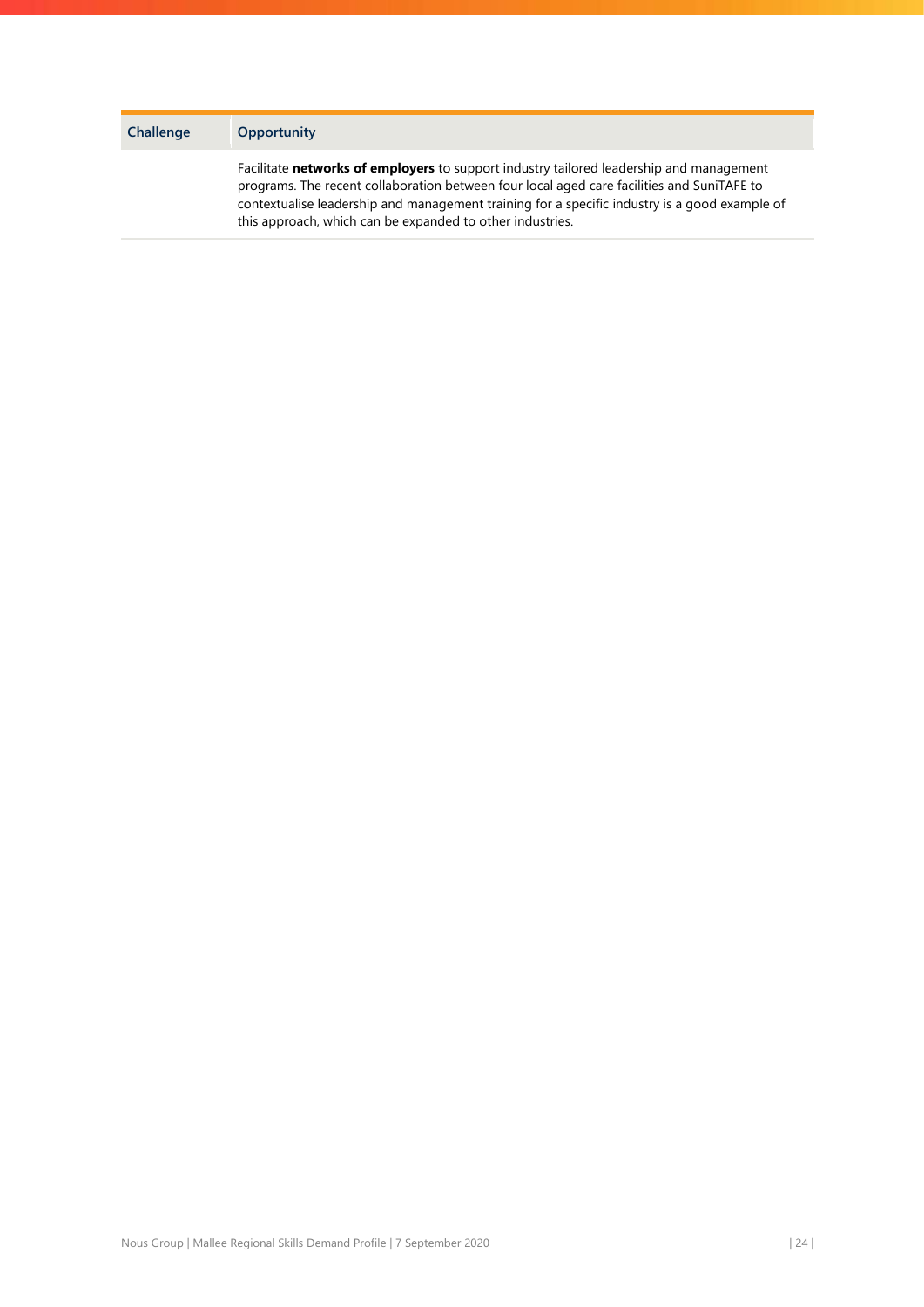| Challenge | <b>Opportunity</b>                                                                                                                                                                                                                                                                                                                                  |
|-----------|-----------------------------------------------------------------------------------------------------------------------------------------------------------------------------------------------------------------------------------------------------------------------------------------------------------------------------------------------------|
|           | Facilitate networks of employers to support industry tailored leadership and management<br>programs. The recent collaboration between four local aged care facilities and SuniTAFE to<br>contextualise leadership and management training for a specific industry is a good example of<br>this approach, which can be expanded to other industries. |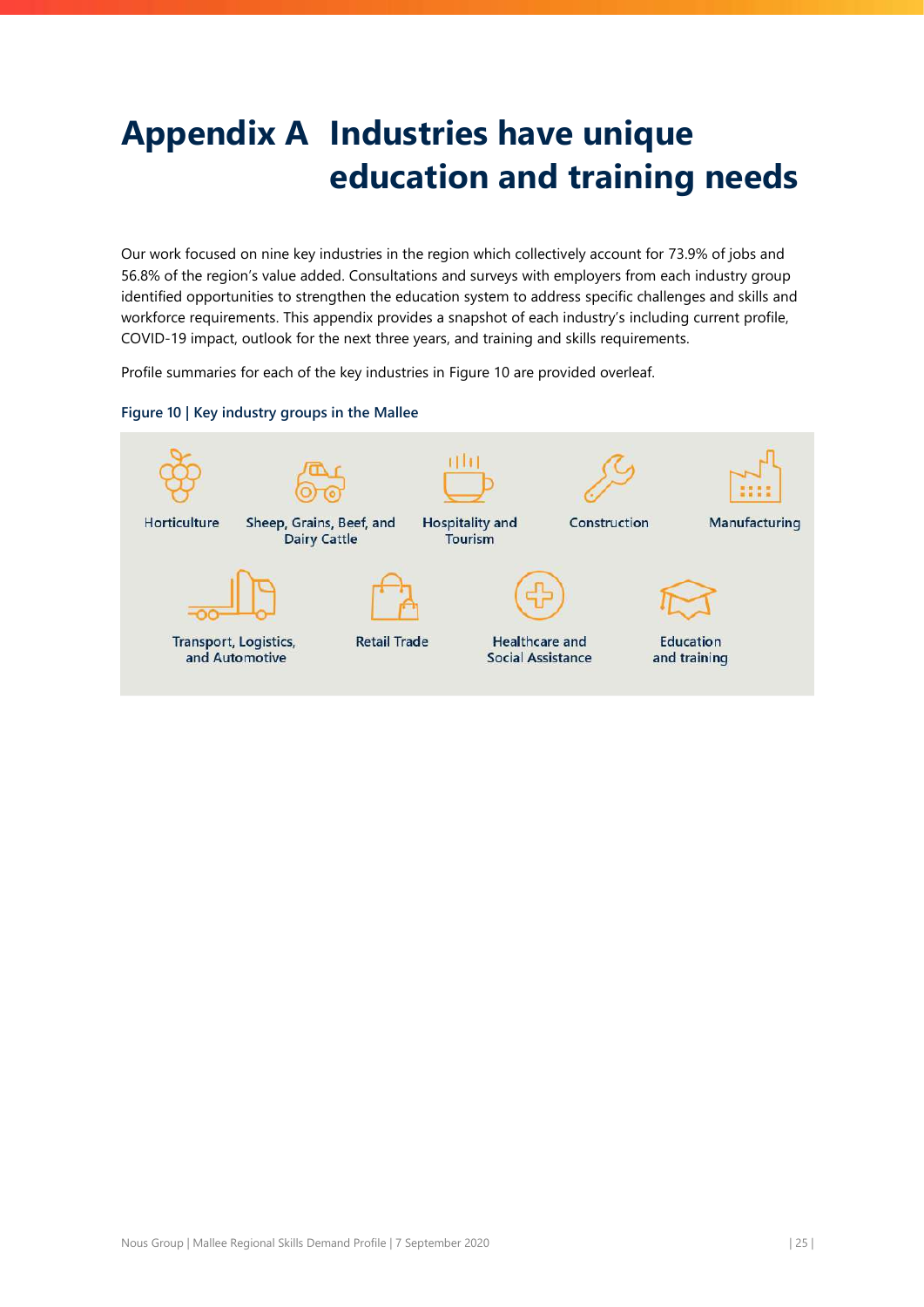# <span id="page-25-0"></span>**Appendix A Industries have unique education and training needs**

Our work focused on nine key industries in the region which collectively account for 73.9% of jobs and 56.8% of the region's value added. Consultations and surveys with employers from each industry group identified opportunities to strengthen the education system to address specific challenges and skills and workforce requirements. This appendix provides a snapshot of each industry's including current profile, COVID-19 impact, outlook for the next three years, and training and skills requirements.

Profile summaries for each of the key industries in [Figure 10](#page-25-1) are provided overleaf.

### <span id="page-25-1"></span>**Figure 10 | Key industry groups in the Mallee**

![](_page_25_Figure_4.jpeg)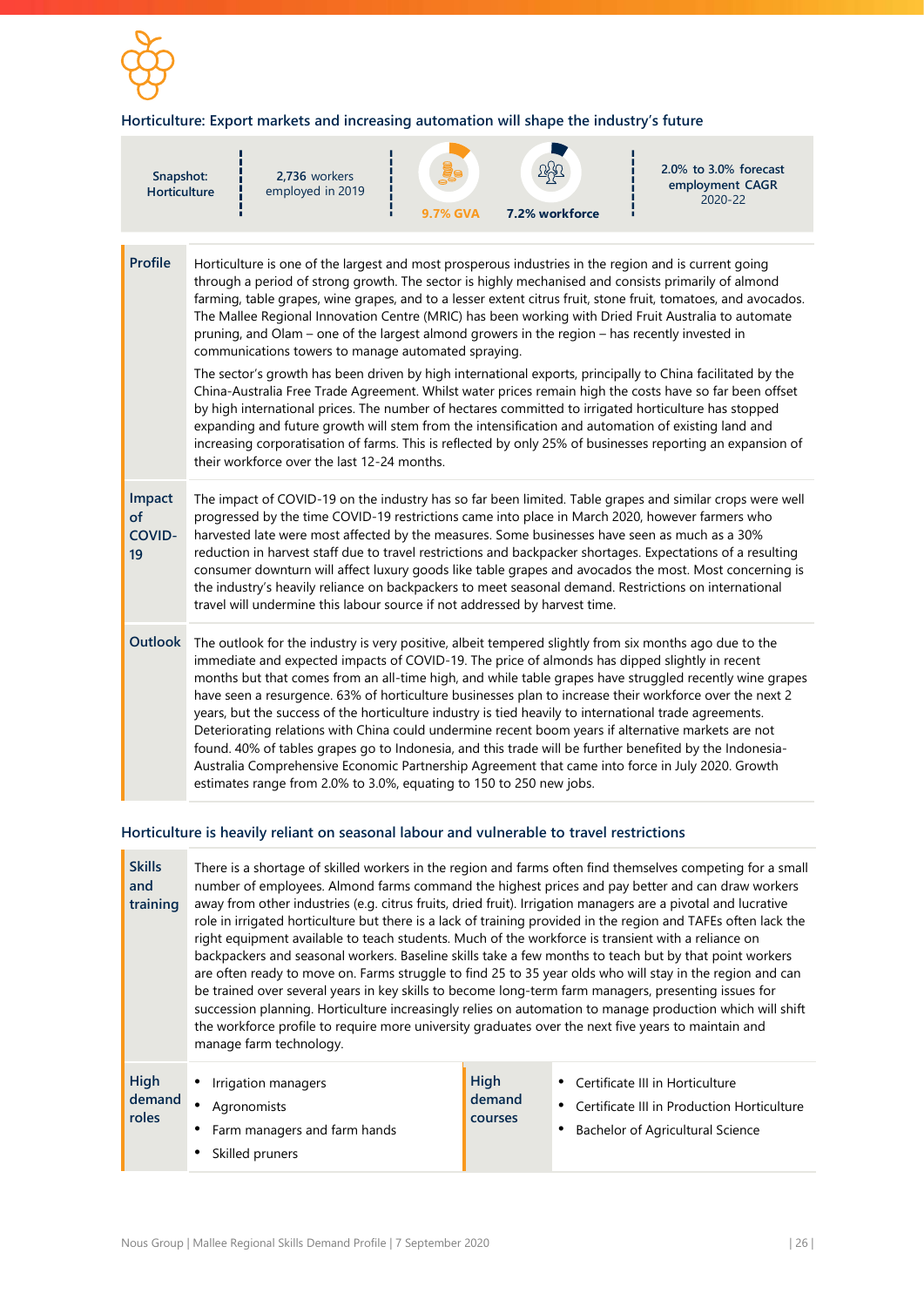![](_page_26_Picture_0.jpeg)

## **Horticulture: Export markets and increasing automation will shape the industry's future**

| Snapshot:<br><b>Horticulture</b>    |                                                                                                                                                                                                                                                                                                                                                                                                                                                                                                                                                                                                                                                                                                                              | 2,736 workers<br>employed in 2019                                                                                                                                                                                                                                                                            | <b>9.7% GVA</b> | 7.2% workforce | 2.0% to 3.0% forecast<br>employment CAGR<br>2020-22                                                                                                                                                                                                                                                                                                                                                                                                                                                                                                                                                                                                                                                                                                                                                                                                                               |  |
|-------------------------------------|------------------------------------------------------------------------------------------------------------------------------------------------------------------------------------------------------------------------------------------------------------------------------------------------------------------------------------------------------------------------------------------------------------------------------------------------------------------------------------------------------------------------------------------------------------------------------------------------------------------------------------------------------------------------------------------------------------------------------|--------------------------------------------------------------------------------------------------------------------------------------------------------------------------------------------------------------------------------------------------------------------------------------------------------------|-----------------|----------------|-----------------------------------------------------------------------------------------------------------------------------------------------------------------------------------------------------------------------------------------------------------------------------------------------------------------------------------------------------------------------------------------------------------------------------------------------------------------------------------------------------------------------------------------------------------------------------------------------------------------------------------------------------------------------------------------------------------------------------------------------------------------------------------------------------------------------------------------------------------------------------------|--|
| <b>Profile</b>                      |                                                                                                                                                                                                                                                                                                                                                                                                                                                                                                                                                                                                                                                                                                                              | Horticulture is one of the largest and most prosperous industries in the region and is current going<br>pruning, and Olam - one of the largest almond growers in the region - has recently invested in<br>communications towers to manage automated spraying.<br>their workforce over the last 12-24 months. |                 |                | through a period of strong growth. The sector is highly mechanised and consists primarily of almond<br>farming, table grapes, wine grapes, and to a lesser extent citrus fruit, stone fruit, tomatoes, and avocados.<br>The Mallee Regional Innovation Centre (MRIC) has been working with Dried Fruit Australia to automate<br>The sector's growth has been driven by high international exports, principally to China facilitated by the<br>China-Australia Free Trade Agreement. Whilst water prices remain high the costs have so far been offset<br>by high international prices. The number of hectares committed to irrigated horticulture has stopped<br>expanding and future growth will stem from the intensification and automation of existing land and<br>increasing corporatisation of farms. This is reflected by only 25% of businesses reporting an expansion of |  |
| Impact<br>of<br><b>COVID-</b><br>19 | The impact of COVID-19 on the industry has so far been limited. Table grapes and similar crops were well<br>progressed by the time COVID-19 restrictions came into place in March 2020, however farmers who<br>harvested late were most affected by the measures. Some businesses have seen as much as a 30%<br>reduction in harvest staff due to travel restrictions and backpacker shortages. Expectations of a resulting<br>consumer downturn will affect luxury goods like table grapes and avocados the most. Most concerning is<br>the industry's heavily reliance on backpackers to meet seasonal demand. Restrictions on international<br>travel will undermine this labour source if not addressed by harvest time. |                                                                                                                                                                                                                                                                                                              |                 |                |                                                                                                                                                                                                                                                                                                                                                                                                                                                                                                                                                                                                                                                                                                                                                                                                                                                                                   |  |
| Outlook                             |                                                                                                                                                                                                                                                                                                                                                                                                                                                                                                                                                                                                                                                                                                                              | immediate and expected impacts of COVID-19. The price of almonds has dipped slightly in recent<br>years, but the success of the horticulture industry is tied heavily to international trade agreements.<br>estimates range from 2.0% to 3.0%, equating to 150 to 250 new jobs.                              |                 |                | The outlook for the industry is very positive, albeit tempered slightly from six months ago due to the<br>months but that comes from an all-time high, and while table grapes have struggled recently wine grapes<br>have seen a resurgence. 63% of horticulture businesses plan to increase their workforce over the next 2<br>Deteriorating relations with China could undermine recent boom years if alternative markets are not<br>found. 40% of tables grapes go to Indonesia, and this trade will be further benefited by the Indonesia-<br>Australia Comprehensive Economic Partnership Agreement that came into force in July 2020. Growth                                                                                                                                                                                                                                |  |

### **Horticulture is heavily reliant on seasonal labour and vulnerable to travel restrictions**

| number of employees. Almond farms command the highest prices and pay better and can draw workers<br>away from other industries (e.g. citrus fruits, dried fruit). Irrigation managers are a pivotal and lucrative<br>training<br>role in irrigated horticulture but there is a lack of training provided in the region and TAFEs often lack the<br>right equipment available to teach students. Much of the workforce is transient with a reliance on<br>backpackers and seasonal workers. Baseline skills take a few months to teach but by that point workers<br>are often ready to move on. Farms struggle to find 25 to 35 year olds who will stay in the region and can<br>be trained over several years in key skills to become long-term farm managers, presenting issues for<br>succession planning. Horticulture increasingly relies on automation to manage production which will shift<br>the workforce profile to require more university graduates over the next five years to maintain and<br>manage farm technology. |  |  |  |  |  |
|-------------------------------------------------------------------------------------------------------------------------------------------------------------------------------------------------------------------------------------------------------------------------------------------------------------------------------------------------------------------------------------------------------------------------------------------------------------------------------------------------------------------------------------------------------------------------------------------------------------------------------------------------------------------------------------------------------------------------------------------------------------------------------------------------------------------------------------------------------------------------------------------------------------------------------------------------------------------------------------------------------------------------------------|--|--|--|--|--|
|                                                                                                                                                                                                                                                                                                                                                                                                                                                                                                                                                                                                                                                                                                                                                                                                                                                                                                                                                                                                                                     |  |  |  |  |  |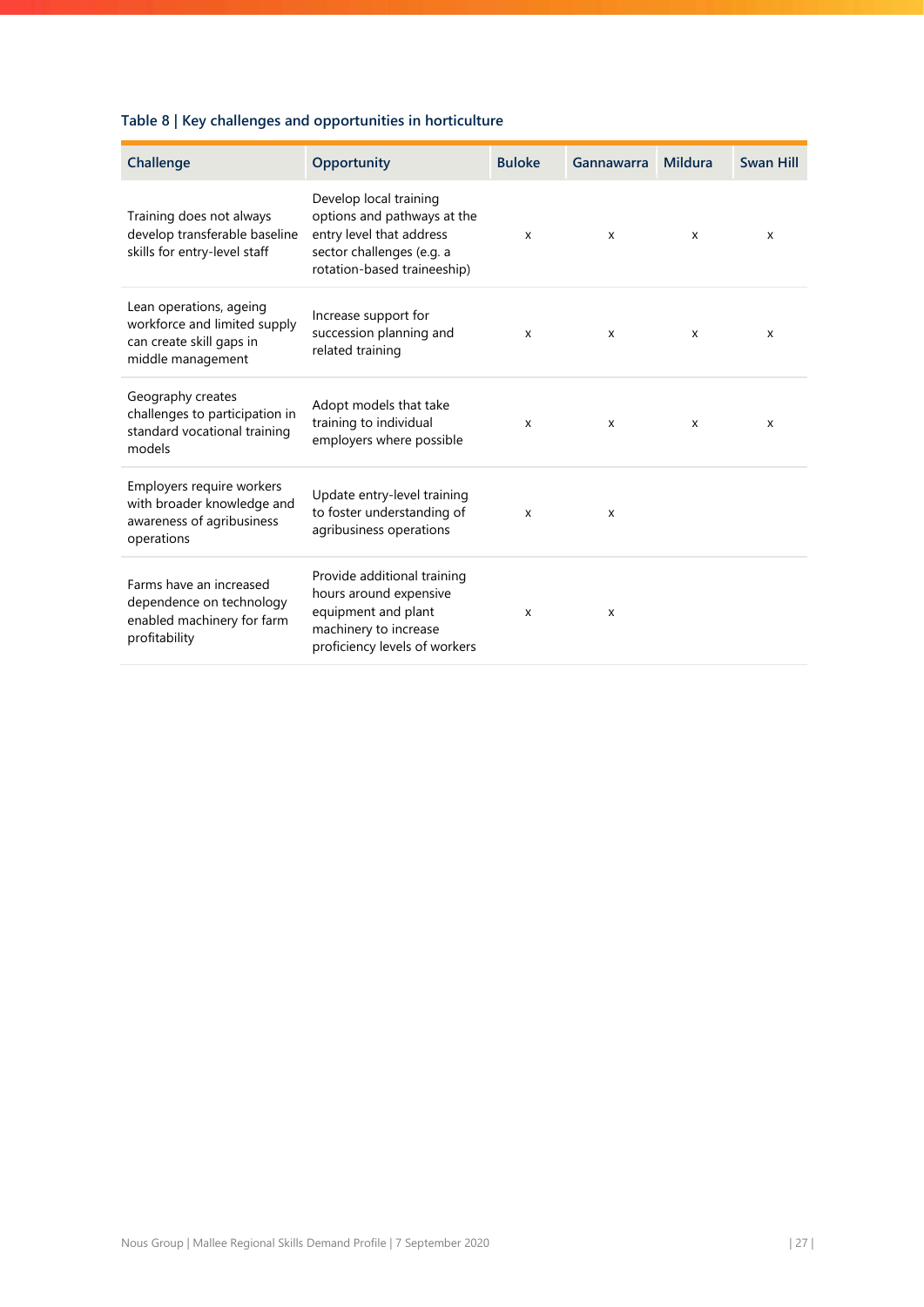# **Table 8 | Key challenges and opportunities in horticulture**

| Challenge                                                                                                | Opportunity                                                                                                                                   | <b>Buloke</b>             | Gannawarra | <b>Mildura</b> | <b>Swan Hill</b> |
|----------------------------------------------------------------------------------------------------------|-----------------------------------------------------------------------------------------------------------------------------------------------|---------------------------|------------|----------------|------------------|
| Training does not always<br>develop transferable baseline<br>skills for entry-level staff                | Develop local training<br>options and pathways at the<br>entry level that address<br>sector challenges (e.g. a<br>rotation-based traineeship) | X                         | X          | X              | X                |
| Lean operations, ageing<br>workforce and limited supply<br>can create skill gaps in<br>middle management | Increase support for<br>succession planning and<br>related training                                                                           | $\boldsymbol{\mathsf{x}}$ | X          | X              | X                |
| Geography creates<br>challenges to participation in<br>standard vocational training<br>models            | Adopt models that take<br>training to individual<br>employers where possible                                                                  | X                         | X          | X              | X                |
| Employers require workers<br>with broader knowledge and<br>awareness of agribusiness<br>operations       | Update entry-level training<br>to foster understanding of<br>agribusiness operations                                                          | x                         | x          |                |                  |
| Farms have an increased<br>dependence on technology<br>enabled machinery for farm<br>profitability       | Provide additional training<br>hours around expensive<br>equipment and plant<br>machinery to increase<br>proficiency levels of workers        | x                         | X          |                |                  |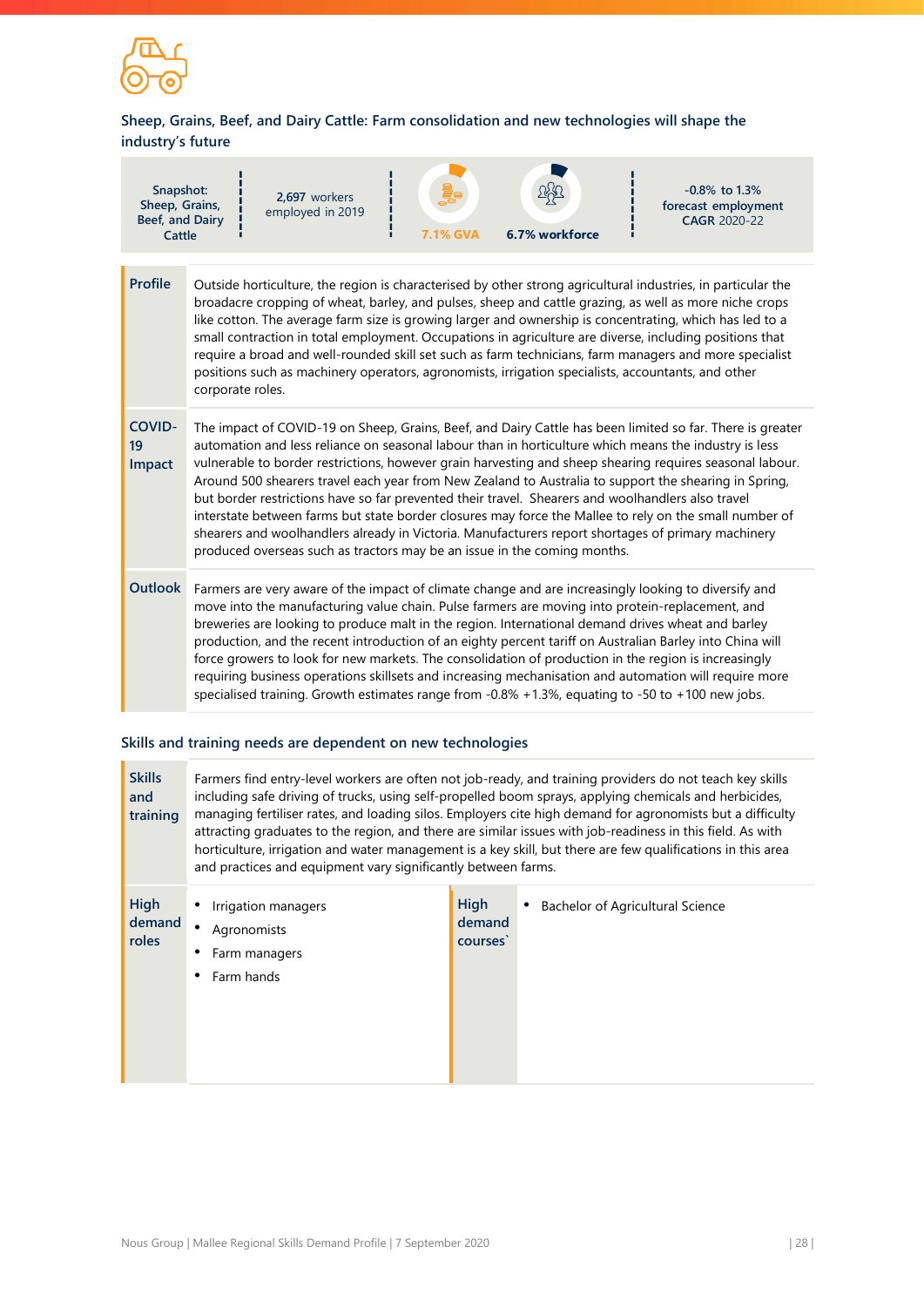![](_page_28_Picture_0.jpeg)

# **Sheep, Grains, Beef, and Dairy Cattle: Farm consolidation and new technologies will shape the industry's future**

| Snapshot:<br>Sheep, Grains,<br>Beef, and Dairy<br>Cattle |                                                                                                                                                                                                                                                                                                                                                                                                                                                                                                                                                                                                                                                                                                                                                                                                                                          | 2,697 workers<br>employed in 2019                                                                  | 7.1% GVA | 6.7% workforce | $-0.8\%$ to 1.3%<br>forecast employment<br><b>CAGR 2020-22</b>                                                                                                                                                                                                                                                                                                                                                                                                                                                                                         |  |
|----------------------------------------------------------|------------------------------------------------------------------------------------------------------------------------------------------------------------------------------------------------------------------------------------------------------------------------------------------------------------------------------------------------------------------------------------------------------------------------------------------------------------------------------------------------------------------------------------------------------------------------------------------------------------------------------------------------------------------------------------------------------------------------------------------------------------------------------------------------------------------------------------------|----------------------------------------------------------------------------------------------------|----------|----------------|--------------------------------------------------------------------------------------------------------------------------------------------------------------------------------------------------------------------------------------------------------------------------------------------------------------------------------------------------------------------------------------------------------------------------------------------------------------------------------------------------------------------------------------------------------|--|
| <b>Profile</b>                                           | corporate roles.                                                                                                                                                                                                                                                                                                                                                                                                                                                                                                                                                                                                                                                                                                                                                                                                                         | positions such as machinery operators, agronomists, irrigation specialists, accountants, and other |          |                | Outside horticulture, the region is characterised by other strong agricultural industries, in particular the<br>broadacre cropping of wheat, barley, and pulses, sheep and cattle grazing, as well as more niche crops<br>like cotton. The average farm size is growing larger and ownership is concentrating, which has led to a<br>small contraction in total employment. Occupations in agriculture are diverse, including positions that<br>require a broad and well-rounded skill set such as farm technicians, farm managers and more specialist |  |
| <b>COVID-</b><br>19<br>Impact                            | The impact of COVID-19 on Sheep, Grains, Beef, and Dairy Cattle has been limited so far. There is greater<br>automation and less reliance on seasonal labour than in horticulture which means the industry is less<br>vulnerable to border restrictions, however grain harvesting and sheep shearing requires seasonal labour.<br>Around 500 shearers travel each year from New Zealand to Australia to support the shearing in Spring,<br>but border restrictions have so far prevented their travel. Shearers and woolhandlers also travel<br>interstate between farms but state border closures may force the Mallee to rely on the small number of<br>shearers and woolhandlers already in Victoria. Manufacturers report shortages of primary machinery<br>produced overseas such as tractors may be an issue in the coming months. |                                                                                                    |          |                |                                                                                                                                                                                                                                                                                                                                                                                                                                                                                                                                                        |  |
| <b>Outlook</b>                                           | Farmers are very aware of the impact of climate change and are increasingly looking to diversify and<br>move into the manufacturing value chain. Pulse farmers are moving into protein-replacement, and<br>breweries are looking to produce malt in the region. International demand drives wheat and barley<br>production, and the recent introduction of an eighty percent tariff on Australian Barley into China will<br>force growers to look for new markets. The consolidation of production in the region is increasingly<br>requiring business operations skillsets and increasing mechanisation and automation will require more<br>specialised training. Growth estimates range from -0.8% +1.3%, equating to -50 to +100 new jobs.                                                                                            |                                                                                                    |          |                |                                                                                                                                                                                                                                                                                                                                                                                                                                                                                                                                                        |  |

## **Skills and training needs are dependent on new technologies**

| <b>Skills</b><br>and<br>training | Farmers find entry-level workers are often not job-ready, and training providers do not teach key skills<br>including safe driving of trucks, using self-propelled boom sprays, applying chemicals and herbicides,<br>managing fertiliser rates, and loading silos. Employers cite high demand for agronomists but a difficulty<br>attracting graduates to the region, and there are similar issues with job-readiness in this field. As with<br>horticulture, irrigation and water management is a key skill, but there are few qualifications in this area<br>and practices and equipment vary significantly between farms. |                           |                                  |  |  |  |
|----------------------------------|-------------------------------------------------------------------------------------------------------------------------------------------------------------------------------------------------------------------------------------------------------------------------------------------------------------------------------------------------------------------------------------------------------------------------------------------------------------------------------------------------------------------------------------------------------------------------------------------------------------------------------|---------------------------|----------------------------------|--|--|--|
| <b>High</b><br>demand<br>roles   | Irrigation managers<br>$\bullet$<br>Agronomists<br>Farm managers<br>Farm hands                                                                                                                                                                                                                                                                                                                                                                                                                                                                                                                                                | High<br>demand<br>courses | Bachelor of Agricultural Science |  |  |  |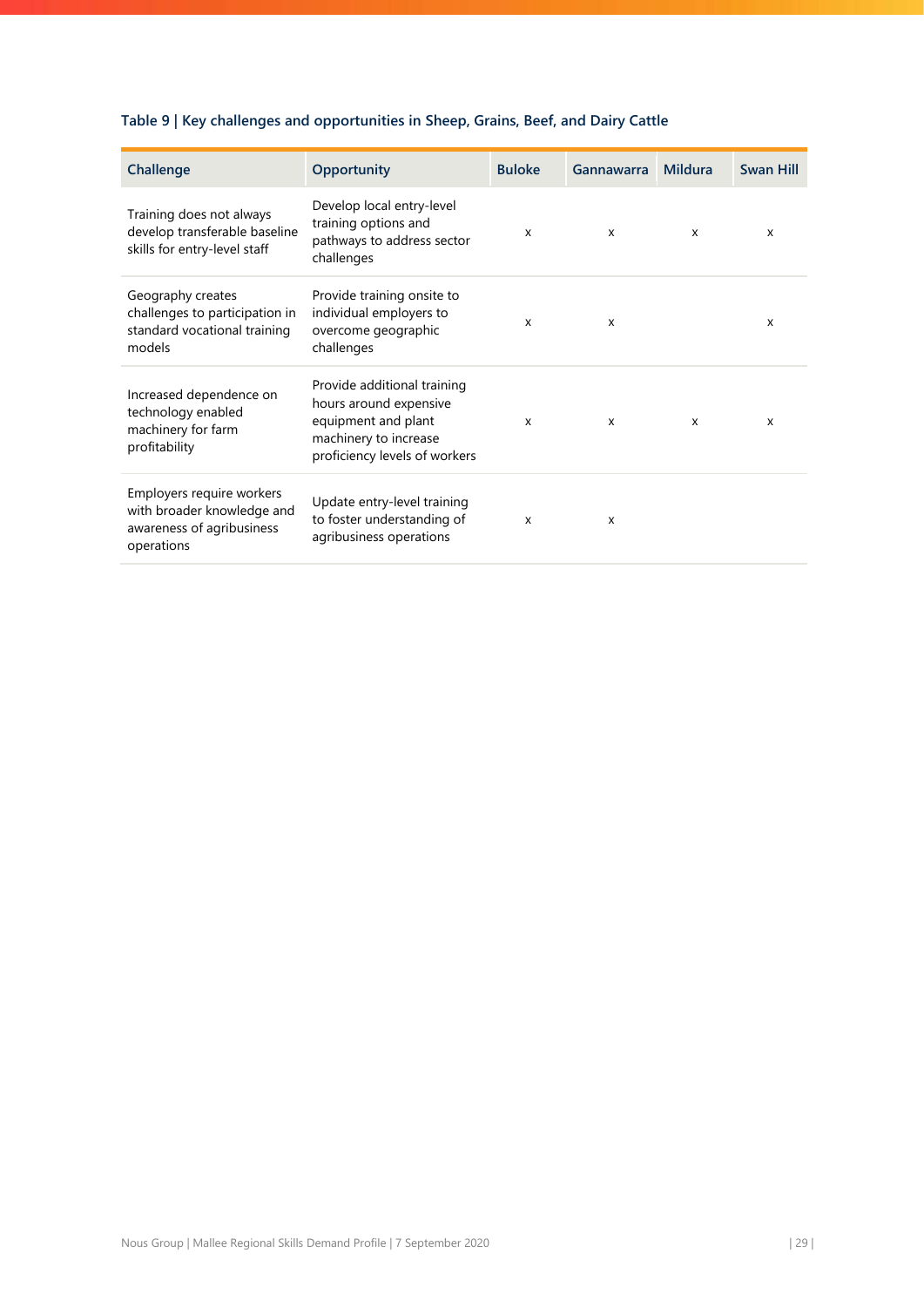# **Table 9 | Key challenges and opportunities in Sheep, Grains, Beef, and Dairy Cattle**

| Challenge                                                                                          | Opportunity                                                                                                                            | <b>Buloke</b>             | Gannawarra   | <b>Mildura</b>            | <b>Swan Hill</b> |
|----------------------------------------------------------------------------------------------------|----------------------------------------------------------------------------------------------------------------------------------------|---------------------------|--------------|---------------------------|------------------|
| Training does not always<br>develop transferable baseline<br>skills for entry-level staff          | Develop local entry-level<br>training options and<br>pathways to address sector<br>challenges                                          | X                         | X            | $\boldsymbol{\mathsf{x}}$ | X                |
| Geography creates<br>challenges to participation in<br>standard vocational training<br>models      | Provide training onsite to<br>individual employers to<br>overcome geographic<br>challenges                                             | $\mathsf{x}$              | X            |                           | X                |
| Increased dependence on<br>technology enabled<br>machinery for farm<br>profitability               | Provide additional training<br>hours around expensive<br>equipment and plant<br>machinery to increase<br>proficiency levels of workers | $\boldsymbol{\mathsf{x}}$ | $\mathsf{x}$ | $\boldsymbol{\mathsf{x}}$ | X                |
| Employers require workers<br>with broader knowledge and<br>awareness of agribusiness<br>operations | Update entry-level training<br>to foster understanding of<br>agribusiness operations                                                   | X                         | $\mathsf{x}$ |                           |                  |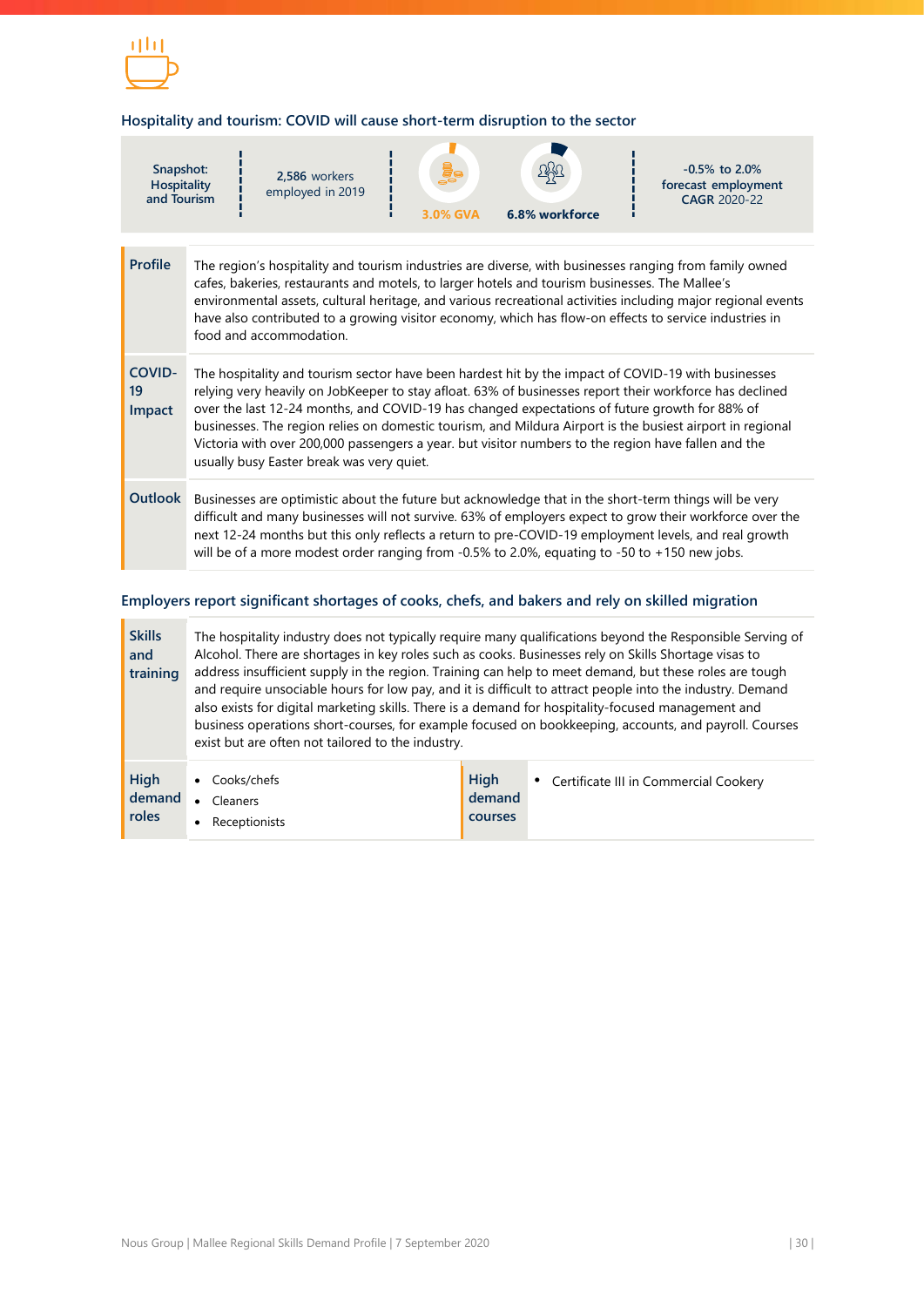![](_page_30_Picture_0.jpeg)

## **Hospitality and tourism: COVID will cause short-term disruption to the sector**

| Snapshot:<br><b>Hospitality</b><br>and Tourism |                                                                                                                                                                                                                                                                                                                                                                                                                                                                                                                                                                                 | 2,586 workers<br>employed in 2019 |  | 3.0% GVA | 6.8% workforce | $-0.5\%$ to 2.0%<br>forecast employment<br>CAGR 2020-22                                                                                                                                                                                                                                                                                                                                                                            |  |
|------------------------------------------------|---------------------------------------------------------------------------------------------------------------------------------------------------------------------------------------------------------------------------------------------------------------------------------------------------------------------------------------------------------------------------------------------------------------------------------------------------------------------------------------------------------------------------------------------------------------------------------|-----------------------------------|--|----------|----------------|------------------------------------------------------------------------------------------------------------------------------------------------------------------------------------------------------------------------------------------------------------------------------------------------------------------------------------------------------------------------------------------------------------------------------------|--|
| <b>Profile</b>                                 |                                                                                                                                                                                                                                                                                                                                                                                                                                                                                                                                                                                 | food and accommodation.           |  |          |                | The region's hospitality and tourism industries are diverse, with businesses ranging from family owned<br>cafes, bakeries, restaurants and motels, to larger hotels and tourism businesses. The Mallee's<br>environmental assets, cultural heritage, and various recreational activities including major regional events<br>have also contributed to a growing visitor economy, which has flow-on effects to service industries in |  |
| <b>COVID-</b><br>19<br>Impact                  | The hospitality and tourism sector have been hardest hit by the impact of COVID-19 with businesses<br>relying very heavily on JobKeeper to stay afloat. 63% of businesses report their workforce has declined<br>over the last 12-24 months, and COVID-19 has changed expectations of future growth for 88% of<br>businesses. The region relies on domestic tourism, and Mildura Airport is the busiest airport in regional<br>Victoria with over 200,000 passengers a year. but visitor numbers to the region have fallen and the<br>usually busy Easter break was very quiet. |                                   |  |          |                |                                                                                                                                                                                                                                                                                                                                                                                                                                    |  |
| Outlook                                        |                                                                                                                                                                                                                                                                                                                                                                                                                                                                                                                                                                                 |                                   |  |          |                | Businesses are optimistic about the future but acknowledge that in the short-term things will be very<br>difficult and many businesses will not survive. 63% of employers expect to grow their workforce over the<br>next 12-24 months but this only reflects a return to pre-COVID-19 employment levels, and real growth<br>will be of a more modest order ranging from -0.5% to 2.0%, equating to -50 to +150 new jobs.          |  |

## **Employers report significant shortages of cooks, chefs, and bakers and rely on skilled migration**

| <b>Skills</b><br>and<br>training | The hospitality industry does not typically require many qualifications beyond the Responsible Serving of<br>Alcohol. There are shortages in key roles such as cooks. Businesses rely on Skills Shortage visas to<br>address insufficient supply in the region. Training can help to meet demand, but these roles are tough<br>and require unsociable hours for low pay, and it is difficult to attract people into the industry. Demand<br>also exists for digital marketing skills. There is a demand for hospitality-focused management and<br>business operations short-courses, for example focused on bookkeeping, accounts, and payroll. Courses<br>exist but are often not tailored to the industry. |                           |                                         |  |  |
|----------------------------------|--------------------------------------------------------------------------------------------------------------------------------------------------------------------------------------------------------------------------------------------------------------------------------------------------------------------------------------------------------------------------------------------------------------------------------------------------------------------------------------------------------------------------------------------------------------------------------------------------------------------------------------------------------------------------------------------------------------|---------------------------|-----------------------------------------|--|--|
| High<br>demand<br><b>roles</b>   | Cooks/chefs<br>Cleaners<br>$\bullet$<br>Receptionists                                                                                                                                                                                                                                                                                                                                                                                                                                                                                                                                                                                                                                                        | High<br>demand<br>courses | • Certificate III in Commercial Cookery |  |  |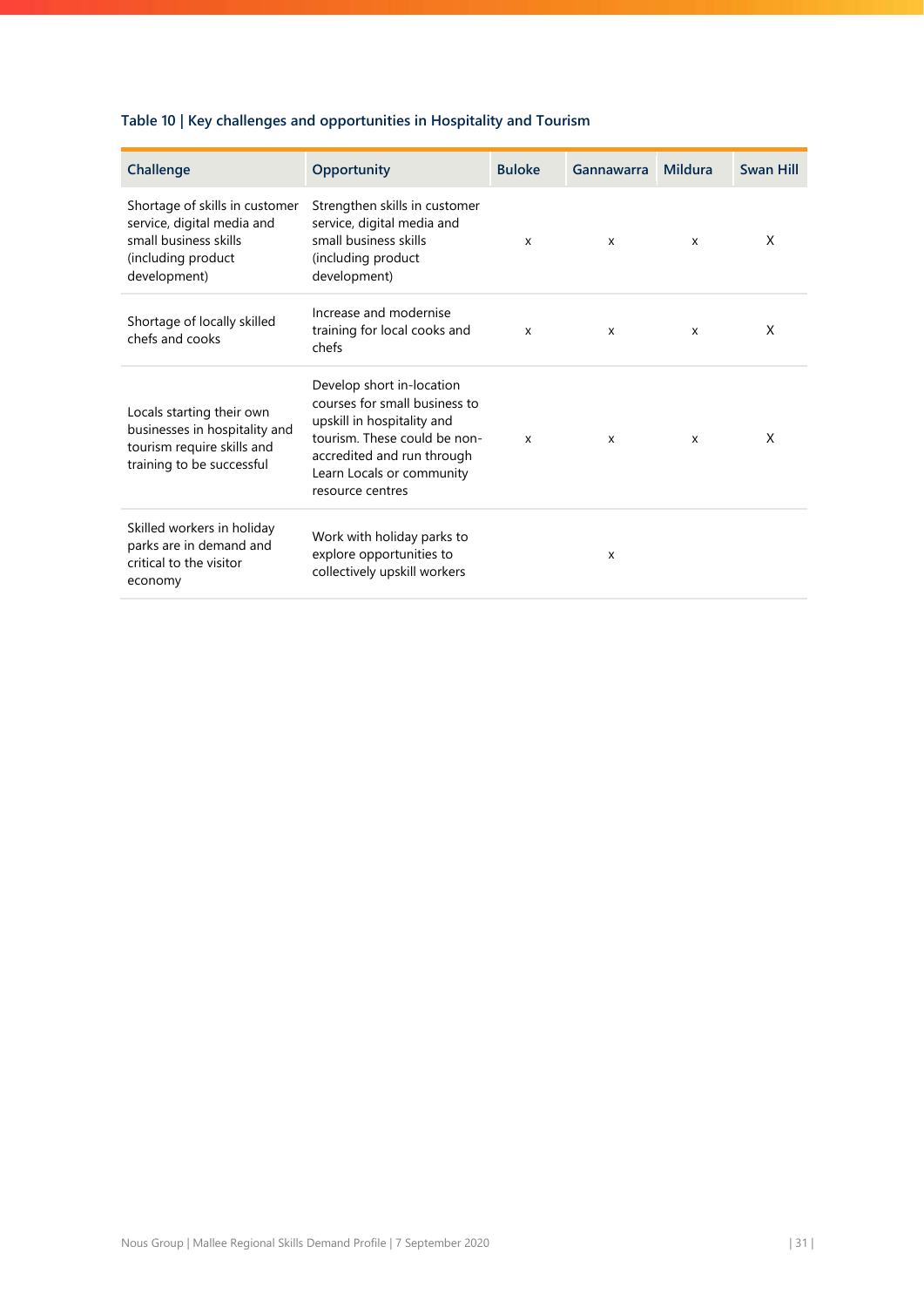# **Table 10 | Key challenges and opportunities in Hospitality and Tourism**

| Challenge                                                                                                                   | Opportunity                                                                                                                                                                                             | <b>Buloke</b> | Gannawarra   | Mildura | <b>Swan Hill</b> |
|-----------------------------------------------------------------------------------------------------------------------------|---------------------------------------------------------------------------------------------------------------------------------------------------------------------------------------------------------|---------------|--------------|---------|------------------|
| Shortage of skills in customer<br>service, digital media and<br>small business skills<br>(including product<br>development) | Strengthen skills in customer<br>service, digital media and<br>small business skills<br>(including product)<br>development)                                                                             | X             | X            | X       | X                |
| Shortage of locally skilled<br>chefs and cooks                                                                              | Increase and modernise<br>training for local cooks and<br>chefs                                                                                                                                         | X             | X            | X       | X                |
| Locals starting their own<br>businesses in hospitality and<br>tourism require skills and<br>training to be successful       | Develop short in-location<br>courses for small business to<br>upskill in hospitality and<br>tourism. These could be non-<br>accredited and run through<br>Learn Locals or community<br>resource centres | X             | $\mathsf{x}$ | X       | X                |
| Skilled workers in holiday<br>parks are in demand and<br>critical to the visitor<br>economy                                 | Work with holiday parks to<br>explore opportunities to<br>collectively upskill workers                                                                                                                  |               | X            |         |                  |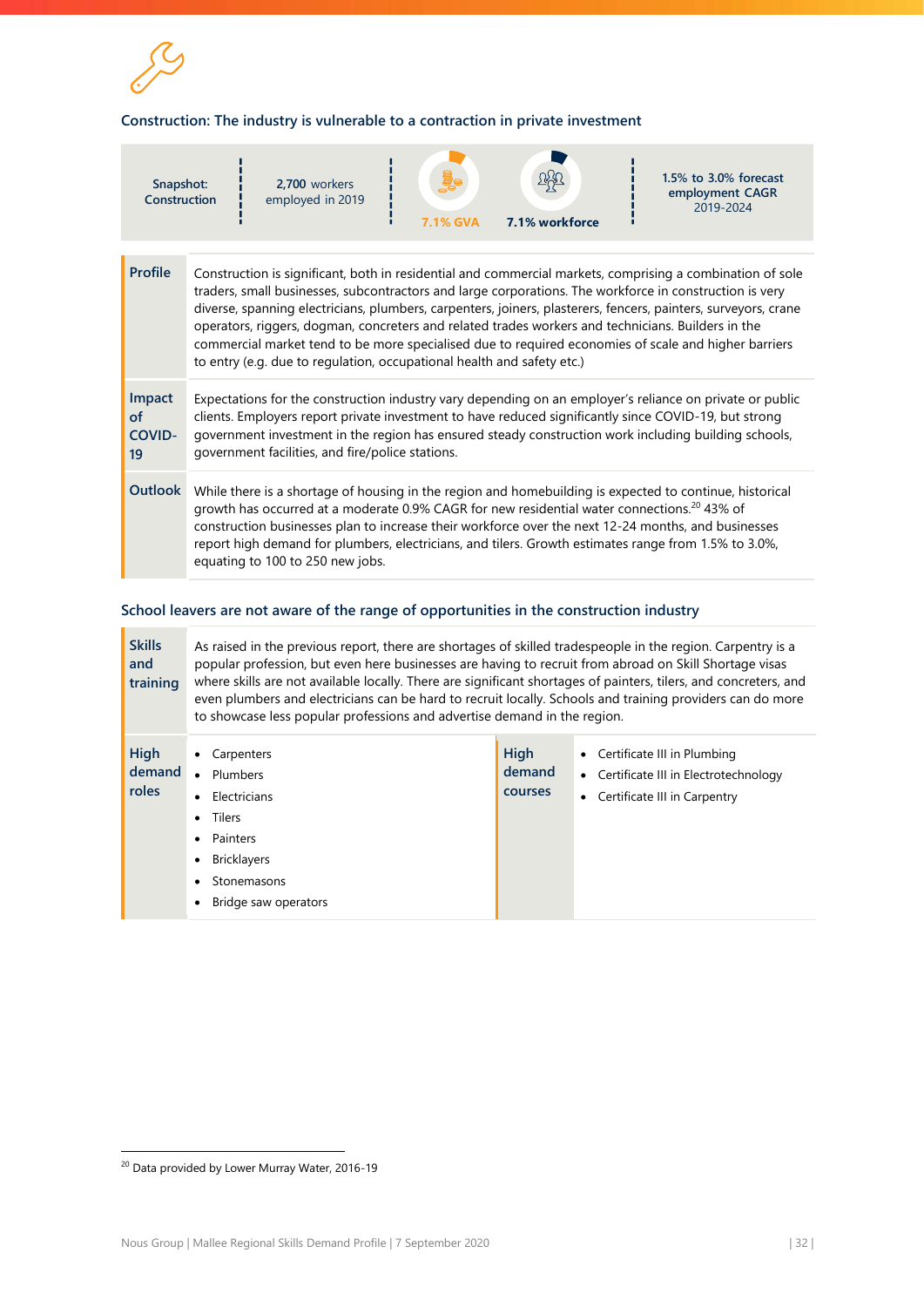![](_page_32_Picture_0.jpeg)

### **Construction: The industry is vulnerable to a contraction in private investment**

| Snapshot:<br>Construction                                                                                                                                                                                                                                                                                                                                                                                                                                                                                                                                                                                                                        |                                                                                                                                                                                                                                                                                                                                                                                                                                                                       | 2,700 workers<br>employed in 2019 |  | <b>7.1% GVA</b> | 7.1% workforce |  | $1.5\%$ to $3.0\%$ forecast<br>employment CAGR<br>2019-2024 |
|--------------------------------------------------------------------------------------------------------------------------------------------------------------------------------------------------------------------------------------------------------------------------------------------------------------------------------------------------------------------------------------------------------------------------------------------------------------------------------------------------------------------------------------------------------------------------------------------------------------------------------------------------|-----------------------------------------------------------------------------------------------------------------------------------------------------------------------------------------------------------------------------------------------------------------------------------------------------------------------------------------------------------------------------------------------------------------------------------------------------------------------|-----------------------------------|--|-----------------|----------------|--|-------------------------------------------------------------|
| <b>Profile</b><br>Construction is significant, both in residential and commercial markets, comprising a combination of sole<br>traders, small businesses, subcontractors and large corporations. The workforce in construction is very<br>diverse, spanning electricians, plumbers, carpenters, joiners, plasterers, fencers, painters, surveyors, crane<br>operators, riggers, dogman, concreters and related trades workers and technicians. Builders in the<br>commercial market tend to be more specialised due to required economies of scale and higher barriers<br>to entry (e.g. due to regulation, occupational health and safety etc.) |                                                                                                                                                                                                                                                                                                                                                                                                                                                                       |                                   |  |                 |                |  |                                                             |
| Impact<br><b>of</b><br><b>COVID-</b><br>19                                                                                                                                                                                                                                                                                                                                                                                                                                                                                                                                                                                                       | Expectations for the construction industry vary depending on an employer's reliance on private or public<br>clients. Employers report private investment to have reduced significantly since COVID-19, but strong<br>government investment in the region has ensured steady construction work including building schools,<br>government facilities, and fire/police stations.                                                                                         |                                   |  |                 |                |  |                                                             |
| Outlook                                                                                                                                                                                                                                                                                                                                                                                                                                                                                                                                                                                                                                          | While there is a shortage of housing in the region and homebuilding is expected to continue, historical<br>growth has occurred at a moderate 0.9% CAGR for new residential water connections. <sup>20</sup> 43% of<br>construction businesses plan to increase their workforce over the next 12-24 months, and businesses<br>report high demand for plumbers, electricians, and tilers. Growth estimates range from 1.5% to 3.0%,<br>equating to 100 to 250 new jobs. |                                   |  |                 |                |  |                                                             |

## **School leavers are not aware of the range of opportunities in the construction industry**

| <b>Skills</b><br>and<br>training | As raised in the previous report, there are shortages of skilled tradespeople in the region. Carpentry is a<br>popular profession, but even here businesses are having to recruit from abroad on Skill Shortage visas<br>where skills are not available locally. There are significant shortages of painters, tilers, and concreters, and<br>even plumbers and electricians can be hard to recruit locally. Schools and training providers can do more<br>to showcase less popular professions and advertise demand in the region. |                                         |                                                                                                           |  |  |  |  |
|----------------------------------|------------------------------------------------------------------------------------------------------------------------------------------------------------------------------------------------------------------------------------------------------------------------------------------------------------------------------------------------------------------------------------------------------------------------------------------------------------------------------------------------------------------------------------|-----------------------------------------|-----------------------------------------------------------------------------------------------------------|--|--|--|--|
| High<br>demand<br><b>roles</b>   | Carpenters<br>Plumbers<br>$\bullet$<br>Electricians<br>٠<br>Tilers<br>$\bullet$<br>Painters<br>$\bullet$<br><b>Bricklayers</b><br>٠<br>Stonemasons<br>Bridge saw operators                                                                                                                                                                                                                                                                                                                                                         | <b>High</b><br>demand<br><b>courses</b> | • Certificate III in Plumbing<br>• Certificate III in Electrotechnology<br>• Certificate III in Carpentry |  |  |  |  |

 $\overline{a}$ 

<sup>&</sup>lt;sup>20</sup> Data provided by Lower Murray Water, 2016-19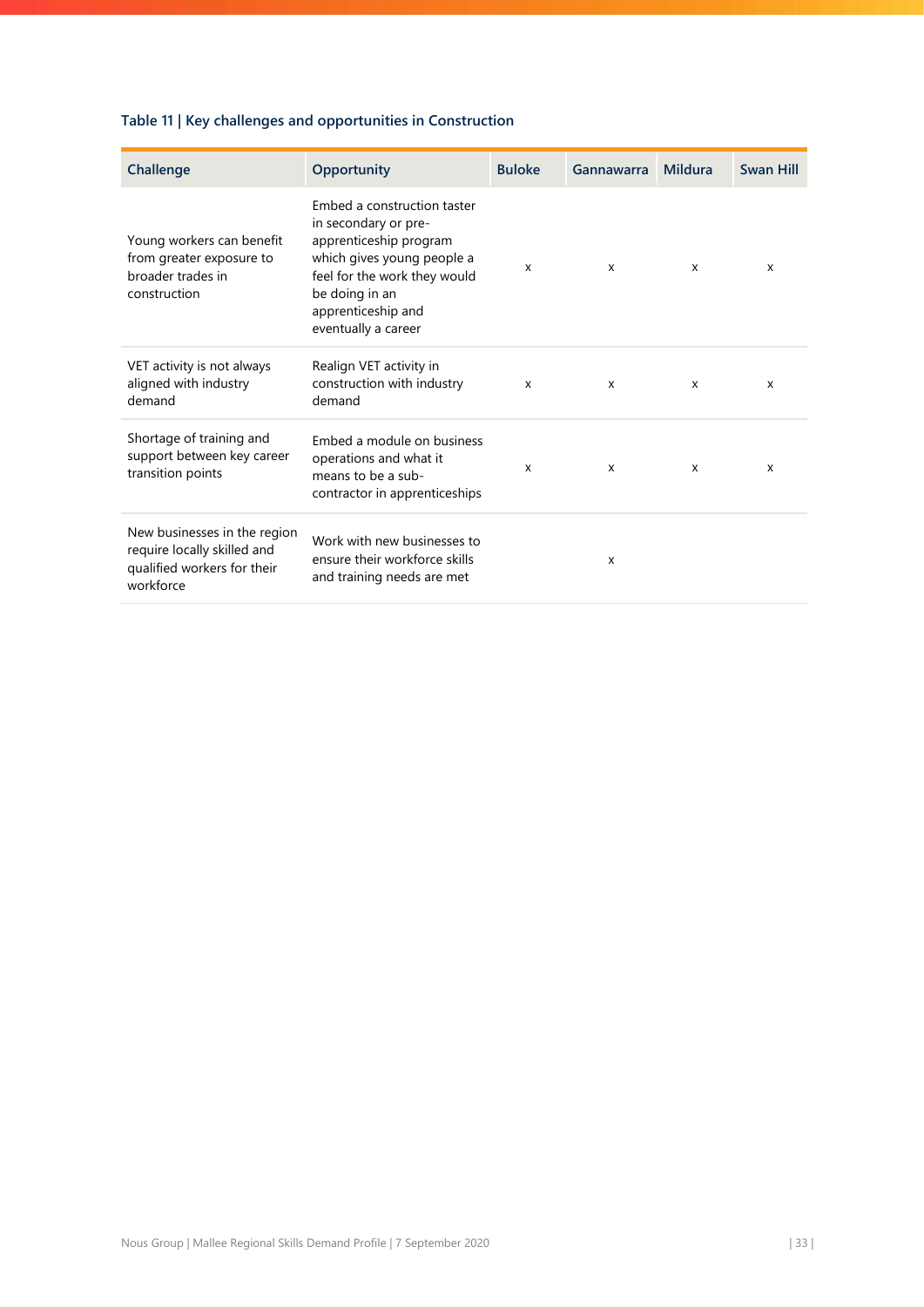# **Table 11 | Key challenges and opportunities in Construction**

| Challenge                                                                                               | Opportunity                                                                                                                                                                                                | <b>Buloke</b> | Gannawarra                | Mildura | <b>Swan Hill</b> |
|---------------------------------------------------------------------------------------------------------|------------------------------------------------------------------------------------------------------------------------------------------------------------------------------------------------------------|---------------|---------------------------|---------|------------------|
| Young workers can benefit<br>from greater exposure to<br>broader trades in<br>construction              | Embed a construction taster<br>in secondary or pre-<br>apprenticeship program<br>which gives young people a<br>feel for the work they would<br>be doing in an<br>apprenticeship and<br>eventually a career | X             | $\mathsf{x}$              | X       | X                |
| VET activity is not always<br>aligned with industry<br>demand                                           | Realign VET activity in<br>construction with industry<br>demand                                                                                                                                            | X             | $\mathsf{x}$              | X       | X                |
| Shortage of training and<br>support between key career<br>transition points                             | Embed a module on business<br>operations and what it<br>means to be a sub-<br>contractor in apprenticeships                                                                                                | X             | $\mathsf{x}$              | X       | X                |
| New businesses in the region<br>require locally skilled and<br>qualified workers for their<br>workforce | Work with new businesses to<br>ensure their workforce skills<br>and training needs are met                                                                                                                 |               | $\boldsymbol{\mathsf{x}}$ |         |                  |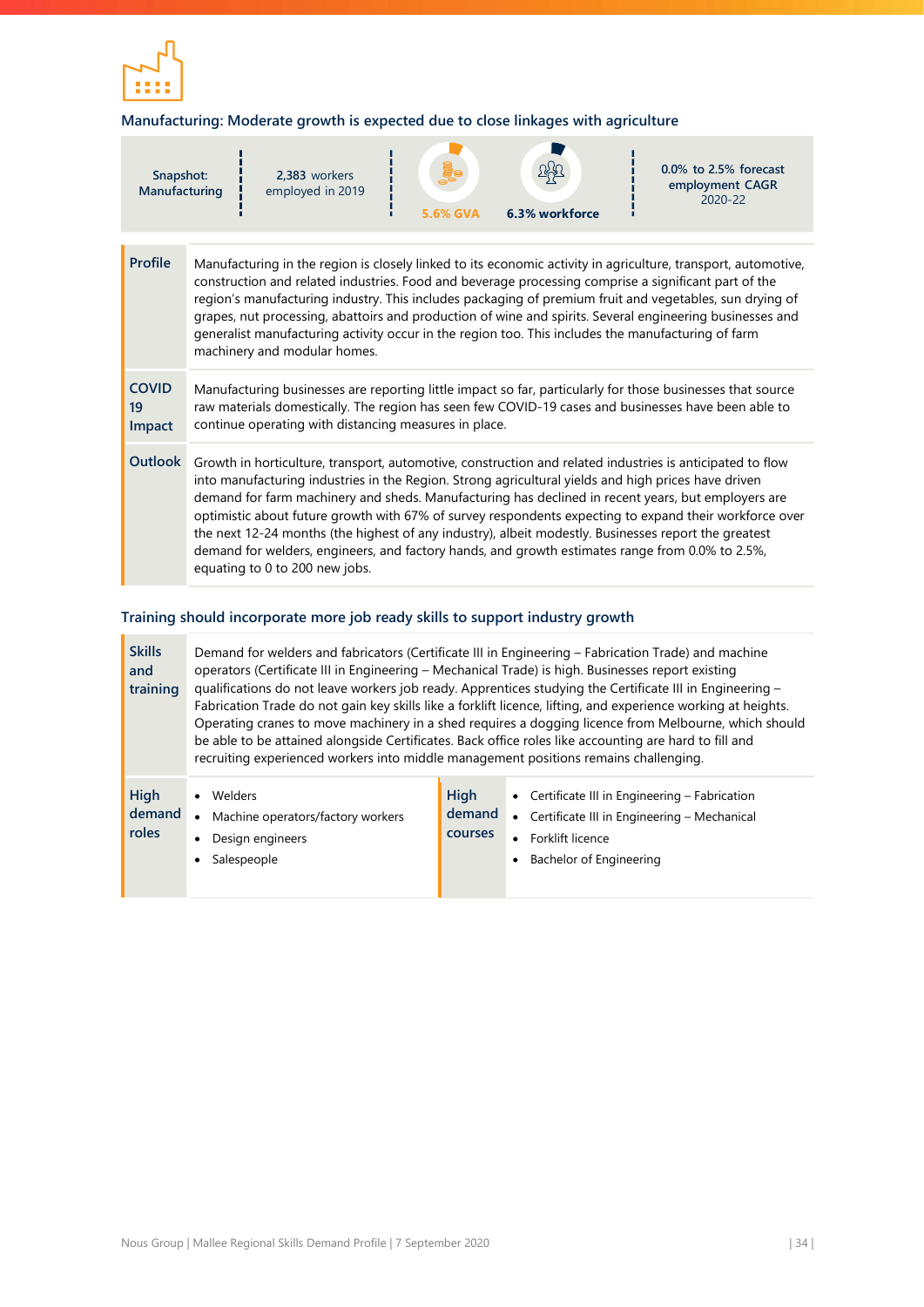![](_page_34_Picture_0.jpeg)

## **Manufacturing: Moderate growth is expected due to close linkages with agriculture**

| Snapshot:<br>Manufacturing   |                                                                                                                                                                                                                                                                                                                                                                                                                                                                                                                                                                                                                                                                               | 2.383 workers<br>employed in 2019 | <b>5.6% GVA</b> | 6.3% workforce | $0.0\%$ to 2.5% forecast<br>employment CAGR<br>2020-22 |  |  |
|------------------------------|-------------------------------------------------------------------------------------------------------------------------------------------------------------------------------------------------------------------------------------------------------------------------------------------------------------------------------------------------------------------------------------------------------------------------------------------------------------------------------------------------------------------------------------------------------------------------------------------------------------------------------------------------------------------------------|-----------------------------------|-----------------|----------------|--------------------------------------------------------|--|--|
| <b>Profile</b>               | Manufacturing in the region is closely linked to its economic activity in agriculture, transport, automotive,<br>construction and related industries. Food and beverage processing comprise a significant part of the<br>region's manufacturing industry. This includes packaging of premium fruit and vegetables, sun drying of<br>grapes, nut processing, abattoirs and production of wine and spirits. Several engineering businesses and<br>generalist manufacturing activity occur in the region too. This includes the manufacturing of farm<br>machinery and modular homes.                                                                                            |                                   |                 |                |                                                        |  |  |
| <b>COVID</b><br>19<br>Impact | Manufacturing businesses are reporting little impact so far, particularly for those businesses that source<br>raw materials domestically. The region has seen few COVID-19 cases and businesses have been able to<br>continue operating with distancing measures in place.                                                                                                                                                                                                                                                                                                                                                                                                    |                                   |                 |                |                                                        |  |  |
| Outlook                      | Growth in horticulture, transport, automotive, construction and related industries is anticipated to flow<br>into manufacturing industries in the Region. Strong agricultural yields and high prices have driven<br>demand for farm machinery and sheds. Manufacturing has declined in recent years, but employers are<br>optimistic about future growth with 67% of survey respondents expecting to expand their workforce over<br>the next 12-24 months (the highest of any industry), albeit modestly. Businesses report the greatest<br>demand for welders, engineers, and factory hands, and growth estimates range from 0.0% to 2.5%,<br>equating to 0 to 200 new jobs. |                                   |                 |                |                                                        |  |  |

## **Training should incorporate more job ready skills to support industry growth**

| <b>Skills</b><br>and<br>training | Demand for welders and fabricators (Certificate III in Engineering – Fabrication Trade) and machine<br>operators (Certificate III in Engineering - Mechanical Trade) is high. Businesses report existing<br>qualifications do not leave workers job ready. Apprentices studying the Certificate III in Engineering -<br>Fabrication Trade do not gain key skills like a forklift licence, lifting, and experience working at heights.<br>Operating cranes to move machinery in a shed requires a dogging licence from Melbourne, which should<br>be able to be attained alongside Certificates. Back office roles like accounting are hard to fill and<br>recruiting experienced workers into middle management positions remains challenging. |                                  |                                                                                                                                                                                   |  |  |
|----------------------------------|------------------------------------------------------------------------------------------------------------------------------------------------------------------------------------------------------------------------------------------------------------------------------------------------------------------------------------------------------------------------------------------------------------------------------------------------------------------------------------------------------------------------------------------------------------------------------------------------------------------------------------------------------------------------------------------------------------------------------------------------|----------------------------------|-----------------------------------------------------------------------------------------------------------------------------------------------------------------------------------|--|--|
| High<br>demand<br>roles          | Welders<br>Machine operators/factory workers<br>$\bullet$<br>Design engineers<br>Salespeople                                                                                                                                                                                                                                                                                                                                                                                                                                                                                                                                                                                                                                                   | High<br>demand<br><b>courses</b> | Certificate III in Engineering - Fabrication<br>$\bullet$<br>Certificate III in Engineering - Mechanical<br>$\bullet$<br>Forklift licence<br>$\bullet$<br>Bachelor of Engineering |  |  |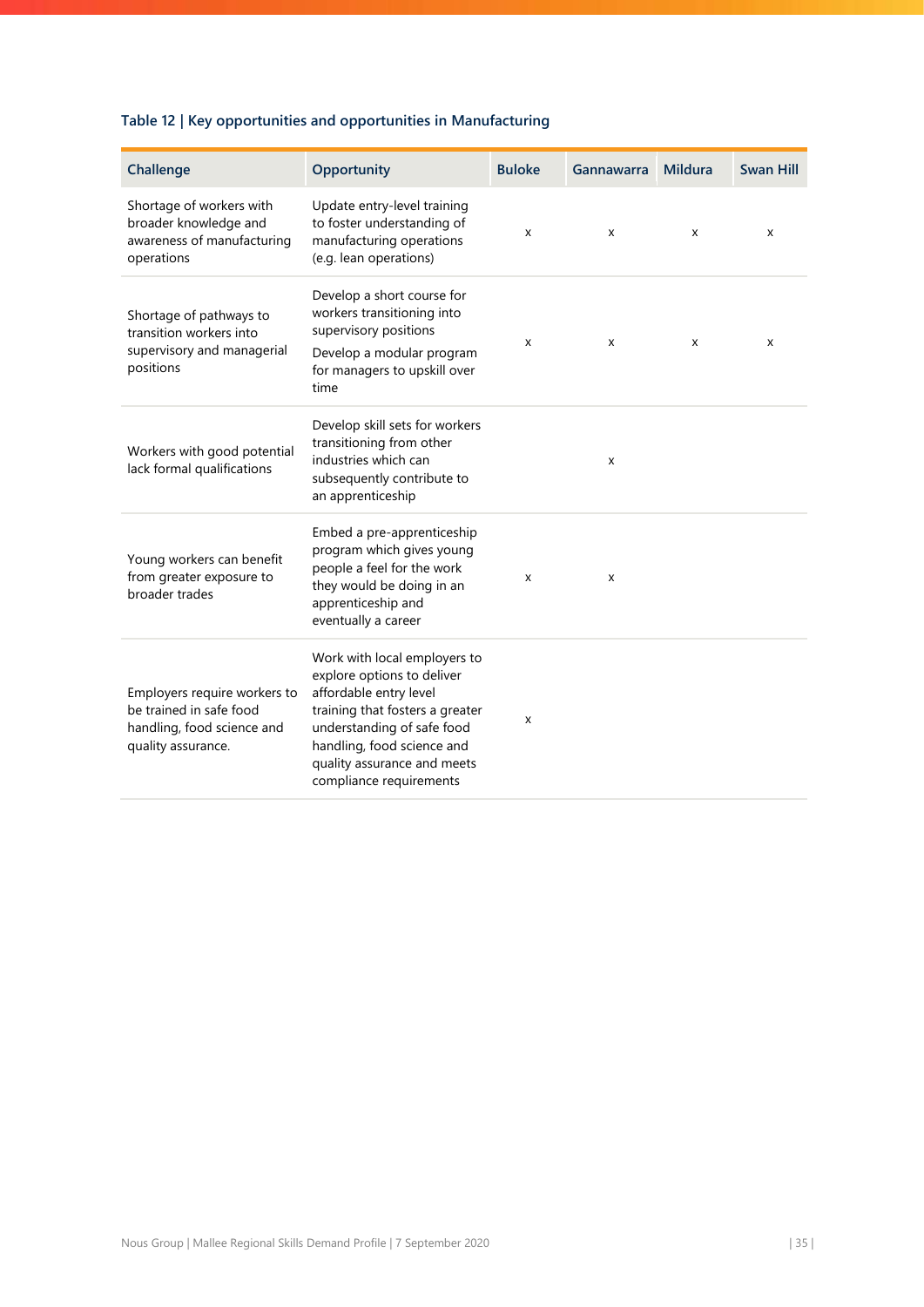# **Table 12 | Key opportunities and opportunities in Manufacturing**

| Challenge                                                                                                   | Opportunity                                                                                                                                                                                                                                   | <b>Buloke</b> | Gannawarra | <b>Mildura</b> | <b>Swan Hill</b> |
|-------------------------------------------------------------------------------------------------------------|-----------------------------------------------------------------------------------------------------------------------------------------------------------------------------------------------------------------------------------------------|---------------|------------|----------------|------------------|
| Shortage of workers with<br>broader knowledge and<br>awareness of manufacturing<br>operations               | Update entry-level training<br>to foster understanding of<br>manufacturing operations<br>(e.g. lean operations)                                                                                                                               | X             | X          | X              | X                |
| Shortage of pathways to<br>transition workers into<br>supervisory and managerial<br>positions               | Develop a short course for<br>workers transitioning into<br>supervisory positions<br>Develop a modular program<br>for managers to upskill over<br>time                                                                                        | x             | X          | x              | x                |
| Workers with good potential<br>lack formal qualifications                                                   | Develop skill sets for workers<br>transitioning from other<br>industries which can<br>subsequently contribute to<br>an apprenticeship                                                                                                         |               | x          |                |                  |
| Young workers can benefit<br>from greater exposure to<br>broader trades                                     | Embed a pre-apprenticeship<br>program which gives young<br>people a feel for the work<br>they would be doing in an<br>apprenticeship and<br>eventually a career                                                                               | X             | X          |                |                  |
| Employers require workers to<br>be trained in safe food<br>handling, food science and<br>quality assurance. | Work with local employers to<br>explore options to deliver<br>affordable entry level<br>training that fosters a greater<br>understanding of safe food<br>handling, food science and<br>quality assurance and meets<br>compliance requirements | X             |            |                |                  |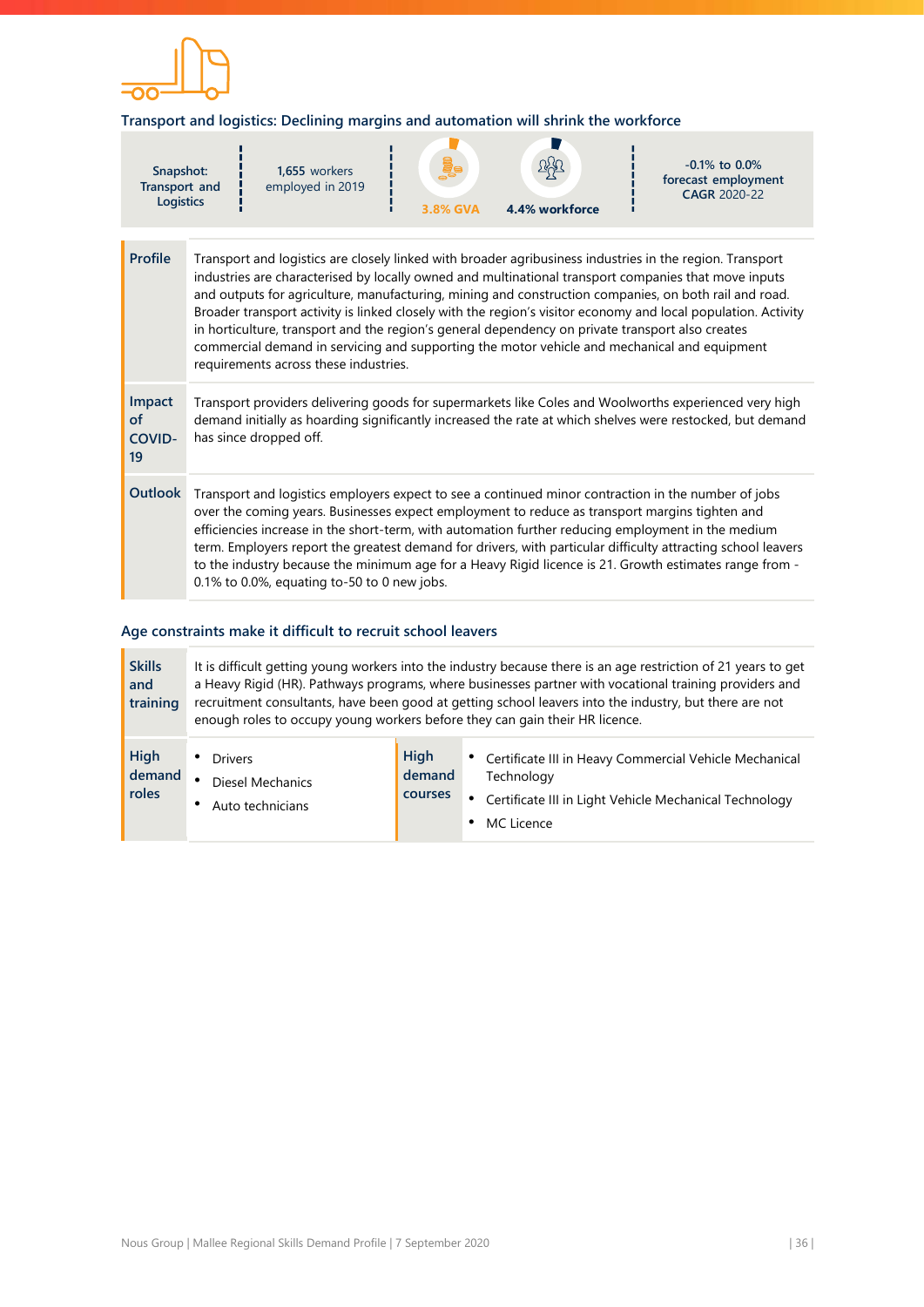![](_page_36_Picture_0.jpeg)

### **Transport and logistics: Declining margins and automation will shrink the workforce**

| Snapshot:<br>Transport and<br><b>Logistics</b> | 1,655 workers<br>employed in 2019 | $\frac{1}{2}$<br>3.8% GVA | <u>age</u><br>4.4% workforce | $-0.1\%$ to 0.0%<br>forecast employment<br><b>CAGR 2020-22</b>                                           |
|------------------------------------------------|-----------------------------------|---------------------------|------------------------------|----------------------------------------------------------------------------------------------------------|
|                                                |                                   |                           |                              |                                                                                                          |
| <b>Profile</b>                                 |                                   |                           |                              | Transport and logistics are closely linked with broader agribusiness industries in the region. Transport |

|                                            | industries are characterised by locally owned and multinational transport companies that move inputs<br>and outputs for agriculture, manufacturing, mining and construction companies, on both rail and road.<br>Broader transport activity is linked closely with the region's visitor economy and local population. Activity<br>in horticulture, transport and the region's general dependency on private transport also creates<br>commercial demand in servicing and supporting the motor vehicle and mechanical and equipment<br>requirements across these industries.             |
|--------------------------------------------|-----------------------------------------------------------------------------------------------------------------------------------------------------------------------------------------------------------------------------------------------------------------------------------------------------------------------------------------------------------------------------------------------------------------------------------------------------------------------------------------------------------------------------------------------------------------------------------------|
| Impact<br><b>of</b><br><b>COVID-</b><br>19 | Transport providers delivering goods for supermarkets like Coles and Woolworths experienced very high<br>demand initially as hoarding significantly increased the rate at which shelves were restocked, but demand<br>has since dropped off.                                                                                                                                                                                                                                                                                                                                            |
| <b>Outlook</b>                             | Transport and logistics employers expect to see a continued minor contraction in the number of jobs<br>over the coming years. Businesses expect employment to reduce as transport margins tighten and<br>efficiencies increase in the short-term, with automation further reducing employment in the medium<br>term. Employers report the greatest demand for drivers, with particular difficulty attracting school leavers<br>to the industry because the minimum age for a Heavy Rigid licence is 21. Growth estimates range from -<br>$0.1\%$ to 0.0%, equating to-50 to 0 new jobs. |

## **Age constraints make it difficult to recruit school leavers**

| <b>Skills</b><br>and<br>training | It is difficult getting young workers into the industry because there is an age restriction of 21 years to get<br>a Heavy Rigid (HR). Pathways programs, where businesses partner with vocational training providers and<br>recruitment consultants, have been good at getting school leavers into the industry, but there are not<br>enough roles to occupy young workers before they can gain their HR licence. |                           |                                                                                                                                                |  |  |
|----------------------------------|-------------------------------------------------------------------------------------------------------------------------------------------------------------------------------------------------------------------------------------------------------------------------------------------------------------------------------------------------------------------------------------------------------------------|---------------------------|------------------------------------------------------------------------------------------------------------------------------------------------|--|--|
| High<br>demand<br>roles          | <b>Drivers</b><br>Diesel Mechanics<br>٠<br>Auto technicians                                                                                                                                                                                                                                                                                                                                                       | High<br>demand<br>courses | • Certificate III in Heavy Commercial Vehicle Mechanical<br>Technology<br>Certificate III in Light Vehicle Mechanical Technology<br>MC Licence |  |  |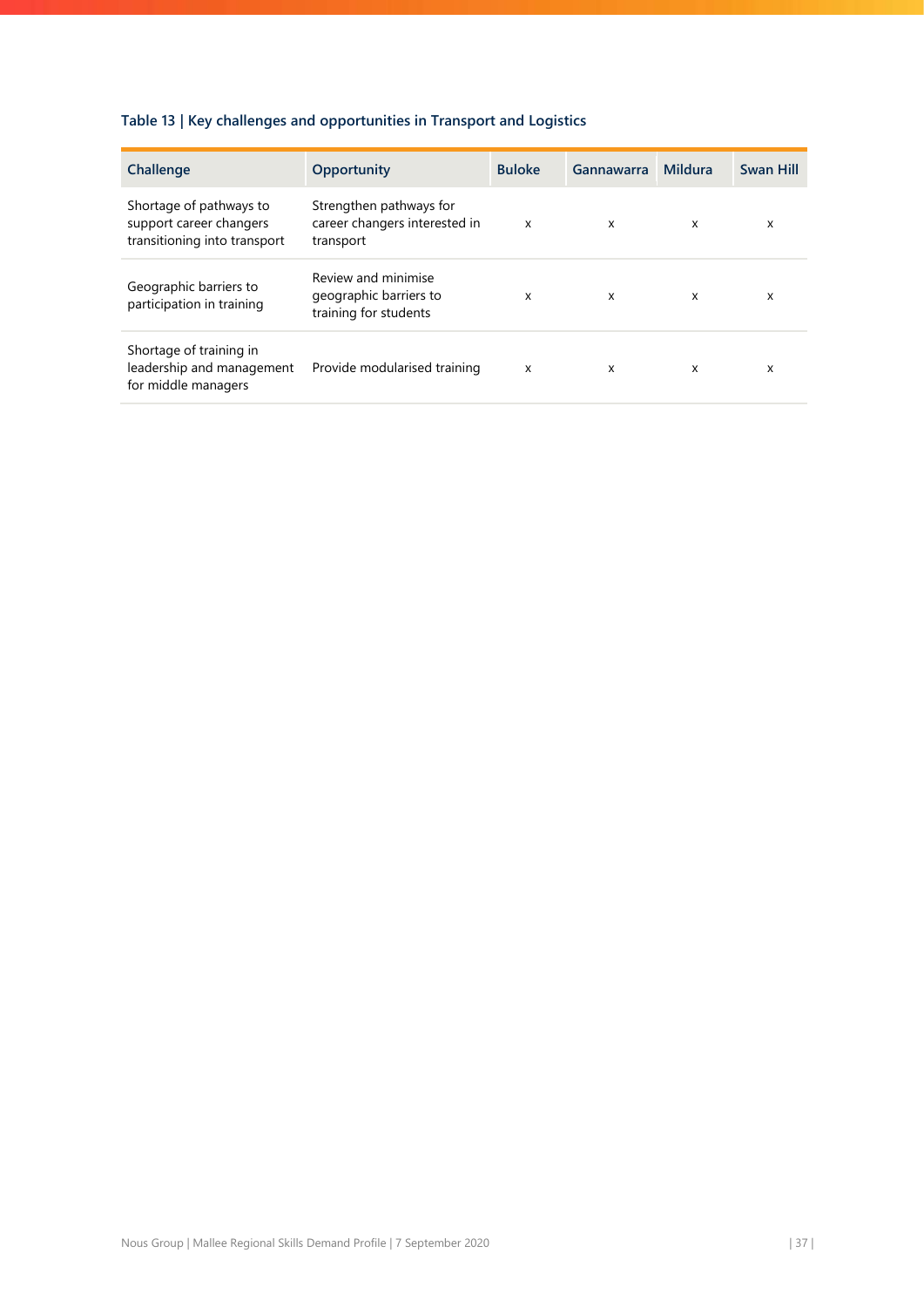# **Table 13 | Key challenges and opportunities in Transport and Logistics**

| Challenge                                                                          | Opportunity                                                            | <b>Buloke</b>             | Gannawarra                | Mildura | <b>Swan Hill</b> |
|------------------------------------------------------------------------------------|------------------------------------------------------------------------|---------------------------|---------------------------|---------|------------------|
| Shortage of pathways to<br>support career changers<br>transitioning into transport | Strengthen pathways for<br>career changers interested in<br>transport  | $\boldsymbol{\mathsf{x}}$ | $\boldsymbol{\mathsf{x}}$ | x       | x                |
| Geographic barriers to<br>participation in training                                | Review and minimise<br>geographic barriers to<br>training for students | X                         | $\boldsymbol{\mathsf{x}}$ | X       | x                |
| Shortage of training in<br>leadership and management<br>for middle managers        | Provide modularised training                                           | $\boldsymbol{\mathsf{x}}$ | X                         | X       | x                |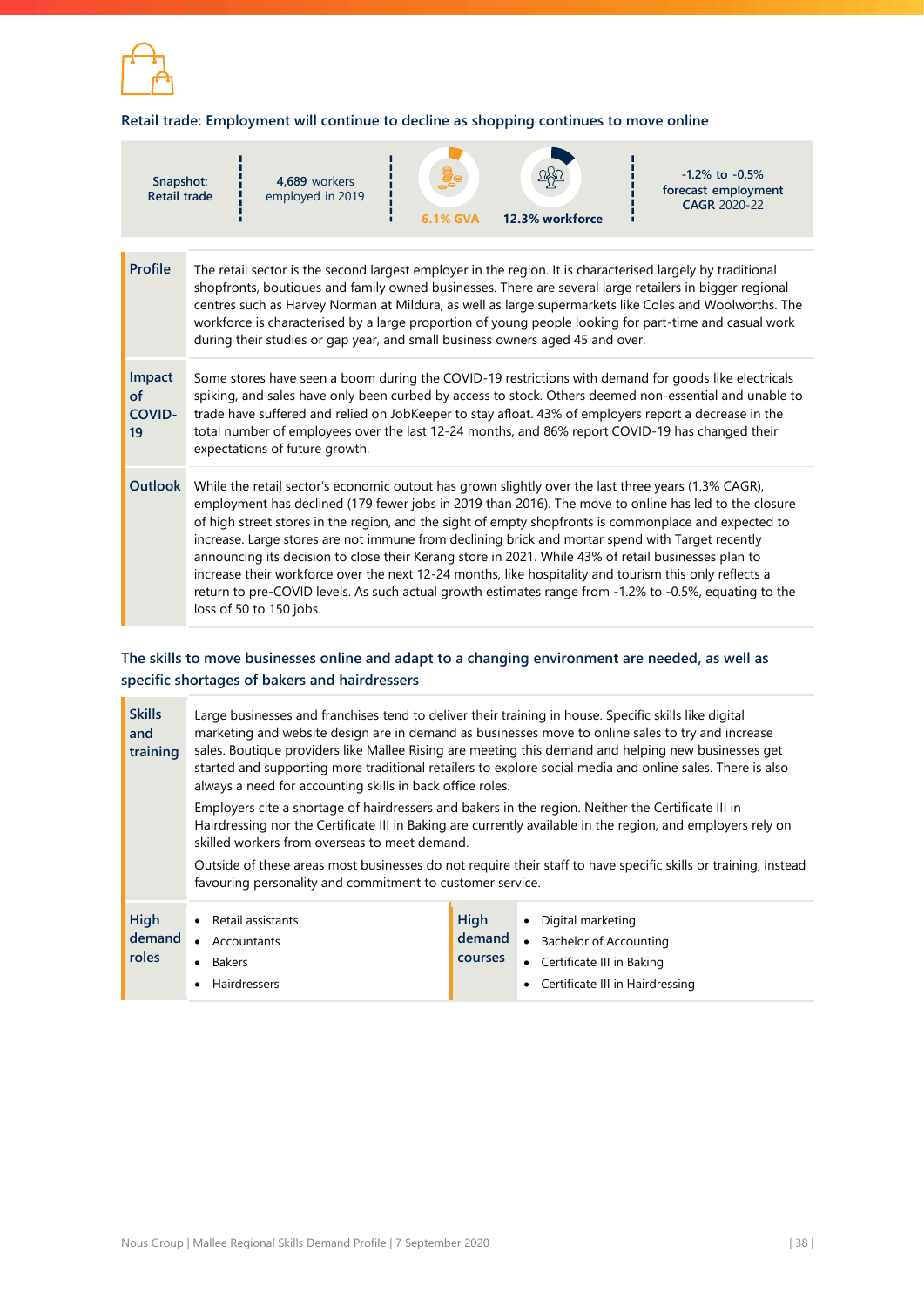![](_page_38_Picture_0.jpeg)

## **Retail trade: Employment will continue to decline as shopping continues to move online**

| Snapshot:<br><b>Retail trade</b>    |                                                                                                                                                                                                                                                                                                                                                                                                                                                                                                                                                                                                                                                                                                                                                                                 | 4.689 workers<br>employed in 2019 | <b>6.1% GVA</b> | 12.3% workforce | $-1.2\%$ to $-0.5\%$<br>forecast employment<br>CAGR 2020-22 |  |  |
|-------------------------------------|---------------------------------------------------------------------------------------------------------------------------------------------------------------------------------------------------------------------------------------------------------------------------------------------------------------------------------------------------------------------------------------------------------------------------------------------------------------------------------------------------------------------------------------------------------------------------------------------------------------------------------------------------------------------------------------------------------------------------------------------------------------------------------|-----------------------------------|-----------------|-----------------|-------------------------------------------------------------|--|--|
| <b>Profile</b>                      | The retail sector is the second largest employer in the region. It is characterised largely by traditional<br>shopfronts, boutiques and family owned businesses. There are several large retailers in bigger regional<br>centres such as Harvey Norman at Mildura, as well as large supermarkets like Coles and Woolworths. The<br>workforce is characterised by a large proportion of young people looking for part-time and casual work<br>during their studies or gap year, and small business owners aged 45 and over.                                                                                                                                                                                                                                                      |                                   |                 |                 |                                                             |  |  |
| Impact<br>of<br><b>COVID-</b><br>19 | Some stores have seen a boom during the COVID-19 restrictions with demand for goods like electricals<br>spiking, and sales have only been curbed by access to stock. Others deemed non-essential and unable to<br>trade have suffered and relied on JobKeeper to stay afloat. 43% of employers report a decrease in the<br>total number of employees over the last 12-24 months, and 86% report COVID-19 has changed their<br>expectations of future growth.                                                                                                                                                                                                                                                                                                                    |                                   |                 |                 |                                                             |  |  |
| <b>Outlook</b>                      | While the retail sector's economic output has grown slightly over the last three years (1.3% CAGR),<br>employment has declined (179 fewer jobs in 2019 than 2016). The move to online has led to the closure<br>of high street stores in the region, and the sight of empty shopfronts is commonplace and expected to<br>increase. Large stores are not immune from declining brick and mortar spend with Target recently<br>announcing its decision to close their Kerang store in 2021. While 43% of retail businesses plan to<br>increase their workforce over the next 12-24 months, like hospitality and tourism this only reflects a<br>return to pre-COVID levels. As such actual growth estimates range from -1.2% to -0.5%, equating to the<br>loss of 50 to 150 jobs. |                                   |                 |                 |                                                             |  |  |

# **The skills to move businesses online and adapt to a changing environment are needed, as well as specific shortages of bakers and hairdressers**

| <b>Skills</b><br>and<br>training | Large businesses and franchises tend to deliver their training in house. Specific skills like digital<br>marketing and website design are in demand as businesses move to online sales to try and increase<br>sales. Boutique providers like Mallee Rising are meeting this demand and helping new businesses get<br>started and supporting more traditional retailers to explore social media and online sales. There is also<br>always a need for accounting skills in back office roles. |                                  |                                                                                                                 |  |  |
|----------------------------------|---------------------------------------------------------------------------------------------------------------------------------------------------------------------------------------------------------------------------------------------------------------------------------------------------------------------------------------------------------------------------------------------------------------------------------------------------------------------------------------------|----------------------------------|-----------------------------------------------------------------------------------------------------------------|--|--|
|                                  | Employers cite a shortage of hairdressers and bakers in the region. Neither the Certificate III in<br>Hairdressing nor the Certificate III in Baking are currently available in the region, and employers rely on<br>skilled workers from overseas to meet demand.<br>Outside of these areas most businesses do not require their staff to have specific skills or training, instead<br>favouring personality and commitment to customer service.                                           |                                  |                                                                                                                 |  |  |
| <b>High</b><br>demand<br>roles   | • Retail assistants<br>Accountants<br>$\bullet$<br>• Bakers<br>Hairdressers                                                                                                                                                                                                                                                                                                                                                                                                                 | High<br>demand<br><b>courses</b> | • Digital marketing<br>• Bachelor of Accounting<br>Certificate III in Baking<br>Certificate III in Hairdressing |  |  |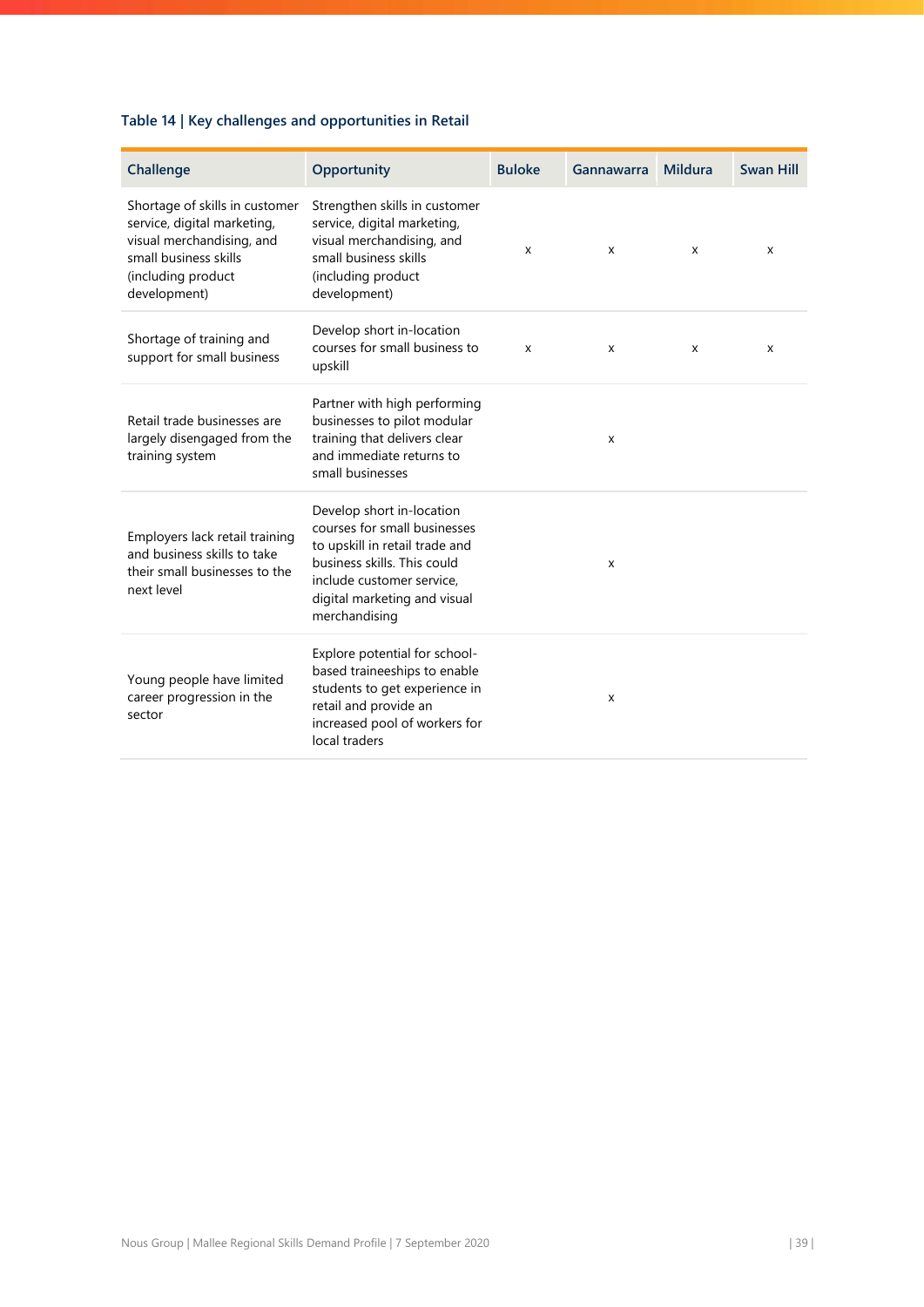# **Table 14 | Key challenges and opportunities in Retail**

| Challenge                                                                                                                                                 | Opportunity                                                                                                                                                                                              | <b>Buloke</b> | Gannawarra | <b>Mildura</b> | <b>Swan Hill</b> |
|-----------------------------------------------------------------------------------------------------------------------------------------------------------|----------------------------------------------------------------------------------------------------------------------------------------------------------------------------------------------------------|---------------|------------|----------------|------------------|
| Shortage of skills in customer<br>service, digital marketing,<br>visual merchandising, and<br>small business skills<br>(including product<br>development) | Strengthen skills in customer<br>service, digital marketing,<br>visual merchandising, and<br>small business skills<br>(including product<br>development)                                                 | x             | X          | X              | X                |
| Shortage of training and<br>support for small business                                                                                                    | Develop short in-location<br>courses for small business to<br>upskill                                                                                                                                    | X             | X          | x              | x                |
| Retail trade businesses are<br>largely disengaged from the<br>training system                                                                             | Partner with high performing<br>businesses to pilot modular<br>training that delivers clear<br>and immediate returns to<br>small businesses                                                              |               | X          |                |                  |
| Employers lack retail training<br>and business skills to take<br>their small businesses to the<br>next level                                              | Develop short in-location<br>courses for small businesses<br>to upskill in retail trade and<br>business skills. This could<br>include customer service.<br>digital marketing and visual<br>merchandising |               | X          |                |                  |
| Young people have limited<br>career progression in the<br>sector                                                                                          | Explore potential for school-<br>based traineeships to enable<br>students to get experience in<br>retail and provide an<br>increased pool of workers for<br>local traders                                |               | X          |                |                  |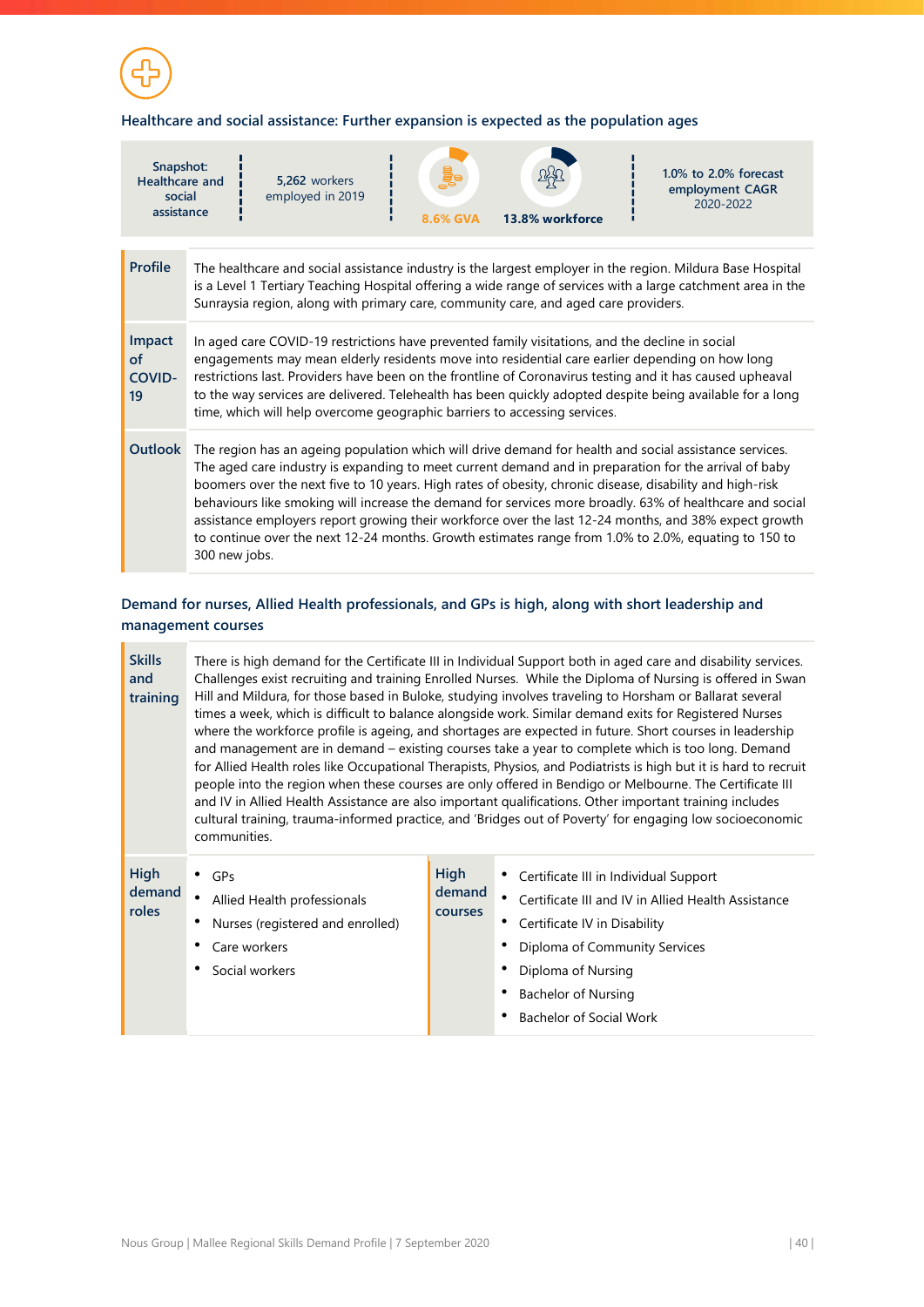![](_page_40_Picture_0.jpeg)

### **Healthcare and social assistance: Further expansion is expected as the population ages**

| Snapshot:<br><b>Healthcare and</b><br>social<br>assistance                                                                                                                                                                                                                                                                          |                                                                                                                                                                                                                                                                                                                                                                                                                                                                                                                                                                                                                                                                           | 5.262 workers<br>employed in 2019 | 8.6% GVA | 13.8% workforce | $1.0\%$ to 2.0% forecast<br>employment CAGR<br>2020-2022 |  |  |
|-------------------------------------------------------------------------------------------------------------------------------------------------------------------------------------------------------------------------------------------------------------------------------------------------------------------------------------|---------------------------------------------------------------------------------------------------------------------------------------------------------------------------------------------------------------------------------------------------------------------------------------------------------------------------------------------------------------------------------------------------------------------------------------------------------------------------------------------------------------------------------------------------------------------------------------------------------------------------------------------------------------------------|-----------------------------------|----------|-----------------|----------------------------------------------------------|--|--|
|                                                                                                                                                                                                                                                                                                                                     |                                                                                                                                                                                                                                                                                                                                                                                                                                                                                                                                                                                                                                                                           |                                   |          |                 |                                                          |  |  |
| <b>Profile</b><br>The healthcare and social assistance industry is the largest employer in the region. Mildura Base Hospital<br>is a Level 1 Tertiary Teaching Hospital offering a wide range of services with a large catchment area in the<br>Sunraysia region, along with primary care, community care, and aged care providers. |                                                                                                                                                                                                                                                                                                                                                                                                                                                                                                                                                                                                                                                                           |                                   |          |                 |                                                          |  |  |
| Impact<br><sub>of</sub><br><b>COVID-</b><br>19                                                                                                                                                                                                                                                                                      | In aged care COVID-19 restrictions have prevented family visitations, and the decline in social<br>engagements may mean elderly residents move into residential care earlier depending on how long<br>restrictions last. Providers have been on the frontline of Coronavirus testing and it has caused upheaval<br>to the way services are delivered. Telehealth has been quickly adopted despite being available for a long<br>time, which will help overcome geographic barriers to accessing services.                                                                                                                                                                 |                                   |          |                 |                                                          |  |  |
| Outlook                                                                                                                                                                                                                                                                                                                             | The region has an ageing population which will drive demand for health and social assistance services.<br>The aged care industry is expanding to meet current demand and in preparation for the arrival of baby<br>boomers over the next five to 10 years. High rates of obesity, chronic disease, disability and high-risk<br>behaviours like smoking will increase the demand for services more broadly. 63% of healthcare and social<br>assistance employers report growing their workforce over the last 12-24 months, and 38% expect growth<br>to continue over the next 12-24 months. Growth estimates range from 1.0% to 2.0%, equating to 150 to<br>300 new jobs. |                                   |          |                 |                                                          |  |  |

ċ,

# **Demand for nurses, Allied Health professionals, and GPs is high, along with short leadership and management courses**

| <b>Skills</b><br>and<br>training      | There is high demand for the Certificate III in Individual Support both in aged care and disability services.<br>Challenges exist recruiting and training Enrolled Nurses. While the Diploma of Nursing is offered in Swan<br>Hill and Mildura, for those based in Buloke, studying involves traveling to Horsham or Ballarat several<br>times a week, which is difficult to balance alongside work. Similar demand exits for Registered Nurses<br>where the workforce profile is ageing, and shortages are expected in future. Short courses in leadership<br>and management are in demand - existing courses take a year to complete which is too long. Demand<br>for Allied Health roles like Occupational Therapists, Physios, and Podiatrists is high but it is hard to recruit<br>people into the region when these courses are only offered in Bendigo or Melbourne. The Certificate III<br>and IV in Allied Health Assistance are also important qualifications. Other important training includes<br>cultural training, trauma-informed practice, and 'Bridges out of Poverty' for engaging low socioeconomic<br>communities. |                                  |                                                                                                                                                                                                                                               |
|---------------------------------------|----------------------------------------------------------------------------------------------------------------------------------------------------------------------------------------------------------------------------------------------------------------------------------------------------------------------------------------------------------------------------------------------------------------------------------------------------------------------------------------------------------------------------------------------------------------------------------------------------------------------------------------------------------------------------------------------------------------------------------------------------------------------------------------------------------------------------------------------------------------------------------------------------------------------------------------------------------------------------------------------------------------------------------------------------------------------------------------------------------------------------------------|----------------------------------|-----------------------------------------------------------------------------------------------------------------------------------------------------------------------------------------------------------------------------------------------|
| <b>High</b><br>demand<br><b>roles</b> | $\bullet$ GPs<br>Allied Health professionals<br>Nurses (registered and enrolled)<br>Care workers<br>Social workers                                                                                                                                                                                                                                                                                                                                                                                                                                                                                                                                                                                                                                                                                                                                                                                                                                                                                                                                                                                                                     | <b>High</b><br>demand<br>courses | • Certificate III in Individual Support<br>٠<br>Certificate III and IV in Allied Health Assistance<br>• Certificate IV in Disability<br>Diploma of Community Services<br>Diploma of Nursing<br>Bachelor of Nursing<br>Bachelor of Social Work |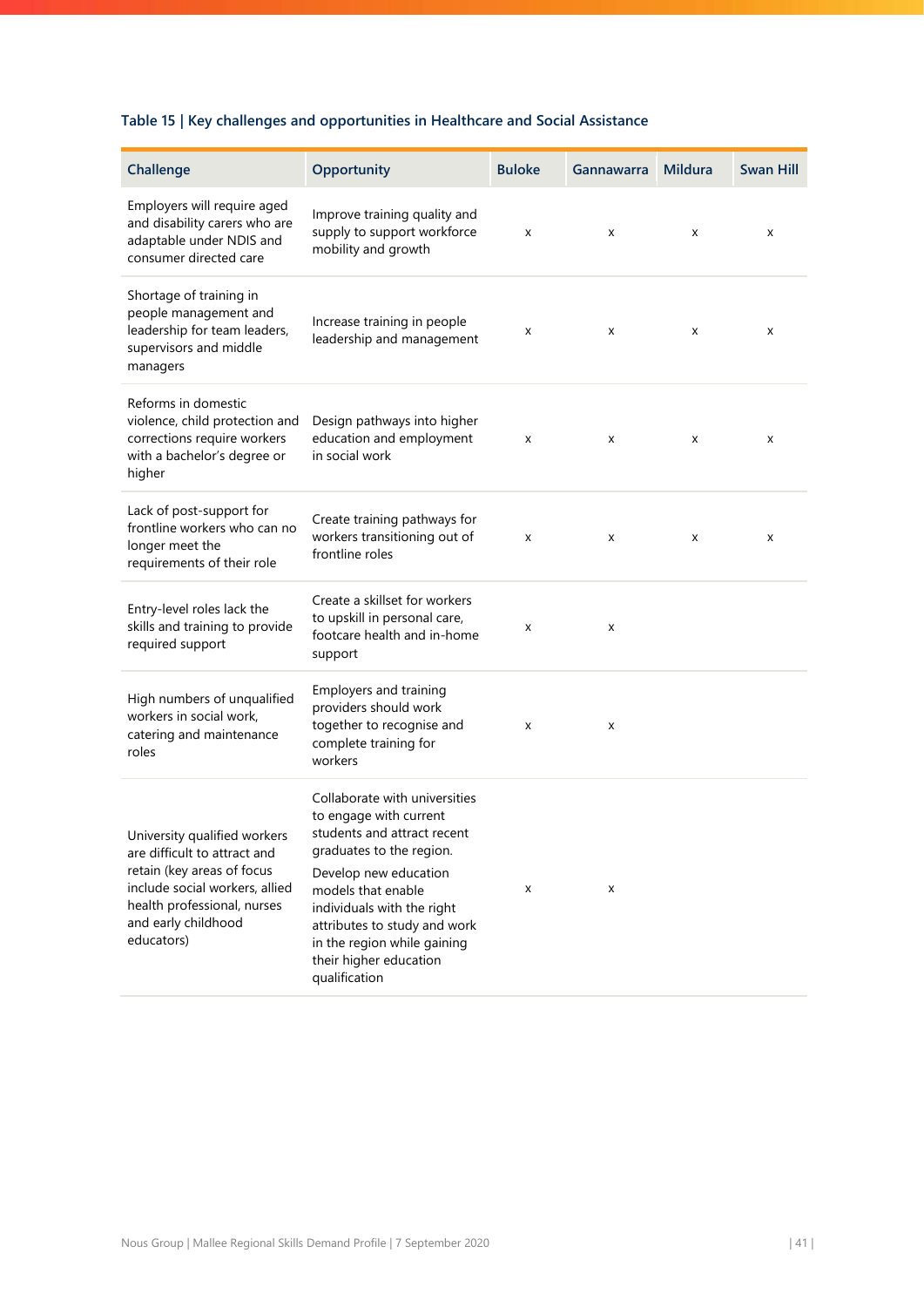# **Table 15 | Key challenges and opportunities in Healthcare and Social Assistance**

| Challenge                                                                                                                                                                                        | Opportunity                                                                                                                                                                                                                                                                                               | <b>Buloke</b> | <b>Gannawarra</b> | <b>Mildura</b> | <b>Swan Hill</b> |
|--------------------------------------------------------------------------------------------------------------------------------------------------------------------------------------------------|-----------------------------------------------------------------------------------------------------------------------------------------------------------------------------------------------------------------------------------------------------------------------------------------------------------|---------------|-------------------|----------------|------------------|
|                                                                                                                                                                                                  |                                                                                                                                                                                                                                                                                                           |               |                   |                |                  |
| Employers will require aged<br>and disability carers who are<br>adaptable under NDIS and<br>consumer directed care                                                                               | Improve training quality and<br>supply to support workforce<br>mobility and growth                                                                                                                                                                                                                        | x             | x                 | x              | x                |
| Shortage of training in<br>people management and<br>leadership for team leaders,<br>supervisors and middle<br>managers                                                                           | Increase training in people<br>leadership and management                                                                                                                                                                                                                                                  | X             | x                 | x              | x                |
| Reforms in domestic<br>violence, child protection and<br>corrections require workers<br>with a bachelor's degree or<br>higher                                                                    | Design pathways into higher<br>education and employment<br>in social work                                                                                                                                                                                                                                 | x             | x                 | x              | x                |
| Lack of post-support for<br>frontline workers who can no<br>longer meet the<br>requirements of their role                                                                                        | Create training pathways for<br>workers transitioning out of<br>frontline roles                                                                                                                                                                                                                           | x             | x                 | x              | x                |
| Entry-level roles lack the<br>skills and training to provide<br>required support                                                                                                                 | Create a skillset for workers<br>to upskill in personal care,<br>footcare health and in-home<br>support                                                                                                                                                                                                   | x             | x                 |                |                  |
| High numbers of unqualified<br>workers in social work,<br>catering and maintenance<br>roles                                                                                                      | Employers and training<br>providers should work<br>together to recognise and<br>complete training for<br>workers                                                                                                                                                                                          | x             | x                 |                |                  |
| University qualified workers<br>are difficult to attract and<br>retain (key areas of focus<br>include social workers, allied<br>health professional, nurses<br>and early childhood<br>educators) | Collaborate with universities<br>to engage with current<br>students and attract recent<br>graduates to the region.<br>Develop new education<br>models that enable<br>individuals with the right<br>attributes to study and work<br>in the region while gaining<br>their higher education<br>qualification | x             | x                 |                |                  |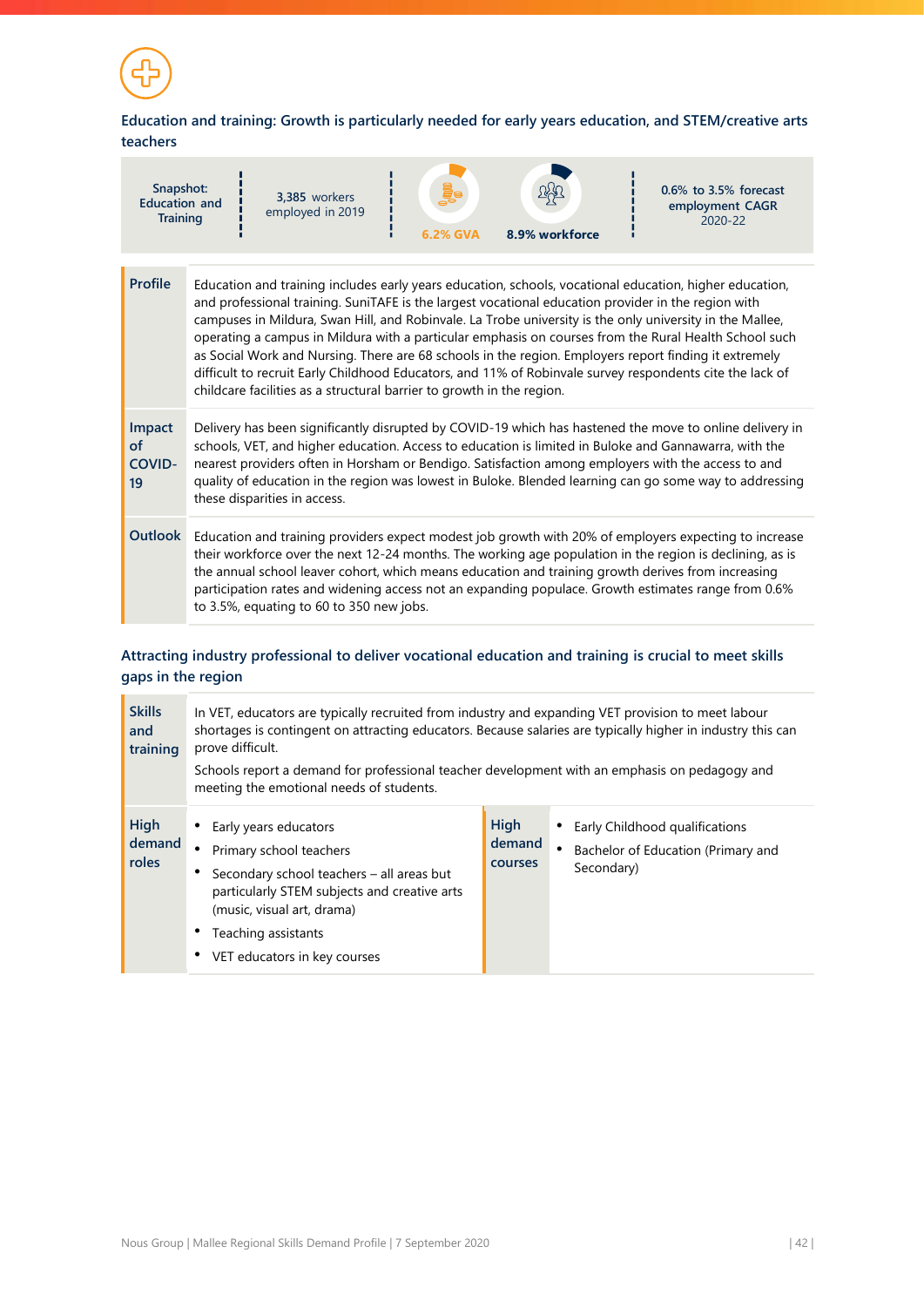![](_page_42_Picture_0.jpeg)

# **Education and training: Growth is particularly needed for early years education, and STEM/creative arts teachers**

| Snapshot:<br><b>Education and</b><br><b>Training</b> |                                                                                                                                                                                                                                                                                                                                                                                                                                                                   | 3,385 workers<br>employed in 2019                                     | 6.2% GVA | 8.9% workforce | $0.6\%$ to 3.5% forecast<br>employment CAGR<br>2020-22                                                                                                                                                                                                                                                                                                                                                                         |
|------------------------------------------------------|-------------------------------------------------------------------------------------------------------------------------------------------------------------------------------------------------------------------------------------------------------------------------------------------------------------------------------------------------------------------------------------------------------------------------------------------------------------------|-----------------------------------------------------------------------|----------|----------------|--------------------------------------------------------------------------------------------------------------------------------------------------------------------------------------------------------------------------------------------------------------------------------------------------------------------------------------------------------------------------------------------------------------------------------|
| <b>Profile</b>                                       |                                                                                                                                                                                                                                                                                                                                                                                                                                                                   |                                                                       |          |                | Education and training includes early years education, schools, vocational education, higher education,<br>and professional training. SuniTAFE is the largest vocational education provider in the region with<br>campuses in Mildura, Swan Hill, and Robinvale. La Trobe university is the only university in the Mallee,                                                                                                     |
|                                                      |                                                                                                                                                                                                                                                                                                                                                                                                                                                                   | childcare facilities as a structural barrier to growth in the region. |          |                | operating a campus in Mildura with a particular emphasis on courses from the Rural Health School such<br>as Social Work and Nursing. There are 68 schools in the region. Employers report finding it extremely<br>difficult to recruit Early Childhood Educators, and 11% of Robinvale survey respondents cite the lack of                                                                                                     |
| Impact<br>of<br>COVID-<br>19                         | Delivery has been significantly disrupted by COVID-19 which has hastened the move to online delivery in<br>schools, VET, and higher education. Access to education is limited in Buloke and Gannawarra, with the<br>nearest providers often in Horsham or Bendigo. Satisfaction among employers with the access to and<br>quality of education in the region was lowest in Buloke. Blended learning can go some way to addressing<br>these disparities in access. |                                                                       |          |                |                                                                                                                                                                                                                                                                                                                                                                                                                                |
| Outlook                                              |                                                                                                                                                                                                                                                                                                                                                                                                                                                                   | to 3.5%, equating to 60 to 350 new jobs.                              |          |                | Education and training providers expect modest job growth with 20% of employers expecting to increase<br>their workforce over the next 12-24 months. The working age population in the region is declining, as is<br>the annual school leaver cohort, which means education and training growth derives from increasing<br>participation rates and widening access not an expanding populace. Growth estimates range from 0.6% |

# **Attracting industry professional to deliver vocational education and training is crucial to meet skills gaps in the region**

| <b>Skills</b><br>and<br>training      | In VET, educators are typically recruited from industry and expanding VET provision to meet labour<br>shortages is contingent on attracting educators. Because salaries are typically higher in industry this can<br>prove difficult.<br>Schools report a demand for professional teacher development with an emphasis on pedagogy and<br>meeting the emotional needs of students. |                                  |  |                                                                                    |
|---------------------------------------|------------------------------------------------------------------------------------------------------------------------------------------------------------------------------------------------------------------------------------------------------------------------------------------------------------------------------------------------------------------------------------|----------------------------------|--|------------------------------------------------------------------------------------|
| <b>High</b><br>demand<br><b>roles</b> | • Early years educators<br>Primary school teachers<br>Secondary school teachers - all areas but<br>particularly STEM subjects and creative arts<br>(music, visual art, drama)<br>Teaching assistants<br>VET educators in key courses                                                                                                                                               | High<br>demand<br><b>COULSES</b> |  | Early Childhood qualifications<br>Bachelor of Education (Primary and<br>Secondary) |